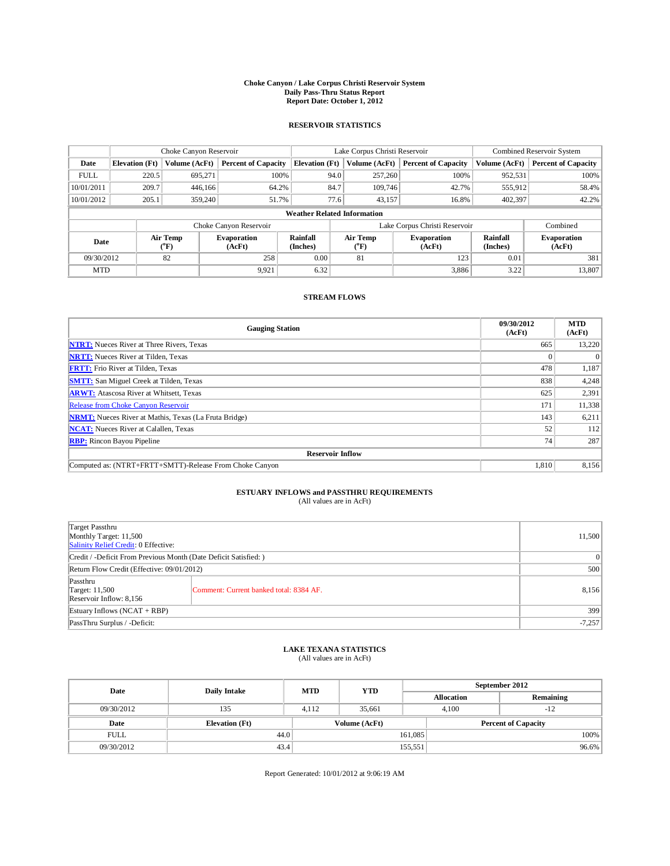## **Choke Canyon / Lake Corpus Christi Reservoir System Daily Pass-Thru Status Report Report Date: October 1, 2012**

### **RESERVOIR STATISTICS**

|             | Choke Canyon Reservoir |                          | Lake Corpus Christi Reservoir |                                    |      |                               | Combined Reservoir System    |                             |                              |
|-------------|------------------------|--------------------------|-------------------------------|------------------------------------|------|-------------------------------|------------------------------|-----------------------------|------------------------------|
| Date        | <b>Elevation</b> (Ft)  | Volume (AcFt)            | <b>Percent of Capacity</b>    | <b>Elevation</b> (Ft)              |      | Volume (AcFt)                 | <b>Percent of Capacity</b>   | Volume (AcFt)               | <b>Percent of Capacity</b>   |
| <b>FULL</b> | 220.5                  | 695,271                  | 100%                          |                                    | 94.0 | 257,260                       | 100%                         | 952,531                     | 100%                         |
| 10/01/2011  | 209.7                  | 446,166                  | 64.2%                         |                                    | 84.7 | 109,746                       | 42.7%                        | 555,912                     | 58.4%                        |
| 10/01/2012  | 205.1                  | 359,240                  | 51.7%                         |                                    | 77.6 | 43,157                        | 16.8%                        | 402,397                     | 42.2%                        |
|             |                        |                          |                               | <b>Weather Related Information</b> |      |                               |                              |                             |                              |
|             |                        |                          | Choke Canyon Reservoir        |                                    |      | Lake Corpus Christi Reservoir | Combined                     |                             |                              |
| Date        |                        | Air Temp<br>$\rm ^{o}F)$ | <b>Evaporation</b><br>(AcFt)  | <b>Rainfall</b><br>(Inches)        |      | <b>Air Temp</b><br>("F)       | <b>Evaporation</b><br>(AcFt) | <b>Rainfall</b><br>(Inches) | <b>Evaporation</b><br>(AcFt) |
| 09/30/2012  | 82                     |                          | 258                           | 0.00                               | 81   |                               | 123                          | 0.01                        | 381                          |
| <b>MTD</b>  |                        |                          | 9,921                         | 6.32                               |      |                               | 3,886                        | 3.22                        | 13,807                       |

#### **STREAM FLOWS**

| <b>Gauging Station</b>                                       | 09/30/2012<br>(AcFt) | <b>MTD</b><br>(AcFt) |  |  |  |  |
|--------------------------------------------------------------|----------------------|----------------------|--|--|--|--|
| <b>NTRT:</b> Nueces River at Three Rivers, Texas             | 665                  | 13,220               |  |  |  |  |
| <b>NRTT:</b> Nueces River at Tilden, Texas                   |                      | $\Omega$             |  |  |  |  |
| <b>FRTT:</b> Frio River at Tilden, Texas                     | 478                  | 1,187                |  |  |  |  |
| <b>SMTT:</b> San Miguel Creek at Tilden, Texas               | 838                  | 4,248                |  |  |  |  |
| <b>ARWT:</b> Atascosa River at Whitsett, Texas               | 625                  | 2,391                |  |  |  |  |
| Release from Choke Canyon Reservoir                          | 171                  | 11,338               |  |  |  |  |
| <b>NRMT:</b> Nueces River at Mathis, Texas (La Fruta Bridge) | 143                  | 6,211                |  |  |  |  |
| <b>NCAT:</b> Nueces River at Calallen, Texas                 | 52                   | 112                  |  |  |  |  |
| <b>RBP:</b> Rincon Bayou Pipeline                            | 74                   | 287                  |  |  |  |  |
| <b>Reservoir Inflow</b>                                      |                      |                      |  |  |  |  |
| Computed as: (NTRT+FRTT+SMTT)-Release From Choke Canyon      | 1,810                | 8,156                |  |  |  |  |

# **ESTUARY INFLOWS and PASSTHRU REQUIREMENTS**<br>(All values are in AcFt)

| Target Passthru<br>Monthly Target: 11,500<br>Salinity Relief Credit: 0 Effective: |                                         |       |  |  |
|-----------------------------------------------------------------------------------|-----------------------------------------|-------|--|--|
| Credit / -Deficit From Previous Month (Date Deficit Satisfied: )                  |                                         |       |  |  |
| Return Flow Credit (Effective: 09/01/2012)                                        |                                         |       |  |  |
| Passthru<br><b>Target: 11,500</b><br>Reservoir Inflow: 8,156                      | Comment: Current banked total: 8384 AF. | 8,156 |  |  |
| Estuary Inflows $(NCAT + RBP)$                                                    |                                         |       |  |  |
| PassThru Surplus / -Deficit:                                                      | $-7,257$                                |       |  |  |

## **LAKE TEXANA STATISTICS** (All values are in AcFt)

| Date        | <b>Daily Intake</b>   | <b>MTD</b> | <b>YTD</b>    | September 2012 |                            |           |  |
|-------------|-----------------------|------------|---------------|----------------|----------------------------|-----------|--|
|             |                       |            |               |                | <b>Allocation</b>          | Remaining |  |
| 09/30/2012  | 135                   | 4.112      | 35.661        |                | 4.100<br>$-12$             |           |  |
| Date        | <b>Elevation</b> (Ft) |            | Volume (AcFt) |                | <b>Percent of Capacity</b> |           |  |
| <b>FULL</b> | 44.0                  |            |               | 161,085        |                            | 100%      |  |
| 09/30/2012  | 43.4                  |            |               | 155,551        |                            | $96.6\%$  |  |

Report Generated: 10/01/2012 at 9:06:19 AM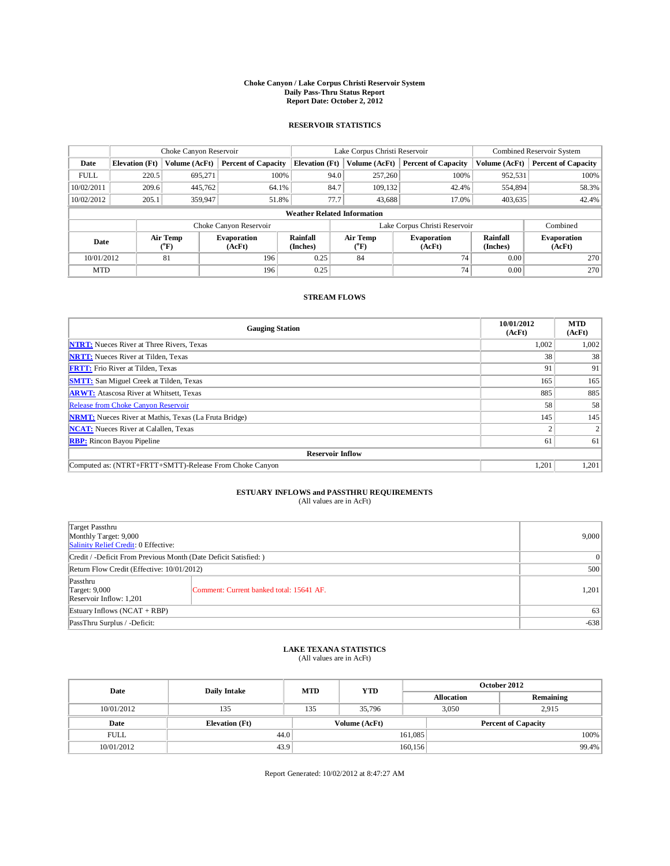## **Choke Canyon / Lake Corpus Christi Reservoir System Daily Pass-Thru Status Report Report Date: October 2, 2012**

### **RESERVOIR STATISTICS**

|             | Choke Canyon Reservoir |                          | Lake Corpus Christi Reservoir |                                    |      |                               | Combined Reservoir System    |                             |                              |
|-------------|------------------------|--------------------------|-------------------------------|------------------------------------|------|-------------------------------|------------------------------|-----------------------------|------------------------------|
| Date        | <b>Elevation</b> (Ft)  | Volume (AcFt)            | <b>Percent of Capacity</b>    | <b>Elevation</b> (Ft)              |      | Volume (AcFt)                 | <b>Percent of Capacity</b>   | Volume (AcFt)               | <b>Percent of Capacity</b>   |
| <b>FULL</b> | 220.5                  | 695,271                  | 100%                          |                                    | 94.0 | 257,260                       | 100%                         | 952,531                     | 100%                         |
| 10/02/2011  | 209.6                  | 445,762                  | 64.1%                         |                                    | 84.7 | 109.132                       | 42.4%                        | 554,894                     | 58.3%                        |
| 10/02/2012  | 205.1                  | 359,947                  | 51.8%                         |                                    | 77.7 | 43,688                        | 17.0%                        | 403,635                     | 42.4%                        |
|             |                        |                          |                               | <b>Weather Related Information</b> |      |                               |                              |                             |                              |
|             |                        |                          | Choke Canyon Reservoir        |                                    |      | Lake Corpus Christi Reservoir |                              | Combined                    |                              |
| Date        |                        | Air Temp<br>$\rm ^{o}F)$ | <b>Evaporation</b><br>(AcFt)  | <b>Rainfall</b><br>(Inches)        |      | Air Temp<br>("F)              | <b>Evaporation</b><br>(AcFt) | <b>Rainfall</b><br>(Inches) | <b>Evaporation</b><br>(AcFt) |
| 10/01/2012  |                        | 81                       | 196                           | 0.25                               |      | 84                            | 74                           | 0.00                        | 270                          |
| <b>MTD</b>  |                        |                          | 196                           | 0.25                               |      |                               | 74                           | 0.00                        | 270                          |

### **STREAM FLOWS**

| <b>Gauging Station</b>                                       | 10/01/2012<br>(AcFt) | <b>MTD</b><br>(AcFt) |  |  |  |  |
|--------------------------------------------------------------|----------------------|----------------------|--|--|--|--|
| <b>NTRT:</b> Nueces River at Three Rivers, Texas             | 1,002                | 1,002                |  |  |  |  |
| <b>NRTT:</b> Nueces River at Tilden, Texas                   | 38                   | 38                   |  |  |  |  |
| <b>FRTT:</b> Frio River at Tilden, Texas                     | 91                   | 91                   |  |  |  |  |
| <b>SMTT:</b> San Miguel Creek at Tilden, Texas               | 165                  | 165                  |  |  |  |  |
| <b>ARWT:</b> Atascosa River at Whitsett, Texas               | 885                  | 885                  |  |  |  |  |
| Release from Choke Canyon Reservoir                          | 58                   | 58                   |  |  |  |  |
| <b>NRMT:</b> Nueces River at Mathis, Texas (La Fruta Bridge) | 145                  | 145                  |  |  |  |  |
| <b>NCAT:</b> Nueces River at Calallen, Texas                 | $\sqrt{2}$           |                      |  |  |  |  |
| <b>RBP:</b> Rincon Bayou Pipeline                            | 61                   | 61                   |  |  |  |  |
| <b>Reservoir Inflow</b>                                      |                      |                      |  |  |  |  |
| Computed as: (NTRT+FRTT+SMTT)-Release From Choke Canyon      | 1,201                | 1,201                |  |  |  |  |

# **ESTUARY INFLOWS and PASSTHRU REQUIREMENTS**<br>(All values are in AcFt)

| <b>Target Passthru</b><br>Monthly Target: 9,000<br>Salinity Relief Credit: 0 Effective: |                                          | 9,000 |  |  |  |
|-----------------------------------------------------------------------------------------|------------------------------------------|-------|--|--|--|
| Credit / -Deficit From Previous Month (Date Deficit Satisfied: )                        | $\Omega$                                 |       |  |  |  |
| Return Flow Credit (Effective: 10/01/2012)                                              | 500                                      |       |  |  |  |
| Passthru<br>Target: 9,000<br>Reservoir Inflow: 1,201                                    | Comment: Current banked total: 15641 AF. | 1,201 |  |  |  |
| Estuary Inflows (NCAT + RBP)                                                            | 63                                       |       |  |  |  |
| PassThru Surplus / -Deficit:                                                            |                                          |       |  |  |  |

## **LAKE TEXANA STATISTICS** (All values are in AcFt)

| Date        | <b>Daily Intake</b>   | <b>MTD</b> | <b>YTD</b>    | October 2012      |                            |           |  |
|-------------|-----------------------|------------|---------------|-------------------|----------------------------|-----------|--|
|             |                       |            |               | <b>Allocation</b> |                            | Remaining |  |
| 10/01/2012  | 135                   | 135        | 35,796        |                   | 3.050<br>2.915             |           |  |
| Date        | <b>Elevation</b> (Ft) |            | Volume (AcFt) |                   | <b>Percent of Capacity</b> |           |  |
| <b>FULL</b> | 44.0                  |            |               | 161,085           |                            | 100%      |  |
| 10/01/2012  | 43.9                  |            |               | 160,156           |                            | 99.4%     |  |

Report Generated: 10/02/2012 at 8:47:27 AM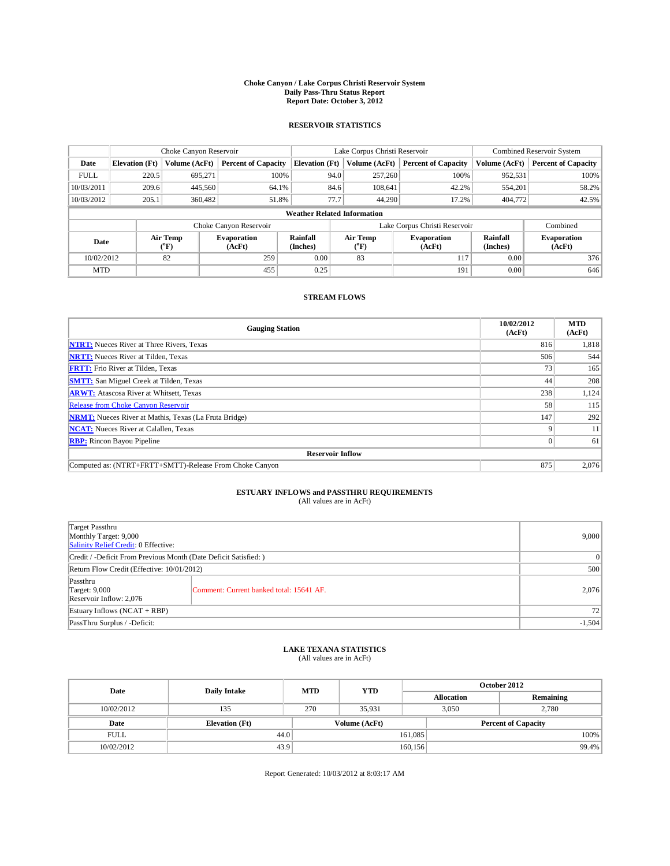## **Choke Canyon / Lake Corpus Christi Reservoir System Daily Pass-Thru Status Report Report Date: October 3, 2012**

### **RESERVOIR STATISTICS**

|             | Choke Canyon Reservoir |                          | Lake Corpus Christi Reservoir |                                    |      |                               | Combined Reservoir System    |                             |                              |
|-------------|------------------------|--------------------------|-------------------------------|------------------------------------|------|-------------------------------|------------------------------|-----------------------------|------------------------------|
| Date        | <b>Elevation</b> (Ft)  | Volume (AcFt)            | <b>Percent of Capacity</b>    | <b>Elevation</b> (Ft)              |      | Volume (AcFt)                 | <b>Percent of Capacity</b>   | Volume (AcFt)               | <b>Percent of Capacity</b>   |
| <b>FULL</b> | 220.5                  | 695,271                  | 100%                          |                                    | 94.0 | 257,260                       | 100%                         | 952,531                     | 100%                         |
| 10/03/2011  | 209.6                  | 445,560                  | 64.1%                         |                                    | 84.6 | 108,641                       | 42.2%                        | 554,201                     | 58.2%                        |
| 10/03/2012  | 205.1                  | 360,482                  | 51.8%                         |                                    | 77.7 | 44.290                        | 17.2%                        | 404,772                     | 42.5%                        |
|             |                        |                          |                               | <b>Weather Related Information</b> |      |                               |                              |                             |                              |
|             |                        |                          | Choke Canyon Reservoir        |                                    |      | Lake Corpus Christi Reservoir |                              | Combined                    |                              |
| Date        |                        | Air Temp<br>$\rm ^{o}F)$ | <b>Evaporation</b><br>(AcFt)  | <b>Rainfall</b><br>(Inches)        |      | <b>Air Temp</b><br>("F)       | <b>Evaporation</b><br>(AcFt) | <b>Rainfall</b><br>(Inches) | <b>Evaporation</b><br>(AcFt) |
| 10/02/2012  |                        | 82                       | 259                           | 0.00                               |      | 83                            | 117                          | 0.00                        | 376                          |
| <b>MTD</b>  |                        |                          | 455                           | 0.25                               |      |                               | 191                          | 0.00                        | 646                          |

#### **STREAM FLOWS**

| <b>Gauging Station</b>                                       | 10/02/2012<br>(AcFt) | <b>MTD</b><br>(AcFt) |  |  |  |  |
|--------------------------------------------------------------|----------------------|----------------------|--|--|--|--|
| <b>NTRT:</b> Nueces River at Three Rivers, Texas             | 816                  | 1,818                |  |  |  |  |
| <b>NRTT:</b> Nueces River at Tilden, Texas                   | 506                  | 544                  |  |  |  |  |
| <b>FRTT:</b> Frio River at Tilden, Texas                     | 73                   | 165                  |  |  |  |  |
| <b>SMTT:</b> San Miguel Creek at Tilden, Texas               | 44                   | 208                  |  |  |  |  |
| <b>ARWT:</b> Atascosa River at Whitsett, Texas               | 238                  | 1,124                |  |  |  |  |
| Release from Choke Canyon Reservoir                          | 58                   | 115                  |  |  |  |  |
| <b>NRMT:</b> Nueces River at Mathis, Texas (La Fruta Bridge) | 147                  | 292                  |  |  |  |  |
| <b>NCAT:</b> Nueces River at Calallen, Texas                 | Q                    | 11                   |  |  |  |  |
| <b>RBP:</b> Rincon Bayou Pipeline                            | $\Omega$             | 61                   |  |  |  |  |
| <b>Reservoir Inflow</b>                                      |                      |                      |  |  |  |  |
| Computed as: (NTRT+FRTT+SMTT)-Release From Choke Canyon      | 875                  | 2,076                |  |  |  |  |

# **ESTUARY INFLOWS and PASSTHRU REQUIREMENTS**<br>(All values are in AcFt)

| Target Passthru<br>Monthly Target: 9,000<br>Salinity Relief Credit: 0 Effective: | 9,000                                    |          |
|----------------------------------------------------------------------------------|------------------------------------------|----------|
| Credit / -Deficit From Previous Month (Date Deficit Satisfied: )                 | $\vert 0 \vert$                          |          |
| Return Flow Credit (Effective: 10/01/2012)                                       | 500                                      |          |
| Passthru<br><b>Target: 9,000</b><br>Reservoir Inflow: 2,076                      | Comment: Current banked total: 15641 AF. | 2,076    |
| Estuary Inflows $(NCAT + RBP)$                                                   | 72                                       |          |
| PassThru Surplus / -Deficit:                                                     |                                          | $-1,504$ |

## **LAKE TEXANA STATISTICS** (All values are in AcFt)

| Date        | <b>Daily Intake</b>   | <b>MTD</b> | <b>YTD</b>    | October 2012      |                            |           |  |
|-------------|-----------------------|------------|---------------|-------------------|----------------------------|-----------|--|
|             |                       |            |               | <b>Allocation</b> |                            | Remaining |  |
| 10/02/2012  | 135                   | 270        | 35.931        |                   | 2.780<br>3.050             |           |  |
| Date        | <b>Elevation</b> (Ft) |            | Volume (AcFt) |                   | <b>Percent of Capacity</b> |           |  |
| <b>FULL</b> | 44.0                  |            |               | 161,085           |                            | 100%      |  |
| 10/02/2012  | 43.9                  |            |               | 160, 156          |                            | 99.4%     |  |

Report Generated: 10/03/2012 at 8:03:17 AM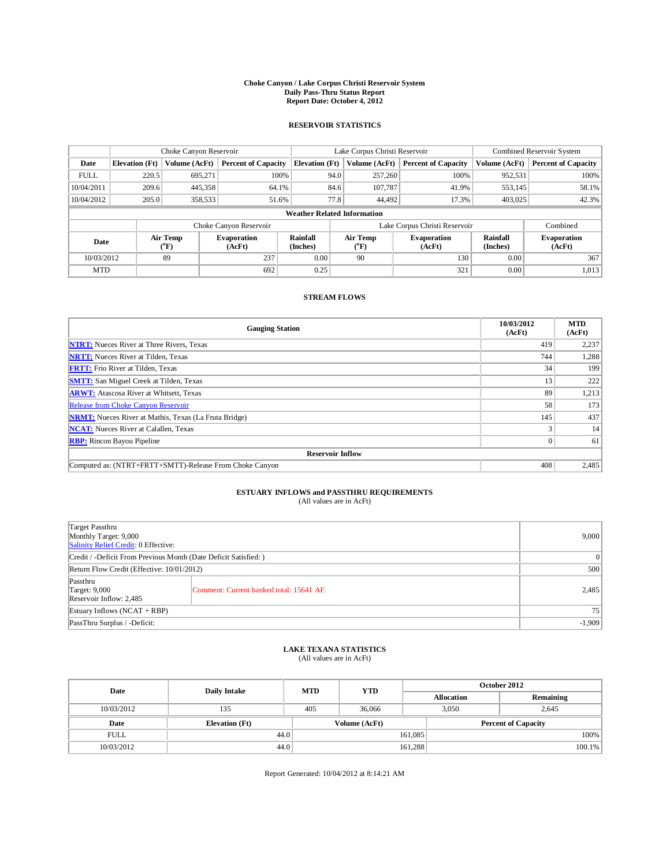## **Choke Canyon / Lake Corpus Christi Reservoir System Daily Pass-Thru Status Report Report Date: October 4, 2012**

### **RESERVOIR STATISTICS**

|             | Choke Canyon Reservoir             |                          |                              |                             | Lake Corpus Christi Reservoir |                               |                              |                      | Combined Reservoir System    |  |  |
|-------------|------------------------------------|--------------------------|------------------------------|-----------------------------|-------------------------------|-------------------------------|------------------------------|----------------------|------------------------------|--|--|
| Date        | <b>Elevation</b> (Ft)              | Volume (AcFt)            | <b>Percent of Capacity</b>   | <b>Elevation</b> (Ft)       |                               | Volume (AcFt)                 | <b>Percent of Capacity</b>   | Volume (AcFt)        | <b>Percent of Capacity</b>   |  |  |
| <b>FULL</b> | 220.5                              | 695,271                  | 100%                         |                             | 94.0                          | 257,260                       | 100%                         | 952,531              | 100%                         |  |  |
| 10/04/2011  | 209.6                              | 445,358                  | 64.1%                        |                             | 84.6                          | 107,787                       | 41.9%                        | 553,145              | 58.1%                        |  |  |
| 10/04/2012  | 205.0                              | 358,533                  | 51.6%                        |                             | 77.8                          | 44.492                        | 17.3%                        | 403,025              | 42.3%                        |  |  |
|             | <b>Weather Related Information</b> |                          |                              |                             |                               |                               |                              |                      |                              |  |  |
|             |                                    |                          | Choke Canyon Reservoir       |                             |                               | Lake Corpus Christi Reservoir |                              | Combined             |                              |  |  |
| Date        |                                    | Air Temp<br>$\rm ^{o}F)$ | <b>Evaporation</b><br>(AcFt) | <b>Rainfall</b><br>(Inches) |                               | <b>Air Temp</b><br>("F)       | <b>Evaporation</b><br>(AcFt) | Rainfall<br>(Inches) | <b>Evaporation</b><br>(AcFt) |  |  |
| 10/03/2012  |                                    | 89                       | 237                          | 0.00                        |                               | 90                            | 130                          | 0.00                 | 367                          |  |  |
| <b>MTD</b>  |                                    |                          | 692                          | 0.25                        |                               |                               | 321                          | 0.00                 | 1,013                        |  |  |

#### **STREAM FLOWS**

| <b>Gauging Station</b>                                       | 10/03/2012<br>(AcFt) | <b>MTD</b><br>(AcFt) |
|--------------------------------------------------------------|----------------------|----------------------|
| <b>NTRT:</b> Nueces River at Three Rivers, Texas             | 419                  | 2,237                |
| <b>NRTT:</b> Nueces River at Tilden, Texas                   | 744                  | 1,288                |
| <b>FRTT:</b> Frio River at Tilden, Texas                     | 34                   | 199                  |
| <b>SMTT:</b> San Miguel Creek at Tilden, Texas               | 13                   | 222                  |
| <b>ARWT:</b> Atascosa River at Whitsett, Texas               | 89                   | 1,213                |
| Release from Choke Canyon Reservoir                          | 58                   | 173                  |
| <b>NRMT:</b> Nueces River at Mathis, Texas (La Fruta Bridge) | 145                  | 437                  |
| <b>NCAT:</b> Nueces River at Calallen, Texas                 |                      | 14                   |
| <b>RBP:</b> Rincon Bayou Pipeline                            | $\Omega$             | 61                   |
| <b>Reservoir Inflow</b>                                      |                      |                      |
| Computed as: (NTRT+FRTT+SMTT)-Release From Choke Canyon      | 408                  | 2,485                |

# **ESTUARY INFLOWS and PASSTHRU REQUIREMENTS**<br>(All values are in AcFt)

| Target Passthru<br>Monthly Target: 9,000<br>Salinity Relief Credit: 0 Effective: | 9,000                                    |       |
|----------------------------------------------------------------------------------|------------------------------------------|-------|
| Credit / -Deficit From Previous Month (Date Deficit Satisfied: )                 | $\vert 0 \vert$                          |       |
| Return Flow Credit (Effective: 10/01/2012)                                       | 500                                      |       |
| Passthru<br><b>Target: 9,000</b><br>Reservoir Inflow: 2,485                      | Comment: Current banked total: 15641 AF. | 2,485 |
| Estuary Inflows $(NCAT + RBP)$                                                   | 75                                       |       |
| PassThru Surplus / -Deficit:                                                     | $-1,909$                                 |       |

## **LAKE TEXANA STATISTICS** (All values are in AcFt)

| Date        | <b>Daily Intake</b>   | <b>MTD</b> | <b>YTD</b>    | October 2012      |                            |           |  |
|-------------|-----------------------|------------|---------------|-------------------|----------------------------|-----------|--|
|             |                       |            |               | <b>Allocation</b> |                            | Remaining |  |
| 10/03/2012  | 135                   | 405        | 36,066        |                   | 3.050<br>2.645             |           |  |
| Date        | <b>Elevation</b> (Ft) |            | Volume (AcFt) |                   | <b>Percent of Capacity</b> |           |  |
| <b>FULL</b> | 44.0                  |            |               | 161,085           |                            | 100%      |  |
| 10/03/2012  | 44.0                  |            |               | 161,288           |                            | $100.1\%$ |  |

Report Generated: 10/04/2012 at 8:14:21 AM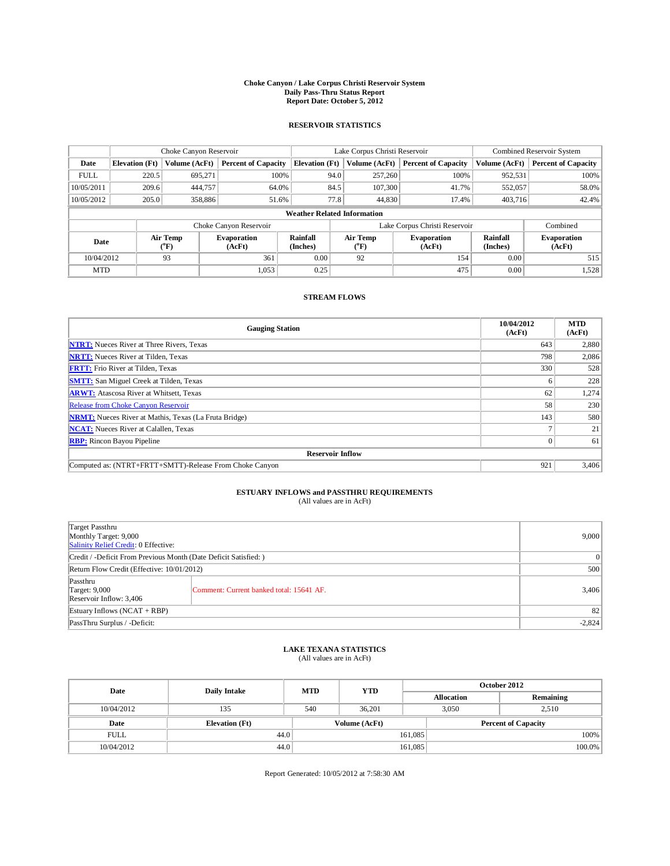## **Choke Canyon / Lake Corpus Christi Reservoir System Daily Pass-Thru Status Report Report Date: October 5, 2012**

### **RESERVOIR STATISTICS**

|             | Choke Canyon Reservoir             |                          |                              | Lake Corpus Christi Reservoir | Combined Reservoir System     |               |                              |                             |                              |
|-------------|------------------------------------|--------------------------|------------------------------|-------------------------------|-------------------------------|---------------|------------------------------|-----------------------------|------------------------------|
| Date        | <b>Elevation</b> (Ft)              | Volume (AcFt)            | <b>Percent of Capacity</b>   | <b>Elevation</b> (Ft)         |                               | Volume (AcFt) | <b>Percent of Capacity</b>   | Volume (AcFt)               | <b>Percent of Capacity</b>   |
| <b>FULL</b> | 220.5                              | 695,271                  | 100%                         |                               | 94.0                          | 257,260       | 100%                         | 952,531                     | 100%                         |
| 10/05/2011  | 209.6                              | 444,757                  | 64.0%                        |                               | 84.5                          | 107,300       | 41.7%                        | 552,057                     | 58.0%                        |
| 10/05/2012  | 205.0                              | 358,886                  | 51.6%                        |                               | 77.8                          | 44,830        | 17.4%                        | 403,716                     | 42.4%                        |
|             | <b>Weather Related Information</b> |                          |                              |                               |                               |               |                              |                             |                              |
|             |                                    |                          | Choke Canyon Reservoir       |                               | Lake Corpus Christi Reservoir |               |                              |                             |                              |
| Date        |                                    | Air Temp<br>$\rm ^{o}F)$ | <b>Evaporation</b><br>(AcFt) | <b>Rainfall</b><br>(Inches)   | Air Temp<br>("F)              |               | <b>Evaporation</b><br>(AcFt) | <b>Rainfall</b><br>(Inches) | <b>Evaporation</b><br>(AcFt) |
| 10/04/2012  |                                    | 93                       | 361                          | 0.00                          | 92                            |               | 154                          | 0.00                        | 515                          |
| <b>MTD</b>  |                                    |                          | 1.053                        | 0.25                          |                               |               | 475                          | 0.00                        | 1,528                        |

#### **STREAM FLOWS**

| <b>Gauging Station</b>                                       | 10/04/2012<br>(AcFt) | <b>MTD</b><br>(AcFt) |  |  |  |  |
|--------------------------------------------------------------|----------------------|----------------------|--|--|--|--|
| <b>NTRT:</b> Nueces River at Three Rivers, Texas             | 643                  | 2,880                |  |  |  |  |
| <b>NRTT:</b> Nueces River at Tilden, Texas                   | 798                  | 2,086                |  |  |  |  |
| <b>FRTT:</b> Frio River at Tilden, Texas                     | 330                  | 528                  |  |  |  |  |
| <b>SMTT:</b> San Miguel Creek at Tilden, Texas               | h                    | 228                  |  |  |  |  |
| <b>ARWT:</b> Atascosa River at Whitsett, Texas               | 62                   | 1,274                |  |  |  |  |
| Release from Choke Canyon Reservoir                          | 58                   | 230                  |  |  |  |  |
| <b>NRMT:</b> Nueces River at Mathis, Texas (La Fruta Bridge) | 143                  | 580                  |  |  |  |  |
| <b>NCAT:</b> Nueces River at Calallen, Texas                 |                      | 21                   |  |  |  |  |
| <b>RBP:</b> Rincon Bayou Pipeline                            | $\Omega$             | 61                   |  |  |  |  |
| <b>Reservoir Inflow</b>                                      |                      |                      |  |  |  |  |
| Computed as: (NTRT+FRTT+SMTT)-Release From Choke Canyon      | 921                  | 3,406                |  |  |  |  |

# **ESTUARY INFLOWS and PASSTHRU REQUIREMENTS**<br>(All values are in AcFt)

| Target Passthru<br>Monthly Target: 9,000<br>Salinity Relief Credit: 0 Effective: | 9,000                                    |       |
|----------------------------------------------------------------------------------|------------------------------------------|-------|
| Credit / -Deficit From Previous Month (Date Deficit Satisfied: )                 | $\Omega$                                 |       |
| Return Flow Credit (Effective: 10/01/2012)                                       | 500                                      |       |
| Passthru<br><b>Target: 9,000</b><br>Reservoir Inflow: 3,406                      | Comment: Current banked total: 15641 AF. | 3,406 |
| Estuary Inflows $(NCAT + RBP)$                                                   | 82                                       |       |
| PassThru Surplus / -Deficit:                                                     | $-2,824$                                 |       |

## **LAKE TEXANA STATISTICS** (All values are in AcFt)

| Date        | <b>Daily Intake</b>   | <b>MTD</b> | <b>YTD</b>    | October 2012      |                            |           |  |
|-------------|-----------------------|------------|---------------|-------------------|----------------------------|-----------|--|
|             |                       |            |               | <b>Allocation</b> |                            | Remaining |  |
| 10/04/2012  | 135                   | 540        | 36.201        |                   | 2.510<br>3.050             |           |  |
| Date        | <b>Elevation</b> (Ft) |            | Volume (AcFt) |                   | <b>Percent of Capacity</b> |           |  |
| <b>FULL</b> | 44.0                  |            |               | 161,085           |                            | 100%      |  |
| 10/04/2012  | 44.0                  |            |               | 161,085           |                            | 100.0%    |  |

Report Generated: 10/05/2012 at 7:58:30 AM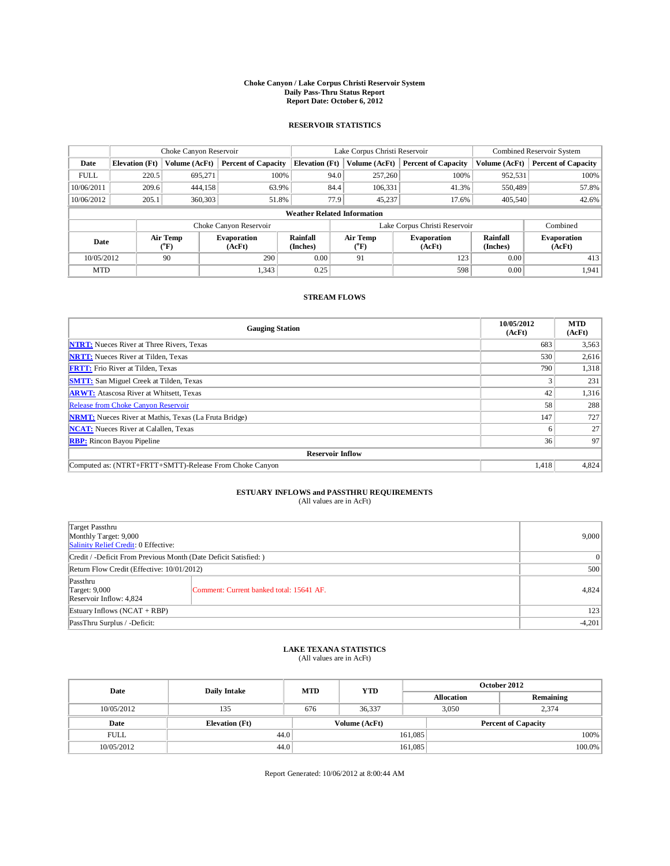## **Choke Canyon / Lake Corpus Christi Reservoir System Daily Pass-Thru Status Report Report Date: October 6, 2012**

### **RESERVOIR STATISTICS**

|             | Choke Canyon Reservoir             |                          |                              | Lake Corpus Christi Reservoir | Combined Reservoir System |                                           |                              |                             |                              |  |
|-------------|------------------------------------|--------------------------|------------------------------|-------------------------------|---------------------------|-------------------------------------------|------------------------------|-----------------------------|------------------------------|--|
| Date        | <b>Elevation</b> (Ft)              | Volume (AcFt)            | <b>Percent of Capacity</b>   | <b>Elevation</b> (Ft)         |                           | Volume (AcFt)                             | <b>Percent of Capacity</b>   | Volume (AcFt)               | <b>Percent of Capacity</b>   |  |
| <b>FULL</b> | 220.5                              | 695,271                  | 100%                         |                               | 94.0                      | 257,260                                   | 100%                         | 952,531                     | 100%                         |  |
| 10/06/2011  | 209.6                              | 444,158                  | 63.9%                        |                               | 84.4                      | 106,331                                   | 41.3%                        | 550,489                     | 57.8%                        |  |
| 10/06/2012  | 205.1                              | 360,303                  | 51.8%                        |                               | 77.9                      | 45,237                                    | 17.6%                        | 405,540                     | 42.6%                        |  |
|             | <b>Weather Related Information</b> |                          |                              |                               |                           |                                           |                              |                             |                              |  |
|             |                                    |                          | Choke Canyon Reservoir       |                               |                           | Lake Corpus Christi Reservoir             | Combined                     |                             |                              |  |
| Date        |                                    | Air Temp<br>$\rm ^{o}F)$ | <b>Evaporation</b><br>(AcFt) | <b>Rainfall</b><br>(Inches)   |                           | Air Temp<br>$({}^{\mathrm{o}}\mathrm{F})$ | <b>Evaporation</b><br>(AcFt) | <b>Rainfall</b><br>(Inches) | <b>Evaporation</b><br>(AcFt) |  |
|             | 90<br>290<br>10/05/2012            |                          | 0.00                         |                               | 91                        | 123                                       | 0.00                         | 413                         |                              |  |
| <b>MTD</b>  |                                    |                          | 1.343                        | 0.25                          |                           |                                           | 598                          | 0.00                        | 1,941                        |  |

### **STREAM FLOWS**

| <b>Gauging Station</b>                                       | 10/05/2012<br>(AcFt) | <b>MTD</b><br>(AcFt) |
|--------------------------------------------------------------|----------------------|----------------------|
| <b>NTRT:</b> Nueces River at Three Rivers, Texas             | 683                  | 3,563                |
| <b>NRTT:</b> Nueces River at Tilden, Texas                   | 530                  | 2,616                |
| <b>FRTT:</b> Frio River at Tilden, Texas                     | 790                  | 1,318                |
| <b>SMTT:</b> San Miguel Creek at Tilden, Texas               |                      | 231                  |
| <b>ARWT:</b> Atascosa River at Whitsett, Texas               | 42                   | 1,316                |
| Release from Choke Canyon Reservoir                          | 58                   | 288                  |
| <b>NRMT:</b> Nueces River at Mathis, Texas (La Fruta Bridge) | 147                  | 727                  |
| <b>NCAT:</b> Nueces River at Calallen, Texas                 | <sub>0</sub>         | 27                   |
| <b>RBP:</b> Rincon Bayou Pipeline                            | 36                   | 97                   |
| <b>Reservoir Inflow</b>                                      |                      |                      |
| Computed as: (NTRT+FRTT+SMTT)-Release From Choke Canyon      | 1,418                | 4,824                |

# **ESTUARY INFLOWS and PASSTHRU REQUIREMENTS**<br>(All values are in AcFt)

| Target Passthru<br>Monthly Target: 9,000<br>Salinity Relief Credit: 0 Effective: |                                          |       |  |  |
|----------------------------------------------------------------------------------|------------------------------------------|-------|--|--|
| Credit / -Deficit From Previous Month (Date Deficit Satisfied: )                 |                                          |       |  |  |
| Return Flow Credit (Effective: 10/01/2012)                                       | 500                                      |       |  |  |
| Passthru<br><b>Target: 9,000</b><br>Reservoir Inflow: 4,824                      | Comment: Current banked total: 15641 AF. | 4,824 |  |  |
| Estuary Inflows $(NCAT + RBP)$                                                   |                                          |       |  |  |
| PassThru Surplus / -Deficit:                                                     | $-4,201$                                 |       |  |  |

## **LAKE TEXANA STATISTICS** (All values are in AcFt)

| Date        | <b>Daily Intake</b>   | <b>MTD</b> | <b>YTD</b>    | October 2012      |                            |           |  |
|-------------|-----------------------|------------|---------------|-------------------|----------------------------|-----------|--|
|             |                       |            |               | <b>Allocation</b> |                            | Remaining |  |
| 10/05/2012  | 135                   | 676        | 36.337        |                   | 2.374<br>3.050             |           |  |
| Date        | <b>Elevation</b> (Ft) |            | Volume (AcFt) |                   | <b>Percent of Capacity</b> |           |  |
| <b>FULL</b> | 44.0                  |            |               | 161,085           |                            | 100%      |  |
| 10/05/2012  | 44.0                  |            |               | 161,085           |                            | 100.0%    |  |

Report Generated: 10/06/2012 at 8:00:44 AM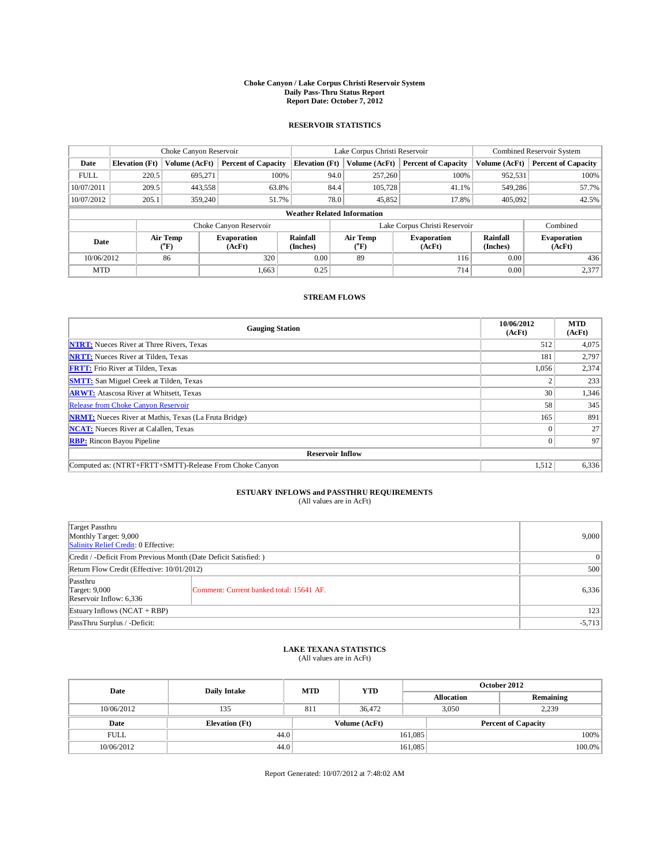## **Choke Canyon / Lake Corpus Christi Reservoir System Daily Pass-Thru Status Report Report Date: October 7, 2012**

### **RESERVOIR STATISTICS**

|             |                                    |                          | Lake Corpus Christi Reservoir |                             |      |                         | Combined Reservoir System     |                             |                              |
|-------------|------------------------------------|--------------------------|-------------------------------|-----------------------------|------|-------------------------|-------------------------------|-----------------------------|------------------------------|
| Date        | <b>Elevation</b> (Ft)              | Volume (AcFt)            | <b>Percent of Capacity</b>    | <b>Elevation</b> (Ft)       |      | Volume (AcFt)           | <b>Percent of Capacity</b>    | Volume (AcFt)               | <b>Percent of Capacity</b>   |
| <b>FULL</b> | 220.5                              | 695,271                  |                               | 100%                        | 94.0 | 257,260                 | 100%                          | 952,531                     | 100%                         |
| 10/07/2011  | 209.5                              | 443,558                  | 63.8%                         |                             | 84.4 | 105,728                 | 41.1%                         | 549,286                     | 57.7%                        |
| 10/07/2012  | 205.1                              | 359,240                  | 51.7%                         |                             | 78.0 | 45,852                  | 17.8%                         | 405,092                     | 42.5%                        |
|             | <b>Weather Related Information</b> |                          |                               |                             |      |                         |                               |                             |                              |
|             |                                    |                          | Choke Canyon Reservoir        |                             |      |                         | Lake Corpus Christi Reservoir |                             | Combined                     |
| Date        |                                    | Air Temp<br>$\rm ^{o}F)$ | <b>Evaporation</b><br>(AcFt)  | <b>Rainfall</b><br>(Inches) |      | <b>Air Temp</b><br>("F) | <b>Evaporation</b><br>(AcFt)  | <b>Rainfall</b><br>(Inches) | <b>Evaporation</b><br>(AcFt) |
|             | 86<br>10/06/2012                   |                          | 320                           | 0.00                        |      |                         | 116                           | 0.00                        | 436                          |
| <b>MTD</b>  |                                    |                          | 1,663                         | 0.25                        |      |                         | 714                           | 0.00                        | 2,377                        |

#### **STREAM FLOWS**

| <b>Gauging Station</b>                                       | 10/06/2012<br>(AcFt) | <b>MTD</b><br>(AcFt) |  |  |  |  |
|--------------------------------------------------------------|----------------------|----------------------|--|--|--|--|
| <b>NTRT:</b> Nueces River at Three Rivers, Texas             | 512                  | 4,075                |  |  |  |  |
| <b>NRTT:</b> Nueces River at Tilden, Texas                   | 181                  | 2,797                |  |  |  |  |
| <b>FRTT:</b> Frio River at Tilden, Texas                     | 1,056                | 2,374                |  |  |  |  |
| <b>SMTT:</b> San Miguel Creek at Tilden, Texas               |                      | 233                  |  |  |  |  |
| <b>ARWT:</b> Atascosa River at Whitsett, Texas               | 30                   | 1,346                |  |  |  |  |
| <b>Release from Choke Canyon Reservoir</b>                   | 58                   | 345                  |  |  |  |  |
| <b>NRMT:</b> Nueces River at Mathis, Texas (La Fruta Bridge) | 165                  | 891                  |  |  |  |  |
| <b>NCAT:</b> Nueces River at Calallen, Texas                 |                      | 27                   |  |  |  |  |
| <b>RBP:</b> Rincon Bayou Pipeline                            | $\Omega$             | 97                   |  |  |  |  |
| <b>Reservoir Inflow</b>                                      |                      |                      |  |  |  |  |
| Computed as: (NTRT+FRTT+SMTT)-Release From Choke Canyon      | 1,512                | 6,336                |  |  |  |  |

# **ESTUARY INFLOWS and PASSTHRU REQUIREMENTS**<br>(All values are in AcFt)

| Target Passthru<br>Monthly Target: 9,000<br>Salinity Relief Credit: 0 Effective: | 9,000                                    |       |
|----------------------------------------------------------------------------------|------------------------------------------|-------|
| Credit / -Deficit From Previous Month (Date Deficit Satisfied: )                 | $\Omega$                                 |       |
| Return Flow Credit (Effective: 10/01/2012)                                       | 500                                      |       |
| Passthru<br><b>Target: 9,000</b><br>Reservoir Inflow: 6,336                      | Comment: Current banked total: 15641 AF. | 6,336 |
| Estuary Inflows $(NCAT + RBP)$                                                   | 123                                      |       |
| PassThru Surplus / -Deficit:                                                     | $-5,713$                                 |       |

## **LAKE TEXANA STATISTICS** (All values are in AcFt)

| Date        | <b>Daily Intake</b>   | <b>MTD</b>    | <b>YTD</b> | October 2012      |                            |           |  |
|-------------|-----------------------|---------------|------------|-------------------|----------------------------|-----------|--|
|             |                       |               |            | <b>Allocation</b> |                            | Remaining |  |
| 10/06/2012  | 135                   | 811           | 36,472     |                   | 2.239<br>3.050             |           |  |
| Date        | <b>Elevation</b> (Ft) | Volume (AcFt) |            |                   | <b>Percent of Capacity</b> |           |  |
| <b>FULL</b> | 44.0                  |               |            | 161,085           |                            | 100%      |  |
| 10/06/2012  | 44.0                  |               |            | 161,085           |                            | 100.0%    |  |

Report Generated: 10/07/2012 at 7:48:02 AM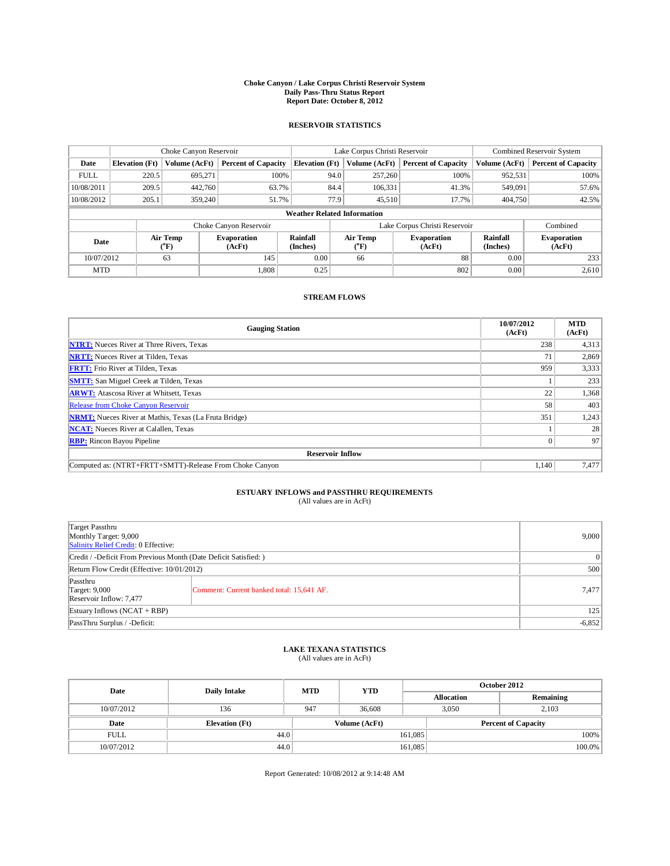## **Choke Canyon / Lake Corpus Christi Reservoir System Daily Pass-Thru Status Report Report Date: October 8, 2012**

### **RESERVOIR STATISTICS**

|             |                                    | Choke Canyon Reservoir   |                              |                       | Lake Corpus Christi Reservoir | Combined Reservoir System     |                      |                              |  |  |
|-------------|------------------------------------|--------------------------|------------------------------|-----------------------|-------------------------------|-------------------------------|----------------------|------------------------------|--|--|
| Date        | <b>Elevation</b> (Ft)              | Volume (AcFt)            | <b>Percent of Capacity</b>   | <b>Elevation</b> (Ft) | Volume (AcFt)                 | <b>Percent of Capacity</b>    | Volume (AcFt)        | <b>Percent of Capacity</b>   |  |  |
| <b>FULL</b> | 220.5                              | 695,271                  | 100%                         | 94.0                  | 257,260                       | 100%                          | 952,531              | 100%                         |  |  |
| 10/08/2011  | 209.5                              | 442,760                  | 63.7%                        | 84.4                  | 106,331                       | 41.3%                         | 549,091              | 57.6%                        |  |  |
| 10/08/2012  | 205.1                              | 359,240                  | 51.7%                        | 77.9                  | 45,510                        | 17.7%                         | 404,750              | 42.5%                        |  |  |
|             | <b>Weather Related Information</b> |                          |                              |                       |                               |                               |                      |                              |  |  |
|             |                                    |                          | Choke Canyon Reservoir       |                       |                               | Lake Corpus Christi Reservoir |                      | Combined                     |  |  |
| Date        |                                    | Air Temp<br>$\rm ^{o}F)$ | <b>Evaporation</b><br>(AcFt) | Rainfall<br>(Inches)  | Air Temp<br>$\rm ^{o}F)$      | <b>Evaporation</b><br>(AcFt)  | Rainfall<br>(Inches) | <b>Evaporation</b><br>(AcFt) |  |  |
|             | 10/07/2012<br>63                   |                          | 145                          | 0.00                  | 66                            | 88                            | 0.00                 | 233                          |  |  |
| <b>MTD</b>  |                                    |                          | 1.808                        | 0.25                  |                               | 802                           | 0.00                 | 2,610                        |  |  |

### **STREAM FLOWS**

| <b>Gauging Station</b>                                       | 10/07/2012<br>(AcFt) | <b>MTD</b><br>(AcFt) |  |  |  |  |
|--------------------------------------------------------------|----------------------|----------------------|--|--|--|--|
| <b>NTRT:</b> Nueces River at Three Rivers, Texas             | 238                  | 4,313                |  |  |  |  |
| <b>NRTT:</b> Nueces River at Tilden, Texas                   | 71                   | 2,869                |  |  |  |  |
| <b>FRTT:</b> Frio River at Tilden, Texas                     | 959                  | 3,333                |  |  |  |  |
| <b>SMTT:</b> San Miguel Creek at Tilden, Texas               |                      | 233                  |  |  |  |  |
| <b>ARWT:</b> Atascosa River at Whitsett, Texas               | 22                   | 1,368                |  |  |  |  |
| Release from Choke Canyon Reservoir                          | 58                   | 403                  |  |  |  |  |
| <b>NRMT:</b> Nueces River at Mathis, Texas (La Fruta Bridge) | 351                  | 1,243                |  |  |  |  |
| <b>NCAT:</b> Nueces River at Calallen, Texas                 |                      | 28                   |  |  |  |  |
| <b>RBP:</b> Rincon Bayou Pipeline                            | $\Omega$             | 97                   |  |  |  |  |
| <b>Reservoir Inflow</b>                                      |                      |                      |  |  |  |  |
| Computed as: (NTRT+FRTT+SMTT)-Release From Choke Canyon      | 1,140                | 7,477                |  |  |  |  |

# **ESTUARY INFLOWS and PASSTHRU REQUIREMENTS**<br>(All values are in AcFt)

| Target Passthru<br>Monthly Target: 9,000<br>Salinity Relief Credit: 0 Effective: | 9,000                                     |       |
|----------------------------------------------------------------------------------|-------------------------------------------|-------|
| Credit / -Deficit From Previous Month (Date Deficit Satisfied: )                 | $\vert 0 \vert$                           |       |
| Return Flow Credit (Effective: 10/01/2012)                                       | 500                                       |       |
| Passthru<br><b>Target: 9,000</b><br>Reservoir Inflow: 7,477                      | Comment: Current banked total: 15,641 AF. | 7,477 |
| Estuary Inflows $(NCAT + RBP)$                                                   | 125                                       |       |
| PassThru Surplus / -Deficit:                                                     | $-6,852$                                  |       |

## **LAKE TEXANA STATISTICS** (All values are in AcFt)

| Date        | <b>Daily Intake</b>   | <b>MTD</b> | <b>YTD</b>    | October 2012      |                            |           |  |
|-------------|-----------------------|------------|---------------|-------------------|----------------------------|-----------|--|
|             |                       |            |               | <b>Allocation</b> |                            | Remaining |  |
| 10/07/2012  | 136                   | 947        | 36,608        |                   | 2.103<br>3.050             |           |  |
| Date        | <b>Elevation</b> (Ft) |            | Volume (AcFt) |                   | <b>Percent of Capacity</b> |           |  |
| <b>FULL</b> | 44.0                  |            |               | 161,085           |                            | 100%      |  |
| 10/07/2012  | 44.0                  |            |               | 161,085           |                            | 100.0%    |  |

Report Generated: 10/08/2012 at 9:14:48 AM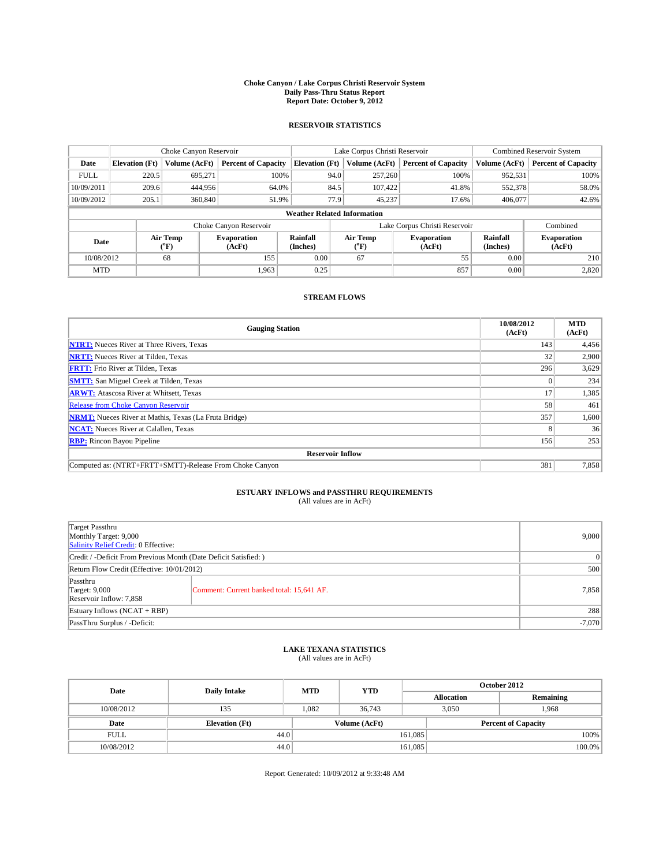## **Choke Canyon / Lake Corpus Christi Reservoir System Daily Pass-Thru Status Report Report Date: October 9, 2012**

### **RESERVOIR STATISTICS**

|             |                                    | Choke Canyon Reservoir   |                              |                             | Lake Corpus Christi Reservoir | Combined Reservoir System     |                             |                              |  |  |
|-------------|------------------------------------|--------------------------|------------------------------|-----------------------------|-------------------------------|-------------------------------|-----------------------------|------------------------------|--|--|
| Date        | <b>Elevation</b> (Ft)              | Volume (AcFt)            | <b>Percent of Capacity</b>   | <b>Elevation</b> (Ft)       | Volume (AcFt)                 | <b>Percent of Capacity</b>    | Volume (AcFt)               | <b>Percent of Capacity</b>   |  |  |
| <b>FULL</b> | 220.5                              | 695,271                  | 100%                         |                             | 257,260<br>94.0               | 100%                          | 952,531                     | 100%                         |  |  |
| 10/09/2011  | 209.6                              | 444,956                  | 64.0%                        |                             | 84.5<br>107.422               | 41.8%                         | 552,378                     | 58.0%                        |  |  |
| 10/09/2012  | 205.1                              | 360,840                  | 51.9%                        |                             | 77.9<br>45,237                | 17.6%                         | 406,077                     | 42.6%                        |  |  |
|             | <b>Weather Related Information</b> |                          |                              |                             |                               |                               |                             |                              |  |  |
|             |                                    |                          | Choke Canyon Reservoir       |                             |                               | Lake Corpus Christi Reservoir |                             | Combined                     |  |  |
| Date        |                                    | Air Temp<br>$\rm ^{o}F)$ | <b>Evaporation</b><br>(AcFt) | <b>Rainfall</b><br>(Inches) | Air Temp<br>("F)              | <b>Evaporation</b><br>(AcFt)  | <b>Rainfall</b><br>(Inches) | <b>Evaporation</b><br>(AcFt) |  |  |
| 10/08/2012  | 68                                 |                          | 155                          | 0.00                        | 67                            | 55                            | 0.00                        | 210                          |  |  |
| <b>MTD</b>  |                                    |                          | 1.963                        | 0.25                        |                               | 857                           | 0.00                        | 2,820                        |  |  |

### **STREAM FLOWS**

| <b>Gauging Station</b>                                       | 10/08/2012<br>(AcFt) | <b>MTD</b><br>(AcFt) |  |  |  |  |
|--------------------------------------------------------------|----------------------|----------------------|--|--|--|--|
| <b>NTRT:</b> Nueces River at Three Rivers, Texas             | 143                  | 4,456                |  |  |  |  |
| <b>NRTT:</b> Nueces River at Tilden, Texas                   | 32                   | 2,900                |  |  |  |  |
| <b>FRTT:</b> Frio River at Tilden, Texas                     | 296                  | 3,629                |  |  |  |  |
| <b>SMTT:</b> San Miguel Creek at Tilden, Texas               |                      | 234                  |  |  |  |  |
| <b>ARWT:</b> Atascosa River at Whitsett, Texas               | 17                   | 1,385                |  |  |  |  |
| Release from Choke Canyon Reservoir                          | 58                   | 461                  |  |  |  |  |
| <b>NRMT:</b> Nueces River at Mathis, Texas (La Fruta Bridge) | 357                  | 1,600                |  |  |  |  |
| <b>NCAT:</b> Nueces River at Calallen, Texas                 | 8                    | 36                   |  |  |  |  |
| <b>RBP:</b> Rincon Bayou Pipeline                            | 156                  | 253                  |  |  |  |  |
| <b>Reservoir Inflow</b>                                      |                      |                      |  |  |  |  |
| Computed as: (NTRT+FRTT+SMTT)-Release From Choke Canyon      | 381                  | 7,858                |  |  |  |  |

# **ESTUARY INFLOWS and PASSTHRU REQUIREMENTS**<br>(All values are in AcFt)

| Target Passthru<br>Monthly Target: 9,000<br>Salinity Relief Credit: 0 Effective: | 9,000                                     |       |
|----------------------------------------------------------------------------------|-------------------------------------------|-------|
| Credit / -Deficit From Previous Month (Date Deficit Satisfied: )                 | $\overline{0}$                            |       |
| Return Flow Credit (Effective: 10/01/2012)                                       | 500                                       |       |
| Passthru<br><b>Target: 9,000</b><br>Reservoir Inflow: 7,858                      | Comment: Current banked total: 15,641 AF. | 7,858 |
| Estuary Inflows (NCAT + RBP)                                                     | 288                                       |       |
| PassThru Surplus / -Deficit:                                                     | $-7,070$                                  |       |

## **LAKE TEXANA STATISTICS** (All values are in AcFt)

| Date        | <b>Daily Intake</b>   | <b>MTD</b>    | <b>YTD</b> | October 2012      |                            |           |  |
|-------------|-----------------------|---------------|------------|-------------------|----------------------------|-----------|--|
|             |                       |               |            | <b>Allocation</b> |                            | Remaining |  |
| 10/08/2012  | 135                   | 1.082         | 36,743     |                   | 1.968<br>3.050             |           |  |
| Date        | <b>Elevation</b> (Ft) | Volume (AcFt) |            |                   | <b>Percent of Capacity</b> |           |  |
| <b>FULL</b> | 44.0                  |               |            | 161,085           |                            | 100%      |  |
| 10/08/2012  | 44.0                  |               |            | 161,085           |                            | 100.0%    |  |

Report Generated: 10/09/2012 at 9:33:48 AM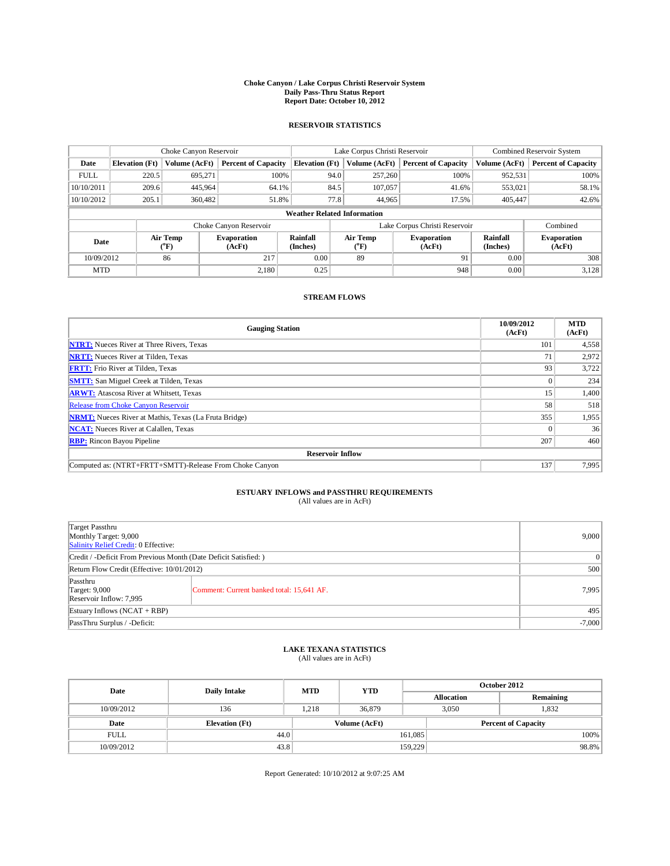## **Choke Canyon / Lake Corpus Christi Reservoir System Daily Pass-Thru Status Report Report Date: October 10, 2012**

### **RESERVOIR STATISTICS**

|             | Choke Canyon Reservoir |                          | Lake Corpus Christi Reservoir |                                    |      |                                                         | Combined Reservoir System     |                             |                              |
|-------------|------------------------|--------------------------|-------------------------------|------------------------------------|------|---------------------------------------------------------|-------------------------------|-----------------------------|------------------------------|
| Date        | <b>Elevation</b> (Ft)  | Volume (AcFt)            | <b>Percent of Capacity</b>    | <b>Elevation</b> (Ft)              |      | Volume (AcFt)                                           | <b>Percent of Capacity</b>    | Volume (AcFt)               | <b>Percent of Capacity</b>   |
| <b>FULL</b> | 220.5                  | 695,271                  | 100%                          |                                    | 94.0 | 257,260                                                 | 100%                          | 952,531                     | 100%                         |
| 10/10/2011  | 209.6                  | 445,964                  | 64.1%                         |                                    | 84.5 | 107,057                                                 | 41.6%                         | 553,021                     | 58.1%                        |
| 10/10/2012  | 205.1                  | 360,482                  | 51.8%                         |                                    | 77.8 | 44,965                                                  | 17.5%                         | 405,447                     | 42.6%                        |
|             |                        |                          |                               | <b>Weather Related Information</b> |      |                                                         |                               |                             |                              |
|             |                        |                          | Choke Canyon Reservoir        |                                    |      |                                                         | Lake Corpus Christi Reservoir |                             | Combined                     |
| Date        |                        | Air Temp<br>$\rm ^{o}F)$ | <b>Evaporation</b><br>(AcFt)  | <b>Rainfall</b><br>(Inches)        |      | <b>Air Temp</b><br><b>Evaporation</b><br>("F)<br>(AcFt) |                               | <b>Rainfall</b><br>(Inches) | <b>Evaporation</b><br>(AcFt) |
| 10/09/2012  |                        | 86                       | 217                           | 0.00                               |      | 89                                                      | 91                            | 0.00                        | 308                          |
| <b>MTD</b>  |                        |                          | 2.180                         | 0.25                               |      |                                                         | 948                           | 0.00                        | 3,128                        |

### **STREAM FLOWS**

| <b>Gauging Station</b>                                       | 10/09/2012<br>(AcFt) | <b>MTD</b><br>(AcFt) |  |  |  |  |
|--------------------------------------------------------------|----------------------|----------------------|--|--|--|--|
| <b>NTRT:</b> Nueces River at Three Rivers, Texas             | 101                  | 4,558                |  |  |  |  |
| <b>NRTT:</b> Nueces River at Tilden, Texas                   | 71                   | 2,972                |  |  |  |  |
| <b>FRTT:</b> Frio River at Tilden, Texas                     | 93                   | 3,722                |  |  |  |  |
| <b>SMTT:</b> San Miguel Creek at Tilden, Texas               |                      | 234                  |  |  |  |  |
| <b>ARWT:</b> Atascosa River at Whitsett, Texas               | 15                   | 1,400                |  |  |  |  |
| Release from Choke Canyon Reservoir                          | 58                   | 518                  |  |  |  |  |
| <b>NRMT:</b> Nueces River at Mathis, Texas (La Fruta Bridge) | 355                  | 1,955                |  |  |  |  |
| <b>NCAT:</b> Nueces River at Calallen, Texas                 |                      | 36                   |  |  |  |  |
| <b>RBP:</b> Rincon Bayou Pipeline                            | 207                  | 460                  |  |  |  |  |
| <b>Reservoir Inflow</b>                                      |                      |                      |  |  |  |  |
| Computed as: (NTRT+FRTT+SMTT)-Release From Choke Canyon      | 137                  | 7,995                |  |  |  |  |

# **ESTUARY INFLOWS and PASSTHRU REQUIREMENTS**<br>(All values are in AcFt)

| Target Passthru<br>Monthly Target: 9,000<br>Salinity Relief Credit: 0 Effective: | 9,000                                     |       |  |
|----------------------------------------------------------------------------------|-------------------------------------------|-------|--|
| Credit / -Deficit From Previous Month (Date Deficit Satisfied: )                 | $\overline{0}$                            |       |  |
| Return Flow Credit (Effective: 10/01/2012)                                       | 500                                       |       |  |
| Passthru<br><b>Target: 9,000</b><br>Reservoir Inflow: 7,995                      | Comment: Current banked total: 15,641 AF. | 7,995 |  |
| Estuary Inflows (NCAT + RBP)                                                     |                                           |       |  |
| PassThru Surplus / -Deficit:                                                     | $-7,000$                                  |       |  |

## **LAKE TEXANA STATISTICS** (All values are in AcFt)

| Date        | <b>Daily Intake</b>   | <b>MTD</b> | <b>YTD</b>    |         | October 2012               |           |  |
|-------------|-----------------------|------------|---------------|---------|----------------------------|-----------|--|
|             |                       |            |               |         | <b>Allocation</b>          | Remaining |  |
| 10/09/2012  | 136                   | 1.218      | 36,879        |         | 3.050                      | 1,832     |  |
| Date        | <b>Elevation</b> (Ft) |            | Volume (AcFt) |         | <b>Percent of Capacity</b> |           |  |
| <b>FULL</b> | 44.0                  |            |               | 161,085 |                            | 100%      |  |
| 10/09/2012  | 43.8                  |            |               | 159,229 |                            | 98.8%     |  |

Report Generated: 10/10/2012 at 9:07:25 AM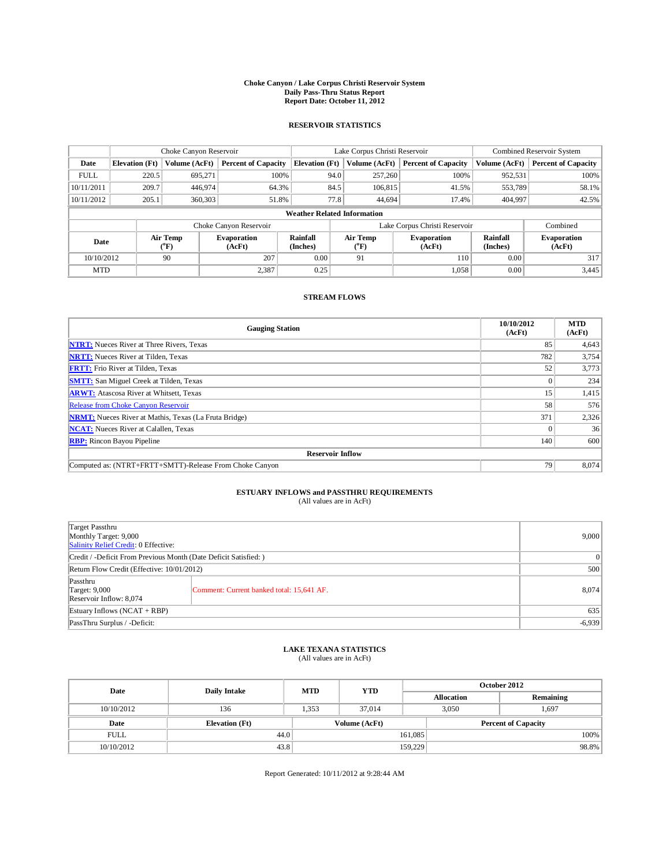## **Choke Canyon / Lake Corpus Christi Reservoir System Daily Pass-Thru Status Report Report Date: October 11, 2012**

### **RESERVOIR STATISTICS**

|             | Choke Canyon Reservoir |                          | Lake Corpus Christi Reservoir |                                    |      |                                                         | Combined Reservoir System     |                             |                              |
|-------------|------------------------|--------------------------|-------------------------------|------------------------------------|------|---------------------------------------------------------|-------------------------------|-----------------------------|------------------------------|
| Date        | <b>Elevation</b> (Ft)  | Volume (AcFt)            | <b>Percent of Capacity</b>    | <b>Elevation</b> (Ft)              |      | Volume (AcFt)                                           | <b>Percent of Capacity</b>    | Volume (AcFt)               | <b>Percent of Capacity</b>   |
| <b>FULL</b> | 220.5                  | 695,271                  | 100%                          |                                    | 94.0 | 257,260                                                 | 100%                          | 952,531                     | 100%                         |
| 10/11/2011  | 209.7                  | 446,974                  | 64.3%                         |                                    | 84.5 | 106,815                                                 | 41.5%                         | 553,789                     | 58.1%                        |
| 10/11/2012  | 205.1                  | 360,303                  | 51.8%                         |                                    | 77.8 | 44.694                                                  | 17.4%                         | 404,997                     | 42.5%                        |
|             |                        |                          |                               | <b>Weather Related Information</b> |      |                                                         |                               |                             |                              |
|             |                        |                          | Choke Canyon Reservoir        |                                    |      |                                                         | Lake Corpus Christi Reservoir |                             | Combined                     |
| Date        |                        | Air Temp<br>$\rm ^{o}F)$ | <b>Evaporation</b><br>(AcFt)  | <b>Rainfall</b><br>(Inches)        |      | <b>Air Temp</b><br><b>Evaporation</b><br>("F)<br>(AcFt) |                               | <b>Rainfall</b><br>(Inches) | <b>Evaporation</b><br>(AcFt) |
| 10/10/2012  |                        | 90                       | 207                           | 0.00                               |      | 91                                                      | 110                           | 0.00                        | 317                          |
| <b>MTD</b>  |                        |                          | 2,387                         | 0.25                               |      |                                                         | 1,058                         | 0.00                        | 3,445                        |

### **STREAM FLOWS**

| <b>Gauging Station</b>                                       | 10/10/2012<br>(AcFt) | <b>MTD</b><br>(AcFt) |  |  |  |  |
|--------------------------------------------------------------|----------------------|----------------------|--|--|--|--|
| <b>NTRT:</b> Nueces River at Three Rivers, Texas             | 85                   | 4,643                |  |  |  |  |
| <b>NRTT:</b> Nueces River at Tilden, Texas                   | 782                  | 3,754                |  |  |  |  |
| <b>FRTT:</b> Frio River at Tilden, Texas                     | 52                   | 3,773                |  |  |  |  |
| <b>SMTT:</b> San Miguel Creek at Tilden, Texas               |                      | 234                  |  |  |  |  |
| <b>ARWT:</b> Atascosa River at Whitsett, Texas               | 15                   | 1,415                |  |  |  |  |
| Release from Choke Canyon Reservoir                          | 58                   | 576                  |  |  |  |  |
| <b>NRMT:</b> Nueces River at Mathis, Texas (La Fruta Bridge) | 371                  | 2,326                |  |  |  |  |
| <b>NCAT:</b> Nueces River at Calallen, Texas                 |                      | 36                   |  |  |  |  |
| <b>RBP:</b> Rincon Bayou Pipeline                            | 140                  | 600                  |  |  |  |  |
| <b>Reservoir Inflow</b>                                      |                      |                      |  |  |  |  |
| Computed as: (NTRT+FRTT+SMTT)-Release From Choke Canyon      | 79                   | 8,074                |  |  |  |  |

## **ESTUARY INFLOWS and PASSTHRU REQUIREMENTS**<br>(All values are in AcFt)

| Target Passthru<br>Monthly Target: 9,000<br>Salinity Relief Credit: 0 Effective: | 9,000                                     |       |  |
|----------------------------------------------------------------------------------|-------------------------------------------|-------|--|
| Credit / -Deficit From Previous Month (Date Deficit Satisfied: )                 | $\overline{0}$                            |       |  |
| Return Flow Credit (Effective: 10/01/2012)                                       | 500                                       |       |  |
| Passthru<br><b>Target: 9,000</b><br>Reservoir Inflow: 8,074                      | Comment: Current banked total: 15,641 AF. | 8,074 |  |
| Estuary Inflows (NCAT + RBP)                                                     |                                           |       |  |
| PassThru Surplus / -Deficit:                                                     | $-6,939$                                  |       |  |

## **LAKE TEXANA STATISTICS** (All values are in AcFt)

| Date        | <b>Daily Intake</b>   | <b>MTD</b> | <b>YTD</b>    |         | October 2012               |           |  |
|-------------|-----------------------|------------|---------------|---------|----------------------------|-----------|--|
|             |                       |            |               |         | <b>Allocation</b>          | Remaining |  |
| 10/10/2012  | 136                   | 1.353      | 37,014        |         | 3.050                      | 1,697     |  |
| Date        | <b>Elevation</b> (Ft) |            | Volume (AcFt) |         | <b>Percent of Capacity</b> |           |  |
| <b>FULL</b> | 44.0                  |            |               | 161,085 |                            | 100%      |  |
| 10/10/2012  | 43.8                  |            |               | 159,229 |                            | 98.8%     |  |

Report Generated: 10/11/2012 at 9:28:44 AM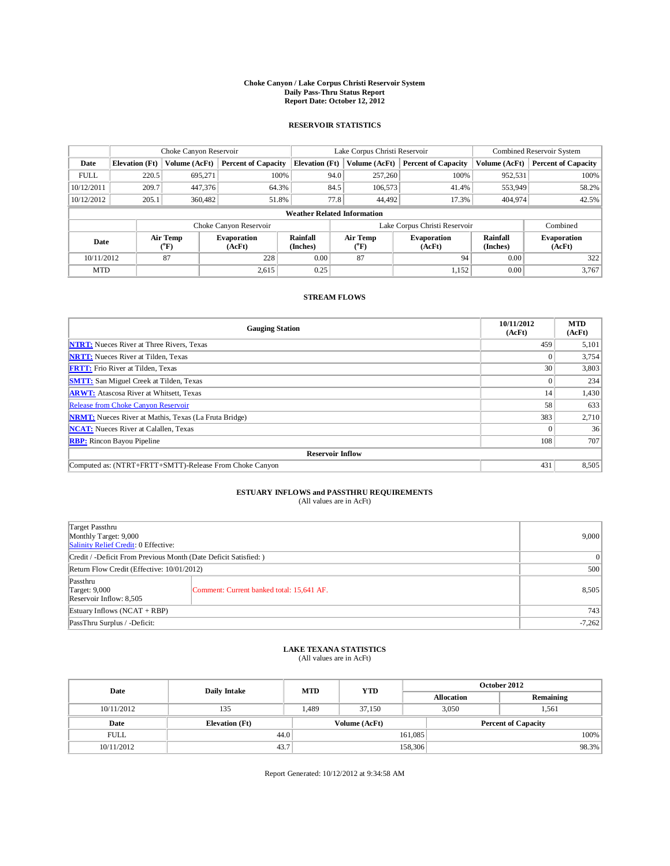## **Choke Canyon / Lake Corpus Christi Reservoir System Daily Pass-Thru Status Report Report Date: October 12, 2012**

### **RESERVOIR STATISTICS**

|             | Choke Canyon Reservoir             |                          | Lake Corpus Christi Reservoir |                             |      |                                                         | Combined Reservoir System     |                             |                              |  |
|-------------|------------------------------------|--------------------------|-------------------------------|-----------------------------|------|---------------------------------------------------------|-------------------------------|-----------------------------|------------------------------|--|
| Date        | <b>Elevation</b> (Ft)              | Volume (AcFt)            | <b>Percent of Capacity</b>    | <b>Elevation</b> (Ft)       |      | Volume (AcFt)                                           | <b>Percent of Capacity</b>    | Volume (AcFt)               | <b>Percent of Capacity</b>   |  |
| <b>FULL</b> | 220.5                              | 695,271                  | 100%                          |                             | 94.0 | 257,260                                                 | 100%                          | 952,531                     | 100%                         |  |
| 10/12/2011  | 209.7                              | 447,376                  | 64.3%                         |                             | 84.5 | 106,573                                                 | 41.4%                         | 553,949                     | 58.2%                        |  |
| 10/12/2012  | 205.1                              | 360,482                  | 51.8%                         |                             | 77.8 | 44,492                                                  | 17.3%                         | 404,974                     | 42.5%                        |  |
|             | <b>Weather Related Information</b> |                          |                               |                             |      |                                                         |                               |                             |                              |  |
|             |                                    |                          | Choke Canyon Reservoir        |                             |      |                                                         | Lake Corpus Christi Reservoir |                             | Combined                     |  |
| Date        |                                    | Air Temp<br>$\rm ^{o}F)$ | <b>Evaporation</b><br>(AcFt)  | <b>Rainfall</b><br>(Inches) |      | <b>Air Temp</b><br><b>Evaporation</b><br>("F)<br>(AcFt) |                               | <b>Rainfall</b><br>(Inches) | <b>Evaporation</b><br>(AcFt) |  |
| 10/11/2012  |                                    | 87                       | 228                           | 0.00                        |      | 87                                                      | 94                            | 0.00                        | 322                          |  |
| <b>MTD</b>  |                                    |                          | 2,615                         | 0.25                        |      |                                                         | 1,152                         | 0.00                        | 3,767                        |  |

#### **STREAM FLOWS**

| <b>Gauging Station</b>                                       | 10/11/2012<br>(AcFt) | <b>MTD</b><br>(AcFt) |  |  |  |  |
|--------------------------------------------------------------|----------------------|----------------------|--|--|--|--|
| <b>NTRT:</b> Nueces River at Three Rivers, Texas             | 459                  | 5,101                |  |  |  |  |
| <b>NRTT:</b> Nueces River at Tilden, Texas                   |                      | 3,754                |  |  |  |  |
| <b>FRTT:</b> Frio River at Tilden, Texas                     | 30                   | 3,803                |  |  |  |  |
| <b>SMTT:</b> San Miguel Creek at Tilden, Texas               | $\Omega$             | 234                  |  |  |  |  |
| <b>ARWT:</b> Atascosa River at Whitsett, Texas               | 14                   | 1,430                |  |  |  |  |
| Release from Choke Canyon Reservoir                          | 58                   | 633                  |  |  |  |  |
| <b>NRMT:</b> Nueces River at Mathis, Texas (La Fruta Bridge) | 383                  | 2,710                |  |  |  |  |
| <b>NCAT:</b> Nueces River at Calallen, Texas                 |                      | 36                   |  |  |  |  |
| <b>RBP:</b> Rincon Bayou Pipeline                            | 108                  | 707                  |  |  |  |  |
| <b>Reservoir Inflow</b>                                      |                      |                      |  |  |  |  |
| Computed as: (NTRT+FRTT+SMTT)-Release From Choke Canyon      | 431                  | 8,505                |  |  |  |  |

## **ESTUARY INFLOWS and PASSTHRU REQUIREMENTS**

| (All values are in AcFt) |  |
|--------------------------|--|
|--------------------------|--|

| Target Passthru<br>Monthly Target: 9,000<br>Salinity Relief Credit: 0 Effective: | 9,000                                     |       |  |
|----------------------------------------------------------------------------------|-------------------------------------------|-------|--|
| Credit / -Deficit From Previous Month (Date Deficit Satisfied: )                 | $\vert 0 \vert$                           |       |  |
| Return Flow Credit (Effective: 10/01/2012)                                       |                                           |       |  |
| Passthru<br><b>Target: 9,000</b><br>Reservoir Inflow: 8,505                      | Comment: Current banked total: 15,641 AF. | 8,505 |  |
| Estuary Inflows (NCAT + RBP)                                                     |                                           |       |  |
| PassThru Surplus / -Deficit:                                                     | $-7,262$                                  |       |  |

## **LAKE TEXANA STATISTICS** (All values are in AcFt)

| Date        | <b>Daily Intake</b>   | <b>MTD</b> | <b>YTD</b>    | October 2012 |                            |           |  |
|-------------|-----------------------|------------|---------------|--------------|----------------------------|-----------|--|
|             |                       |            |               |              | <b>Allocation</b>          | Remaining |  |
| 10/11/2012  | 135                   | 1.489      | 37.150        |              | 3.050                      | 1.561     |  |
| Date        | <b>Elevation</b> (Ft) |            | Volume (AcFt) |              | <b>Percent of Capacity</b> |           |  |
| <b>FULL</b> | 44.0                  |            |               | 161,085      |                            | 100%      |  |
| 10/11/2012  | 43.7                  |            |               | 158,306      |                            | 98.3%     |  |

Report Generated: 10/12/2012 at 9:34:58 AM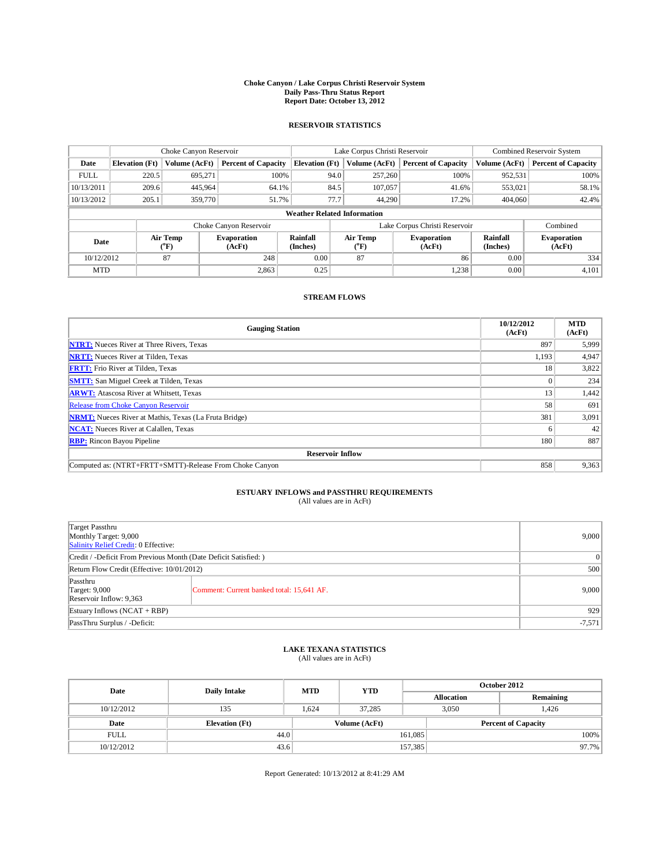## **Choke Canyon / Lake Corpus Christi Reservoir System Daily Pass-Thru Status Report Report Date: October 13, 2012**

### **RESERVOIR STATISTICS**

|             | Choke Canyon Reservoir             |                          |                              |                             | Lake Corpus Christi Reservoir |                               |                                                      |               | Combined Reservoir System    |  |  |
|-------------|------------------------------------|--------------------------|------------------------------|-----------------------------|-------------------------------|-------------------------------|------------------------------------------------------|---------------|------------------------------|--|--|
| Date        | <b>Elevation</b> (Ft)              | Volume (AcFt)            | <b>Percent of Capacity</b>   | <b>Elevation</b> (Ft)       |                               | Volume (AcFt)                 | <b>Percent of Capacity</b>                           | Volume (AcFt) | <b>Percent of Capacity</b>   |  |  |
| <b>FULL</b> | 220.5                              | 695,271                  | 100%                         |                             | 94.0                          | 257,260                       | 100%                                                 | 952,531       | 100%                         |  |  |
| 10/13/2011  | 209.6                              | 445.964                  | 64.1%                        |                             | 84.5                          | 107,057                       | 41.6%                                                | 553,021       | 58.1%                        |  |  |
| 10/13/2012  | 205.1                              | 359,770                  | 51.7%                        |                             | 77.7                          | 44.290                        | 17.2%                                                | 404,060       | 42.4%                        |  |  |
|             | <b>Weather Related Information</b> |                          |                              |                             |                               |                               |                                                      |               |                              |  |  |
|             |                                    |                          | Choke Canyon Reservoir       |                             |                               | Lake Corpus Christi Reservoir |                                                      |               | Combined                     |  |  |
| Date        |                                    | Air Temp<br>$\rm ^{o}F)$ | <b>Evaporation</b><br>(AcFt) | <b>Rainfall</b><br>(Inches) |                               | <b>Air Temp</b><br>("F)       | Rainfall<br><b>Evaporation</b><br>(Inches)<br>(AcFt) |               | <b>Evaporation</b><br>(AcFt) |  |  |
| 10/12/2012  |                                    | 87                       | 248                          | 0.00                        |                               | 87                            | 86                                                   | 0.00          | 334                          |  |  |
| <b>MTD</b>  |                                    |                          | 2,863                        | 0.25                        |                               |                               | 1,238                                                | 0.00          | 4,101                        |  |  |

### **STREAM FLOWS**

| <b>Gauging Station</b>                                       | 10/12/2012<br>(AcFt) | <b>MTD</b><br>(AcFt) |  |  |  |  |  |
|--------------------------------------------------------------|----------------------|----------------------|--|--|--|--|--|
| <b>NTRT:</b> Nueces River at Three Rivers, Texas             | 897                  | 5,999                |  |  |  |  |  |
| <b>NRTT:</b> Nueces River at Tilden, Texas                   | 1,193                | 4,947                |  |  |  |  |  |
| <b>FRTT:</b> Frio River at Tilden, Texas                     | 18                   | 3,822                |  |  |  |  |  |
| <b>SMTT:</b> San Miguel Creek at Tilden, Texas               |                      | 234                  |  |  |  |  |  |
| <b>ARWT:</b> Atascosa River at Whitsett, Texas               | 13                   | 1,442                |  |  |  |  |  |
| Release from Choke Canyon Reservoir                          | 58                   | 691                  |  |  |  |  |  |
| <b>NRMT:</b> Nueces River at Mathis, Texas (La Fruta Bridge) | 381                  | 3,091                |  |  |  |  |  |
| <b>NCAT:</b> Nueces River at Calallen, Texas                 | n                    | 42                   |  |  |  |  |  |
| <b>RBP:</b> Rincon Bayou Pipeline                            | 180                  | 887                  |  |  |  |  |  |
| <b>Reservoir Inflow</b>                                      |                      |                      |  |  |  |  |  |
| Computed as: (NTRT+FRTT+SMTT)-Release From Choke Canyon      | 858                  | 9,363                |  |  |  |  |  |

## **ESTUARY INFLOWS and PASSTHRU REQUIREMENTS**

| Target Passthru<br>Monthly Target: 9,000<br>Salinity Relief Credit: 0 Effective: |                                           |       |  |  |  |
|----------------------------------------------------------------------------------|-------------------------------------------|-------|--|--|--|
| Credit / -Deficit From Previous Month (Date Deficit Satisfied: )                 |                                           |       |  |  |  |
| Return Flow Credit (Effective: 10/01/2012)                                       |                                           |       |  |  |  |
| Passthru<br><b>Target: 9,000</b><br>Reservoir Inflow: 9,363                      | Comment: Current banked total: 15,641 AF. | 9,000 |  |  |  |
| Estuary Inflows (NCAT + RBP)                                                     |                                           |       |  |  |  |
| PassThru Surplus / -Deficit:                                                     | $-7,571$                                  |       |  |  |  |

## **LAKE TEXANA STATISTICS** (All values are in AcFt)

| Date        | <b>Daily Intake</b>   | <b>MTD</b> | <b>YTD</b>    | October 2012 |                            |           |  |
|-------------|-----------------------|------------|---------------|--------------|----------------------------|-----------|--|
|             |                       |            |               |              | <b>Allocation</b>          | Remaining |  |
| 10/12/2012  | 135                   | 1.624      | 37,285        |              | 3,050                      | 1,426     |  |
| Date        | <b>Elevation</b> (Ft) |            | Volume (AcFt) |              | <b>Percent of Capacity</b> |           |  |
| <b>FULL</b> | 44.0                  |            |               | 161,085      |                            | 100%      |  |
| 10/12/2012  | 43.6                  |            |               | 157,385      |                            | 97.7%     |  |

Report Generated: 10/13/2012 at 8:41:29 AM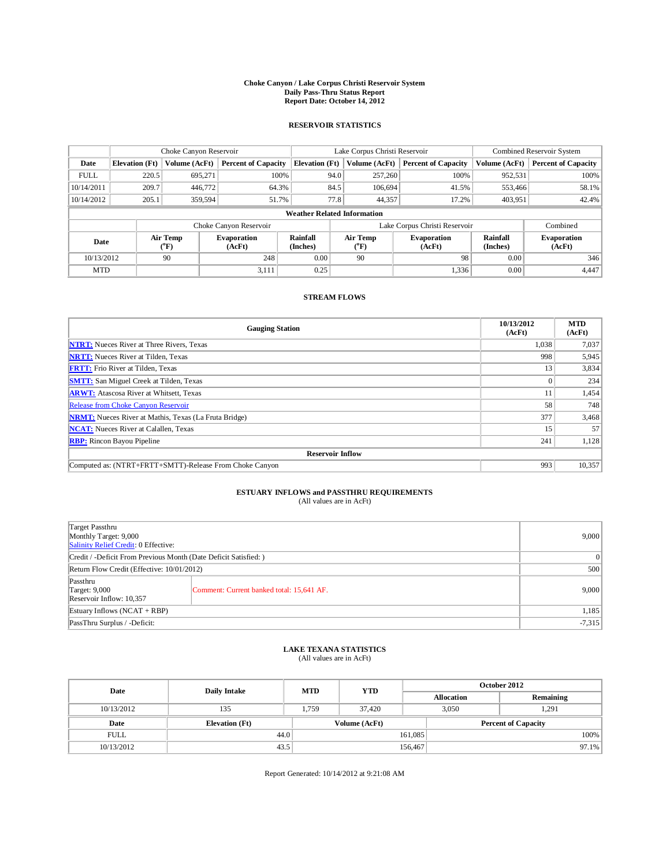## **Choke Canyon / Lake Corpus Christi Reservoir System Daily Pass-Thru Status Report Report Date: October 14, 2012**

### **RESERVOIR STATISTICS**

|             | Choke Canyon Reservoir             |                          |                              |                             | Lake Corpus Christi Reservoir |                               |                              |                             | Combined Reservoir System  |  |  |
|-------------|------------------------------------|--------------------------|------------------------------|-----------------------------|-------------------------------|-------------------------------|------------------------------|-----------------------------|----------------------------|--|--|
| Date        | <b>Elevation</b> (Ft)              | Volume (AcFt)            | <b>Percent of Capacity</b>   | <b>Elevation</b> (Ft)       |                               | Volume (AcFt)                 | <b>Percent of Capacity</b>   | Volume (AcFt)               | <b>Percent of Capacity</b> |  |  |
| <b>FULL</b> | 220.5                              | 695,271                  | 100%                         |                             | 94.0                          | 257,260                       | 100%                         | 952,531                     | 100%                       |  |  |
| 10/14/2011  | 209.7                              | 446,772                  | 64.3%                        |                             | 84.5                          | 106,694                       | 41.5%                        | 553,466                     | 58.1%                      |  |  |
| 10/14/2012  | 205.1                              | 359.594                  | 51.7%                        |                             | 77.8                          | 44,357                        | 17.2%                        | 403,951                     | 42.4%                      |  |  |
|             | <b>Weather Related Information</b> |                          |                              |                             |                               |                               |                              |                             |                            |  |  |
|             |                                    |                          | Choke Canyon Reservoir       |                             |                               | Lake Corpus Christi Reservoir |                              |                             | Combined                   |  |  |
| Date        |                                    | Air Temp<br>$\rm ^{o}F)$ | <b>Evaporation</b><br>(AcFt) | <b>Rainfall</b><br>(Inches) |                               | <b>Air Temp</b><br>("F)       | <b>Evaporation</b><br>(AcFt) | <b>Rainfall</b><br>(Inches) |                            |  |  |
| 10/13/2012  |                                    | 90                       | 248                          | 0.00                        |                               | 90                            | 98                           | 0.00                        | 346                        |  |  |
| <b>MTD</b>  |                                    |                          | 3,111                        | 0.25                        |                               |                               | 1,336                        | 0.00                        | 4,447                      |  |  |

### **STREAM FLOWS**

| <b>Gauging Station</b>                                       | 10/13/2012<br>(AcFt) | <b>MTD</b><br>(AcFt) |  |  |  |  |  |
|--------------------------------------------------------------|----------------------|----------------------|--|--|--|--|--|
| <b>NTRT:</b> Nueces River at Three Rivers, Texas             | 1,038                | 7,037                |  |  |  |  |  |
| <b>NRTT:</b> Nueces River at Tilden, Texas                   | 998                  | 5,945                |  |  |  |  |  |
| <b>FRTT:</b> Frio River at Tilden, Texas                     | 13                   | 3,834                |  |  |  |  |  |
| <b>SMTT:</b> San Miguel Creek at Tilden, Texas               |                      | 234                  |  |  |  |  |  |
| <b>ARWT:</b> Atascosa River at Whitsett, Texas               |                      | 1,454                |  |  |  |  |  |
| Release from Choke Canyon Reservoir                          | 58                   | 748                  |  |  |  |  |  |
| <b>NRMT:</b> Nueces River at Mathis, Texas (La Fruta Bridge) | 377                  | 3,468                |  |  |  |  |  |
| <b>NCAT:</b> Nueces River at Calallen, Texas                 | 15                   | 57                   |  |  |  |  |  |
| <b>RBP:</b> Rincon Bayou Pipeline                            | 241                  | 1,128                |  |  |  |  |  |
| <b>Reservoir Inflow</b>                                      |                      |                      |  |  |  |  |  |
| Computed as: (NTRT+FRTT+SMTT)-Release From Choke Canyon      | 993                  | 10,357               |  |  |  |  |  |

# **ESTUARY INFLOWS and PASSTHRU REQUIREMENTS**<br>(All values are in AcFt)

| Target Passthru<br>Monthly Target: 9,000<br>Salinity Relief Credit: 0 Effective: |                                           |       |  |  |  |
|----------------------------------------------------------------------------------|-------------------------------------------|-------|--|--|--|
| Credit / -Deficit From Previous Month (Date Deficit Satisfied: )                 |                                           |       |  |  |  |
| Return Flow Credit (Effective: 10/01/2012)                                       | 500                                       |       |  |  |  |
| Passthru<br><b>Target: 9,000</b><br>Reservoir Inflow: 10,357                     | Comment: Current banked total: 15,641 AF. | 9,000 |  |  |  |
| Estuary Inflows $(NCAT + RBP)$                                                   |                                           |       |  |  |  |
| PassThru Surplus / -Deficit:                                                     | $-7,315$                                  |       |  |  |  |

## **LAKE TEXANA STATISTICS** (All values are in AcFt)

| Date        | <b>Daily Intake</b>   | <b>MTD</b> | <b>YTD</b>    | October 2012 |                            |           |  |
|-------------|-----------------------|------------|---------------|--------------|----------------------------|-----------|--|
|             |                       |            |               |              | <b>Allocation</b>          | Remaining |  |
| 10/13/2012  | 135                   | 1.759      | 37,420        |              | 1,291<br>3.050             |           |  |
| Date        | <b>Elevation</b> (Ft) |            | Volume (AcFt) |              | <b>Percent of Capacity</b> |           |  |
| <b>FULL</b> | 44.0                  |            |               | 161,085      |                            | 100%      |  |
| 10/13/2012  | 43.5                  |            |               | 156,467      |                            | 97.1%     |  |

Report Generated: 10/14/2012 at 9:21:08 AM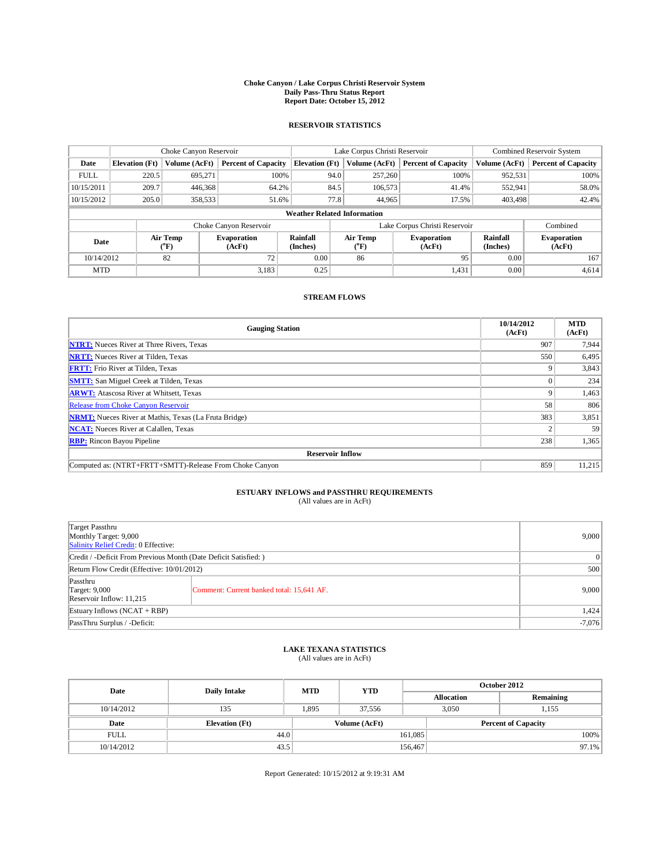## **Choke Canyon / Lake Corpus Christi Reservoir System Daily Pass-Thru Status Report Report Date: October 15, 2012**

### **RESERVOIR STATISTICS**

|             | Choke Canyon Reservoir |                          |                              |                                    | Lake Corpus Christi Reservoir |                         |                                                             |               | Combined Reservoir System    |  |  |
|-------------|------------------------|--------------------------|------------------------------|------------------------------------|-------------------------------|-------------------------|-------------------------------------------------------------|---------------|------------------------------|--|--|
| Date        | <b>Elevation</b> (Ft)  | Volume (AcFt)            | <b>Percent of Capacity</b>   | <b>Elevation</b> (Ft)              |                               | Volume (AcFt)           | <b>Percent of Capacity</b>                                  | Volume (AcFt) | <b>Percent of Capacity</b>   |  |  |
| <b>FULL</b> | 220.5                  | 695,271                  | 100%                         |                                    | 94.0                          | 257,260                 | 100%                                                        | 952,531       | 100%                         |  |  |
| 10/15/2011  | 209.7                  | 446,368                  | 64.2%                        |                                    | 84.5                          | 106,573                 | 41.4%                                                       | 552,941       | 58.0%                        |  |  |
| 10/15/2012  | 205.0                  | 358,533                  | 51.6%                        |                                    | 77.8                          | 44,965                  | 17.5%                                                       | 403.498       | 42.4%                        |  |  |
|             |                        |                          |                              | <b>Weather Related Information</b> |                               |                         |                                                             |               |                              |  |  |
|             |                        |                          | Choke Canyon Reservoir       |                                    | Lake Corpus Christi Reservoir |                         |                                                             |               | Combined                     |  |  |
| Date        |                        | Air Temp<br>$\rm ^{o}F)$ | <b>Evaporation</b><br>(AcFt) | <b>Rainfall</b><br>(Inches)        |                               | <b>Air Temp</b><br>("F) | <b>Rainfall</b><br><b>Evaporation</b><br>(Inches)<br>(AcFt) |               | <b>Evaporation</b><br>(AcFt) |  |  |
| 10/14/2012  |                        | 82                       | 72                           | 0.00                               |                               | 86                      | 95                                                          | 0.00          | 167                          |  |  |
| <b>MTD</b>  |                        |                          | 3,183                        | 0.25                               |                               |                         | 1,431                                                       | 0.00          | 4,614                        |  |  |

#### **STREAM FLOWS**

| <b>Gauging Station</b>                                       | 10/14/2012<br>(AcFt) | <b>MTD</b><br>(AcFt) |  |  |  |  |  |
|--------------------------------------------------------------|----------------------|----------------------|--|--|--|--|--|
| <b>NTRT:</b> Nueces River at Three Rivers, Texas             | 907                  | 7,944                |  |  |  |  |  |
| <b>NRTT:</b> Nueces River at Tilden, Texas                   | 550                  | 6,495                |  |  |  |  |  |
| <b>FRTT:</b> Frio River at Tilden, Texas                     | q                    | 3,843                |  |  |  |  |  |
| <b>SMTT:</b> San Miguel Creek at Tilden, Texas               |                      | 234                  |  |  |  |  |  |
| <b>ARWT:</b> Atascosa River at Whitsett, Texas               | 9                    | 1,463                |  |  |  |  |  |
| Release from Choke Canyon Reservoir                          | 58                   | 806                  |  |  |  |  |  |
| <b>NRMT:</b> Nueces River at Mathis, Texas (La Fruta Bridge) | 383                  | 3,851                |  |  |  |  |  |
| <b>NCAT:</b> Nueces River at Calallen, Texas                 |                      | 59                   |  |  |  |  |  |
| <b>RBP:</b> Rincon Bayou Pipeline                            | 238                  | 1,365                |  |  |  |  |  |
| <b>Reservoir Inflow</b>                                      |                      |                      |  |  |  |  |  |
| Computed as: (NTRT+FRTT+SMTT)-Release From Choke Canyon      | 859                  | 11,215               |  |  |  |  |  |

# **ESTUARY INFLOWS and PASSTHRU REQUIREMENTS**<br>(All values are in AcFt)

| Target Passthru<br>Monthly Target: 9,000<br>Salinity Relief Credit: 0 Effective: | 9,000                                     |       |  |  |  |
|----------------------------------------------------------------------------------|-------------------------------------------|-------|--|--|--|
| Credit / -Deficit From Previous Month (Date Deficit Satisfied: )                 |                                           |       |  |  |  |
| Return Flow Credit (Effective: 10/01/2012)                                       |                                           |       |  |  |  |
| Passthru<br><b>Target: 9,000</b><br>Reservoir Inflow: 11,215                     | Comment: Current banked total: 15,641 AF. | 9,000 |  |  |  |
| Estuary Inflows $(NCAT + RBP)$                                                   |                                           |       |  |  |  |
| PassThru Surplus / -Deficit:                                                     | $-7,076$                                  |       |  |  |  |

## **LAKE TEXANA STATISTICS** (All values are in AcFt)

| Date        | <b>Daily Intake</b>   | <b>MTD</b> | <b>YTD</b>    | October 2012 |                            |           |  |
|-------------|-----------------------|------------|---------------|--------------|----------------------------|-----------|--|
|             |                       |            |               |              | <b>Allocation</b>          | Remaining |  |
| 10/14/2012  | 135                   | 1.895      | 37.556        |              | 3.050<br>1,155             |           |  |
| Date        | <b>Elevation</b> (Ft) |            | Volume (AcFt) |              | <b>Percent of Capacity</b> |           |  |
| <b>FULL</b> | 44.0                  |            |               | 161,085      |                            | 100%      |  |
| 10/14/2012  | 43.5                  |            |               | 156,467      |                            | 97.1%     |  |

Report Generated: 10/15/2012 at 9:19:31 AM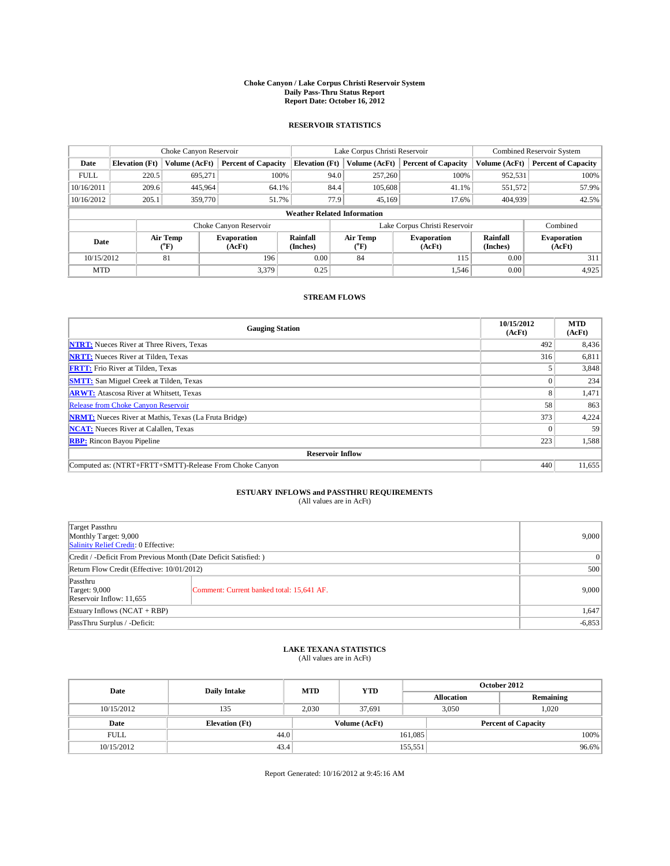## **Choke Canyon / Lake Corpus Christi Reservoir System Daily Pass-Thru Status Report Report Date: October 16, 2012**

### **RESERVOIR STATISTICS**

|             | Choke Canyon Reservoir |                          |                              |                                    | Lake Corpus Christi Reservoir |                         |                              |                             | Combined Reservoir System    |  |  |
|-------------|------------------------|--------------------------|------------------------------|------------------------------------|-------------------------------|-------------------------|------------------------------|-----------------------------|------------------------------|--|--|
| Date        | <b>Elevation</b> (Ft)  | Volume (AcFt)            | <b>Percent of Capacity</b>   | <b>Elevation</b> (Ft)              |                               | Volume (AcFt)           | <b>Percent of Capacity</b>   | Volume (AcFt)               | <b>Percent of Capacity</b>   |  |  |
| <b>FULL</b> | 220.5                  | 695,271                  | 100%                         |                                    | 94.0                          | 257,260                 | 100%                         | 952,531                     | 100%                         |  |  |
| 10/16/2011  | 209.6                  | 445.964                  | 64.1%                        |                                    | 84.4                          | 105,608                 | 41.1%                        | 551,572                     | 57.9%                        |  |  |
| 10/16/2012  | 205.1                  | 359,770                  | 51.7%                        |                                    | 77.9                          | 45.169                  | 17.6%                        | 404,939                     | 42.5%                        |  |  |
|             |                        |                          |                              | <b>Weather Related Information</b> |                               |                         |                              |                             |                              |  |  |
|             |                        |                          | Choke Canyon Reservoir       |                                    | Lake Corpus Christi Reservoir |                         |                              |                             | Combined                     |  |  |
| Date        |                        | Air Temp<br>$\rm ^{o}F)$ | <b>Evaporation</b><br>(AcFt) | <b>Rainfall</b><br>(Inches)        |                               | <b>Air Temp</b><br>("F) | <b>Evaporation</b><br>(AcFt) | <b>Rainfall</b><br>(Inches) | <b>Evaporation</b><br>(AcFt) |  |  |
|             | 81<br>10/15/2012       |                          | 196                          | 0.00                               | 84                            |                         | 115                          | 0.00                        | 311                          |  |  |
| <b>MTD</b>  |                        |                          | 3.379                        | 0.25                               |                               |                         | 1,546                        | 0.00                        | 4,925                        |  |  |

### **STREAM FLOWS**

| <b>Gauging Station</b>                                       | 10/15/2012<br>(AcFt) | <b>MTD</b><br>(AcFt) |  |  |  |  |  |
|--------------------------------------------------------------|----------------------|----------------------|--|--|--|--|--|
| <b>NTRT:</b> Nueces River at Three Rivers, Texas             | 492                  | 8,436                |  |  |  |  |  |
| <b>NRTT:</b> Nueces River at Tilden, Texas                   | 316                  | 6,811                |  |  |  |  |  |
| <b>FRTT:</b> Frio River at Tilden, Texas                     |                      | 3,848                |  |  |  |  |  |
| <b>SMTT:</b> San Miguel Creek at Tilden, Texas               |                      | 234                  |  |  |  |  |  |
| <b>ARWT:</b> Atascosa River at Whitsett, Texas               | 8                    | 1,471                |  |  |  |  |  |
| Release from Choke Canyon Reservoir                          | 58                   | 863                  |  |  |  |  |  |
| <b>NRMT:</b> Nueces River at Mathis, Texas (La Fruta Bridge) | 373                  | 4,224                |  |  |  |  |  |
| <b>NCAT:</b> Nueces River at Calallen, Texas                 |                      | 59                   |  |  |  |  |  |
| <b>RBP:</b> Rincon Bayou Pipeline                            | 223                  | 1,588                |  |  |  |  |  |
| <b>Reservoir Inflow</b>                                      |                      |                      |  |  |  |  |  |
| Computed as: (NTRT+FRTT+SMTT)-Release From Choke Canyon      | 440                  | 11,655               |  |  |  |  |  |

# **ESTUARY INFLOWS and PASSTHRU REQUIREMENTS**<br>(All values are in AcFt)

| Target Passthru<br>Monthly Target: 9,000<br>Salinity Relief Credit: 0 Effective: | 9,000                                     |       |  |  |  |
|----------------------------------------------------------------------------------|-------------------------------------------|-------|--|--|--|
| Credit / -Deficit From Previous Month (Date Deficit Satisfied: )                 |                                           |       |  |  |  |
| Return Flow Credit (Effective: 10/01/2012)                                       |                                           |       |  |  |  |
| Passthru<br><b>Target: 9,000</b><br>Reservoir Inflow: 11,655                     | Comment: Current banked total: 15,641 AF. | 9,000 |  |  |  |
| Estuary Inflows $(NCAT + RBP)$                                                   |                                           |       |  |  |  |
| PassThru Surplus / -Deficit:                                                     | $-6,853$                                  |       |  |  |  |

## **LAKE TEXANA STATISTICS** (All values are in AcFt)

| Date        | <b>Daily Intake</b>   | <b>MTD</b> | <b>YTD</b>    | October 2012 |                            |           |  |
|-------------|-----------------------|------------|---------------|--------------|----------------------------|-----------|--|
|             |                       |            |               |              | <b>Allocation</b>          | Remaining |  |
| 10/15/2012  | 135                   | 2.030      | 37.691        |              | 1.020<br>3.050             |           |  |
| Date        | <b>Elevation</b> (Ft) |            | Volume (AcFt) |              | <b>Percent of Capacity</b> |           |  |
| <b>FULL</b> | 44.0                  |            |               | 161,085      |                            | 100%      |  |
| 10/15/2012  | 43.4                  |            |               | 155,551      |                            | 96.6%     |  |

Report Generated: 10/16/2012 at 9:45:16 AM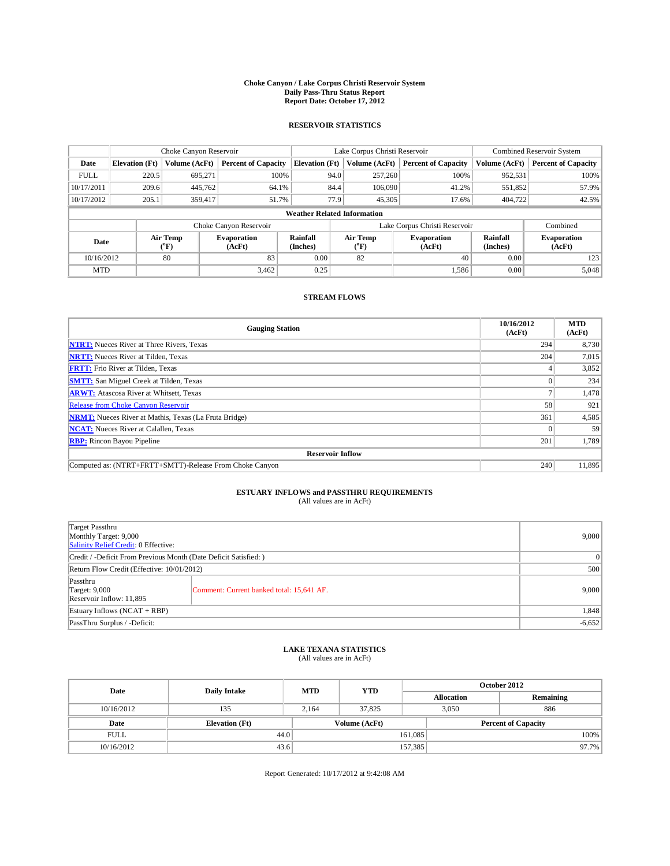## **Choke Canyon / Lake Corpus Christi Reservoir System Daily Pass-Thru Status Report Report Date: October 17, 2012**

### **RESERVOIR STATISTICS**

|             | Choke Canyon Reservoir |                          |                            |                                    | Lake Corpus Christi Reservoir |                                          |                              |                      | Combined Reservoir System    |  |  |
|-------------|------------------------|--------------------------|----------------------------|------------------------------------|-------------------------------|------------------------------------------|------------------------------|----------------------|------------------------------|--|--|
| Date        | <b>Elevation</b> (Ft)  | Volume (AcFt)            | <b>Percent of Capacity</b> | <b>Elevation</b> (Ft)              |                               | Volume (AcFt)                            | <b>Percent of Capacity</b>   | Volume (AcFt)        | <b>Percent of Capacity</b>   |  |  |
| <b>FULL</b> | 220.5                  | 695,271                  | 100%                       |                                    | 94.0                          | 257,260                                  | 100%                         | 952,531              | 100%                         |  |  |
| 10/17/2011  | 209.6                  | 445,762                  | 64.1%                      |                                    | 84.4                          | 106,090                                  | 41.2%                        | 551,852              | 57.9%                        |  |  |
| 10/17/2012  | 205.1                  | 359,417                  | 51.7%                      |                                    | 77.9                          | 45,305                                   | 17.6%                        | 404,722              | 42.5%                        |  |  |
|             |                        |                          |                            | <b>Weather Related Information</b> |                               |                                          |                              |                      |                              |  |  |
|             |                        |                          | Choke Canyon Reservoir     |                                    | Lake Corpus Christi Reservoir |                                          |                              |                      | Combined                     |  |  |
| Date        |                        | Air Temp<br>$\rm ^{o}F)$ | Evaporation<br>(AcFt)      | Rainfall<br>(Inches)               |                               | Air Temp<br>$\mathrm{^{\prime\prime} F}$ | <b>Evaporation</b><br>(AcFt) | Rainfall<br>(Inches) | <b>Evaporation</b><br>(AcFt) |  |  |
|             | 80<br>10/16/2012       |                          | 83                         | 0.00                               |                               | 82                                       | 40                           | 0.00                 | 123                          |  |  |
| <b>MTD</b>  |                        |                          | 3,462                      | 0.25                               |                               |                                          | 1,586                        | 0.00                 | 5,048                        |  |  |

### **STREAM FLOWS**

| <b>Gauging Station</b>                                       | 10/16/2012<br>(AcFt) | <b>MTD</b><br>(AcFt) |  |  |  |  |  |
|--------------------------------------------------------------|----------------------|----------------------|--|--|--|--|--|
| <b>NTRT:</b> Nueces River at Three Rivers, Texas             | 294                  | 8,730                |  |  |  |  |  |
| <b>NRTT:</b> Nueces River at Tilden, Texas                   | 204                  | 7,015                |  |  |  |  |  |
| <b>FRTT:</b> Frio River at Tilden, Texas                     |                      | 3,852                |  |  |  |  |  |
| <b>SMTT:</b> San Miguel Creek at Tilden, Texas               |                      | 234                  |  |  |  |  |  |
| <b>ARWT:</b> Atascosa River at Whitsett, Texas               |                      | 1,478                |  |  |  |  |  |
| Release from Choke Canyon Reservoir                          | 58                   | 921                  |  |  |  |  |  |
| <b>NRMT:</b> Nueces River at Mathis, Texas (La Fruta Bridge) | 361                  | 4,585                |  |  |  |  |  |
| <b>NCAT:</b> Nueces River at Calallen, Texas                 |                      | 59                   |  |  |  |  |  |
| <b>RBP:</b> Rincon Bayou Pipeline                            | 201                  | 1,789                |  |  |  |  |  |
| <b>Reservoir Inflow</b>                                      |                      |                      |  |  |  |  |  |
| Computed as: (NTRT+FRTT+SMTT)-Release From Choke Canyon      | 240                  | 11,895               |  |  |  |  |  |

# **ESTUARY INFLOWS and PASSTHRU REQUIREMENTS**<br>(All values are in AcFt)

| Target Passthru<br>Monthly Target: 9,000<br>Salinity Relief Credit: 0 Effective: | 9,000                                     |       |  |  |  |
|----------------------------------------------------------------------------------|-------------------------------------------|-------|--|--|--|
| Credit / -Deficit From Previous Month (Date Deficit Satisfied: )                 |                                           |       |  |  |  |
| Return Flow Credit (Effective: 10/01/2012)                                       |                                           |       |  |  |  |
| Passthru<br><b>Target: 9,000</b><br>Reservoir Inflow: 11,895                     | Comment: Current banked total: 15,641 AF. | 9,000 |  |  |  |
| Estuary Inflows $(NCAT + RBP)$                                                   |                                           |       |  |  |  |
| PassThru Surplus / -Deficit:                                                     | $-6,652$                                  |       |  |  |  |

## **LAKE TEXANA STATISTICS** (All values are in AcFt)

| Date        | <b>Daily Intake</b>   | <b>MTD</b> | <b>YTD</b>    | October 2012 |                            |           |  |
|-------------|-----------------------|------------|---------------|--------------|----------------------------|-----------|--|
|             |                       |            |               |              | <b>Allocation</b>          | Remaining |  |
| 10/16/2012  | 135                   | 2.164      | 37.825        |              | 886<br>3.050               |           |  |
| Date        | <b>Elevation</b> (Ft) |            | Volume (AcFt) |              | <b>Percent of Capacity</b> |           |  |
| <b>FULL</b> | 44.0                  |            |               | 161,085      |                            | 100%      |  |
| 10/16/2012  | 43.6                  |            |               | 157,385      |                            | 97.7%     |  |

Report Generated: 10/17/2012 at 9:42:08 AM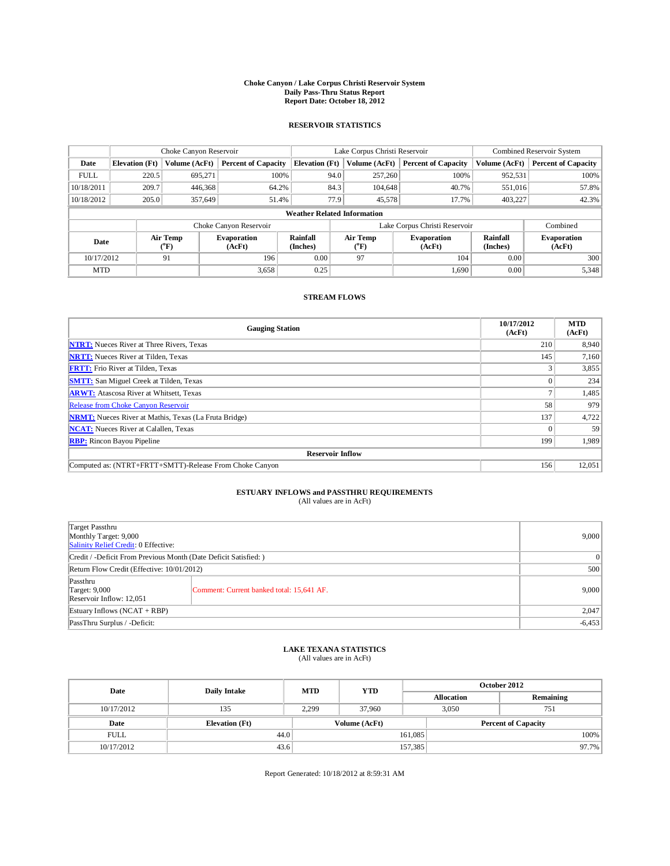## **Choke Canyon / Lake Corpus Christi Reservoir System Daily Pass-Thru Status Report Report Date: October 18, 2012**

### **RESERVOIR STATISTICS**

|             | Choke Canyon Reservoir   |               |                              |                                    | Lake Corpus Christi Reservoir |                  |                              |                             | Combined Reservoir System    |  |  |
|-------------|--------------------------|---------------|------------------------------|------------------------------------|-------------------------------|------------------|------------------------------|-----------------------------|------------------------------|--|--|
| Date        | <b>Elevation</b> (Ft)    | Volume (AcFt) | <b>Percent of Capacity</b>   | <b>Elevation</b> (Ft)              |                               | Volume (AcFt)    | <b>Percent of Capacity</b>   | Volume (AcFt)               | <b>Percent of Capacity</b>   |  |  |
| <b>FULL</b> | 220.5                    | 695,271       | 100%                         |                                    | 94.0                          | 257,260          | 100%                         | 952,531                     | 100%                         |  |  |
| 10/18/2011  | 209.7                    | 446,368       | 64.2%                        |                                    | 84.3                          | 104,648          | 40.7%                        | 551,016                     | 57.8%                        |  |  |
| 10/18/2012  | 205.0                    | 357,649       | 51.4%                        |                                    | 77.9                          | 45,578           | 17.7%                        | 403,227                     | 42.3%                        |  |  |
|             |                          |               |                              | <b>Weather Related Information</b> |                               |                  |                              |                             |                              |  |  |
|             |                          |               | Choke Canyon Reservoir       |                                    | Lake Corpus Christi Reservoir |                  |                              |                             | Combined                     |  |  |
| Date        | Air Temp<br>$\rm ^{o}F)$ |               | <b>Evaporation</b><br>(AcFt) | <b>Rainfall</b><br>(Inches)        |                               | Air Temp<br>("F) | <b>Evaporation</b><br>(AcFt) | <b>Rainfall</b><br>(Inches) | <b>Evaporation</b><br>(AcFt) |  |  |
| 10/17/2012  | 91                       |               | 196                          | 0.00                               | 97                            |                  | 104                          | 0.00                        | 300                          |  |  |
| <b>MTD</b>  |                          |               | 3,658                        | 0.25                               |                               |                  | 1,690                        | 0.00                        | 5,348                        |  |  |

### **STREAM FLOWS**

| <b>Gauging Station</b>                                       | 10/17/2012<br>(AcFt) | <b>MTD</b><br>(AcFt) |  |  |  |  |  |
|--------------------------------------------------------------|----------------------|----------------------|--|--|--|--|--|
| <b>NTRT:</b> Nueces River at Three Rivers, Texas             | 210                  | 8,940                |  |  |  |  |  |
| <b>NRTT:</b> Nueces River at Tilden, Texas                   | 145                  | 7,160                |  |  |  |  |  |
| <b>FRTT:</b> Frio River at Tilden, Texas                     |                      | 3,855                |  |  |  |  |  |
| <b>SMTT:</b> San Miguel Creek at Tilden, Texas               |                      | 234                  |  |  |  |  |  |
| <b>ARWT:</b> Atascosa River at Whitsett, Texas               |                      | 1,485                |  |  |  |  |  |
| Release from Choke Canyon Reservoir                          | 58                   | 979                  |  |  |  |  |  |
| <b>NRMT:</b> Nueces River at Mathis, Texas (La Fruta Bridge) | 137                  | 4,722                |  |  |  |  |  |
| <b>NCAT:</b> Nueces River at Calallen, Texas                 |                      | 59                   |  |  |  |  |  |
| <b>RBP:</b> Rincon Bayou Pipeline                            | 199                  | 1,989                |  |  |  |  |  |
| <b>Reservoir Inflow</b>                                      |                      |                      |  |  |  |  |  |
| Computed as: (NTRT+FRTT+SMTT)-Release From Choke Canyon      | 156                  | 12,051               |  |  |  |  |  |

# **ESTUARY INFLOWS and PASSTHRU REQUIREMENTS**<br>(All values are in AcFt)

| Target Passthru<br>Monthly Target: 9,000<br>Salinity Relief Credit: 0 Effective: |                                           |       |  |  |  |
|----------------------------------------------------------------------------------|-------------------------------------------|-------|--|--|--|
| Credit / -Deficit From Previous Month (Date Deficit Satisfied: )                 |                                           |       |  |  |  |
| Return Flow Credit (Effective: 10/01/2012)                                       | 500                                       |       |  |  |  |
| Passthru<br><b>Target: 9,000</b><br>Reservoir Inflow: 12,051                     | Comment: Current banked total: 15,641 AF. | 9,000 |  |  |  |
| Estuary Inflows $(NCAT + RBP)$                                                   | 2,047                                     |       |  |  |  |
| PassThru Surplus / -Deficit:                                                     | $-6,453$                                  |       |  |  |  |

## **LAKE TEXANA STATISTICS** (All values are in AcFt)

| Date        | <b>Daily Intake</b>   | <b>MTD</b> | <b>YTD</b>    | October 2012 |                            |           |  |
|-------------|-----------------------|------------|---------------|--------------|----------------------------|-----------|--|
|             |                       |            |               |              | <b>Allocation</b>          | Remaining |  |
| 10/17/2012  | 135                   | 2.299      | 37,960        |              | 3.050<br>751               |           |  |
| Date        | <b>Elevation</b> (Ft) |            | Volume (AcFt) |              | <b>Percent of Capacity</b> |           |  |
| <b>FULL</b> | 44.0                  |            |               | 161,085      |                            | 100%      |  |
| 10/17/2012  | 43.6                  |            |               | 157,385      |                            | 97.7%     |  |

Report Generated: 10/18/2012 at 8:59:31 AM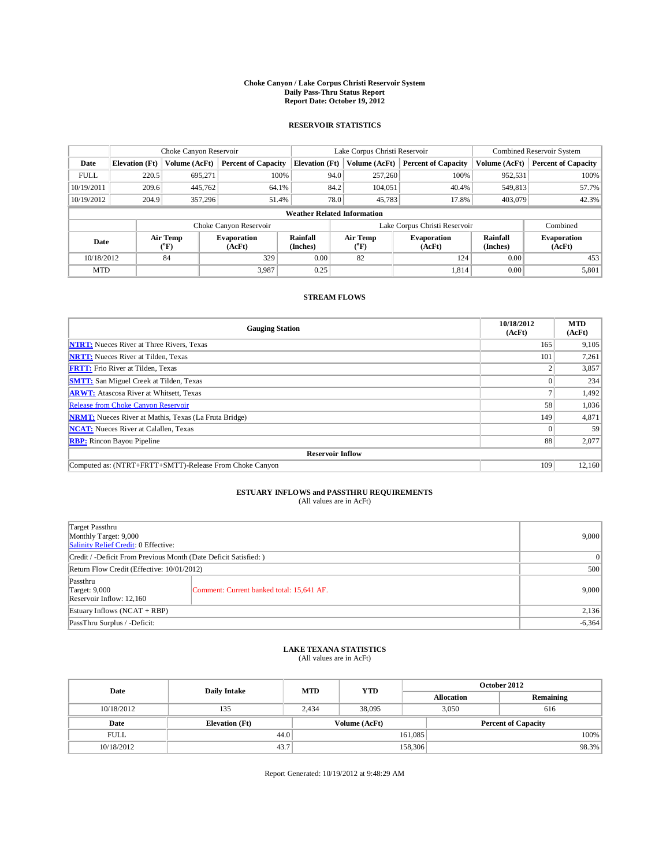## **Choke Canyon / Lake Corpus Christi Reservoir System Daily Pass-Thru Status Report Report Date: October 19, 2012**

### **RESERVOIR STATISTICS**

|             | Choke Canyon Reservoir |                          |                            |                                    | Lake Corpus Christi Reservoir |                          |                              |                             | Combined Reservoir System    |  |  |
|-------------|------------------------|--------------------------|----------------------------|------------------------------------|-------------------------------|--------------------------|------------------------------|-----------------------------|------------------------------|--|--|
| Date        | <b>Elevation</b> (Ft)  | Volume (AcFt)            | <b>Percent of Capacity</b> | <b>Elevation</b> (Ft)              |                               | Volume (AcFt)            | <b>Percent of Capacity</b>   | Volume (AcFt)               | <b>Percent of Capacity</b>   |  |  |
| <b>FULL</b> | 220.5                  | 695,271                  | 100%                       |                                    | 94.0                          | 257,260                  | 100%                         | 952,531                     | 100%                         |  |  |
| 10/19/2011  | 209.6                  | 445,762                  | 64.1%                      |                                    | 84.2                          | 104,051                  | 40.4%                        | 549,813                     | 57.7%                        |  |  |
| 10/19/2012  | 204.9                  | 357,296                  | 51.4%                      |                                    | 78.0                          | 45,783                   | 17.8%                        | 403,079                     | 42.3%                        |  |  |
|             |                        |                          |                            | <b>Weather Related Information</b> |                               |                          |                              |                             |                              |  |  |
|             |                        |                          | Choke Canyon Reservoir     |                                    | Lake Corpus Christi Reservoir |                          |                              |                             | Combined                     |  |  |
| Date        |                        | Air Temp<br>$\rm ^{o}F)$ | Evaporation<br>(AcFt)      | Rainfall<br>(Inches)               |                               | Air Temp<br>$\rm ^{o}F)$ | <b>Evaporation</b><br>(AcFt) | <b>Rainfall</b><br>(Inches) | <b>Evaporation</b><br>(AcFt) |  |  |
|             | 84<br>10/18/2012       |                          | 329                        | 0.00                               | 82                            |                          | 124                          | 0.00                        | 453                          |  |  |
| <b>MTD</b>  |                        |                          | 3,987                      | 0.25                               |                               |                          | 1,814                        | 0.00                        | 5,801                        |  |  |

### **STREAM FLOWS**

| <b>Gauging Station</b>                                       | 10/18/2012<br>(AcFt) | <b>MTD</b><br>(AcFt) |  |  |  |  |  |
|--------------------------------------------------------------|----------------------|----------------------|--|--|--|--|--|
| <b>NTRT:</b> Nueces River at Three Rivers, Texas             | 165                  | 9,105                |  |  |  |  |  |
| <b>NRTT:</b> Nueces River at Tilden, Texas                   | 101                  | 7,261                |  |  |  |  |  |
| <b>FRTT:</b> Frio River at Tilden, Texas                     |                      | 3,857                |  |  |  |  |  |
| <b>SMTT:</b> San Miguel Creek at Tilden, Texas               |                      | 234                  |  |  |  |  |  |
| <b>ARWT:</b> Atascosa River at Whitsett, Texas               |                      | 1,492                |  |  |  |  |  |
| Release from Choke Canyon Reservoir                          | 58                   | 1,036                |  |  |  |  |  |
| <b>NRMT:</b> Nueces River at Mathis, Texas (La Fruta Bridge) | 149                  | 4,871                |  |  |  |  |  |
| <b>NCAT:</b> Nueces River at Calallen, Texas                 |                      | 59                   |  |  |  |  |  |
| <b>RBP:</b> Rincon Bayou Pipeline                            | 88                   | 2,077                |  |  |  |  |  |
| <b>Reservoir Inflow</b>                                      |                      |                      |  |  |  |  |  |
| Computed as: (NTRT+FRTT+SMTT)-Release From Choke Canyon      | 109                  | 12,160               |  |  |  |  |  |

# **ESTUARY INFLOWS and PASSTHRU REQUIREMENTS**<br>(All values are in AcFt)

| Target Passthru<br>Monthly Target: 9,000<br>Salinity Relief Credit: 0 Effective: |                                           |       |  |  |  |
|----------------------------------------------------------------------------------|-------------------------------------------|-------|--|--|--|
| Credit / -Deficit From Previous Month (Date Deficit Satisfied: )                 |                                           |       |  |  |  |
| Return Flow Credit (Effective: 10/01/2012)                                       | 500                                       |       |  |  |  |
| Passthru<br><b>Target: 9,000</b><br>Reservoir Inflow: 12,160                     | Comment: Current banked total: 15,641 AF. | 9,000 |  |  |  |
| Estuary Inflows $(NCAT + RBP)$                                                   | 2,136                                     |       |  |  |  |
| PassThru Surplus / -Deficit:                                                     | $-6,364$                                  |       |  |  |  |

## **LAKE TEXANA STATISTICS** (All values are in AcFt)

| Date        | <b>Daily Intake</b>   | <b>MTD</b> | <b>YTD</b>    | October 2012 |                            |           |  |
|-------------|-----------------------|------------|---------------|--------------|----------------------------|-----------|--|
|             |                       |            |               |              | <b>Allocation</b>          | Remaining |  |
| 10/18/2012  | 135                   | 2.434      | 38,095        |              | 3.050<br>616               |           |  |
| Date        | <b>Elevation</b> (Ft) |            | Volume (AcFt) |              | <b>Percent of Capacity</b> |           |  |
| <b>FULL</b> | 44.0                  |            |               | 161,085      |                            | 100%      |  |
| 10/18/2012  | 43.7                  |            |               | 158,306      |                            | 98.3%     |  |

Report Generated: 10/19/2012 at 9:48:29 AM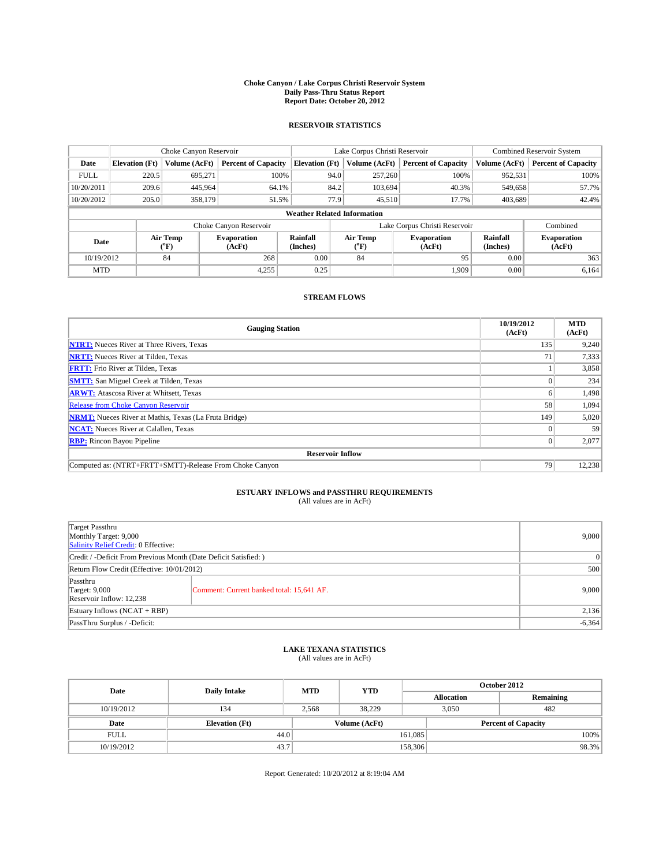## **Choke Canyon / Lake Corpus Christi Reservoir System Daily Pass-Thru Status Report Report Date: October 20, 2012**

### **RESERVOIR STATISTICS**

|             | Choke Canyon Reservoir   |                      |                              |                                    | Lake Corpus Christi Reservoir |                  |                              |                             | Combined Reservoir System    |  |  |
|-------------|--------------------------|----------------------|------------------------------|------------------------------------|-------------------------------|------------------|------------------------------|-----------------------------|------------------------------|--|--|
| Date        | <b>Elevation</b> (Ft)    | <b>Volume</b> (AcFt) | <b>Percent of Capacity</b>   | <b>Elevation</b> (Ft)              |                               | Volume (AcFt)    | <b>Percent of Capacity</b>   | Volume (AcFt)               | <b>Percent of Capacity</b>   |  |  |
| <b>FULL</b> | 220.5                    | 695.271              | 100%                         |                                    | 94.0                          | 257,260          | 100%                         | 952,531                     | 100%                         |  |  |
| 10/20/2011  | 209.6                    | 445,964              | 64.1%                        |                                    | 84.2                          | 103,694          | 40.3%                        | 549,658                     | 57.7%                        |  |  |
| 10/20/2012  | 205.0                    | 358,179              | 51.5%                        |                                    | 77.9                          | 45,510           | 17.7%                        | 403,689                     | 42.4%                        |  |  |
|             |                          |                      |                              | <b>Weather Related Information</b> |                               |                  |                              |                             |                              |  |  |
|             |                          |                      | Choke Canyon Reservoir       |                                    | Lake Corpus Christi Reservoir |                  |                              |                             | Combined                     |  |  |
| Date        | Air Temp<br>$\rm ^{o}F)$ |                      | <b>Evaporation</b><br>(AcFt) | <b>Rainfall</b><br>(Inches)        |                               | Air Temp<br>("F) | <b>Evaporation</b><br>(AcFt) | <b>Rainfall</b><br>(Inches) | <b>Evaporation</b><br>(AcFt) |  |  |
| 10/19/2012  | 84                       |                      | 268                          | 0.00                               | 84                            |                  | 95                           | 0.00                        | 363                          |  |  |
| <b>MTD</b>  |                          |                      | 4,255                        | 0.25                               |                               |                  | 1.909                        | 0.00                        | 6,164                        |  |  |

#### **STREAM FLOWS**

| <b>Gauging Station</b>                                       | 10/19/2012<br>(AcFt) | <b>MTD</b><br>(AcFt) |  |  |  |  |  |
|--------------------------------------------------------------|----------------------|----------------------|--|--|--|--|--|
| <b>NTRT:</b> Nueces River at Three Rivers, Texas             | 135                  | 9,240                |  |  |  |  |  |
| <b>NRTT:</b> Nueces River at Tilden, Texas                   | 71                   | 7,333                |  |  |  |  |  |
| <b>FRTT:</b> Frio River at Tilden, Texas                     |                      | 3,858                |  |  |  |  |  |
| <b>SMTT:</b> San Miguel Creek at Tilden, Texas               |                      | 234                  |  |  |  |  |  |
| <b>ARWT:</b> Atascosa River at Whitsett, Texas               | 0.                   | 1,498                |  |  |  |  |  |
| Release from Choke Canyon Reservoir                          | 58                   | 1,094                |  |  |  |  |  |
| <b>NRMT:</b> Nueces River at Mathis, Texas (La Fruta Bridge) | 149                  | 5,020                |  |  |  |  |  |
| <b>NCAT:</b> Nueces River at Calallen, Texas                 |                      | 59                   |  |  |  |  |  |
| <b>RBP:</b> Rincon Bayou Pipeline                            | $\Omega$             | 2,077                |  |  |  |  |  |
| <b>Reservoir Inflow</b>                                      |                      |                      |  |  |  |  |  |
| Computed as: (NTRT+FRTT+SMTT)-Release From Choke Canyon      | 79                   | 12,238               |  |  |  |  |  |

## **ESTUARY INFLOWS and PASSTHRU REQUIREMENTS**<br>(All values are in AcFt)

| Target Passthru<br>Monthly Target: 9,000<br>Salinity Relief Credit: 0 Effective: |                                           |       |  |  |  |
|----------------------------------------------------------------------------------|-------------------------------------------|-------|--|--|--|
| Credit / -Deficit From Previous Month (Date Deficit Satisfied: )                 |                                           |       |  |  |  |
| Return Flow Credit (Effective: 10/01/2012)                                       |                                           |       |  |  |  |
| Passthru<br><b>Target: 9,000</b><br>Reservoir Inflow: 12,238                     | Comment: Current banked total: 15,641 AF. | 9,000 |  |  |  |
| Estuary Inflows (NCAT + RBP)                                                     | 2,136                                     |       |  |  |  |
| PassThru Surplus / -Deficit:                                                     | $-6,364$                                  |       |  |  |  |

## **LAKE TEXANA STATISTICS** (All values are in AcFt)

| Date        | <b>Daily Intake</b>   | <b>MTD</b> | <b>YTD</b>    | October 2012 |                            |           |  |
|-------------|-----------------------|------------|---------------|--------------|----------------------------|-----------|--|
|             |                       |            |               |              | <b>Allocation</b>          | Remaining |  |
| 10/19/2012  | 134                   | 2.568      | 38.229        |              | 482<br>3.050               |           |  |
| Date        | <b>Elevation</b> (Ft) |            | Volume (AcFt) |              | <b>Percent of Capacity</b> |           |  |
| <b>FULL</b> | 44.0                  |            |               | 161,085      |                            | 100%      |  |
| 10/19/2012  | 43.7                  |            |               | 158,306      |                            | 98.3%     |  |

Report Generated: 10/20/2012 at 8:19:04 AM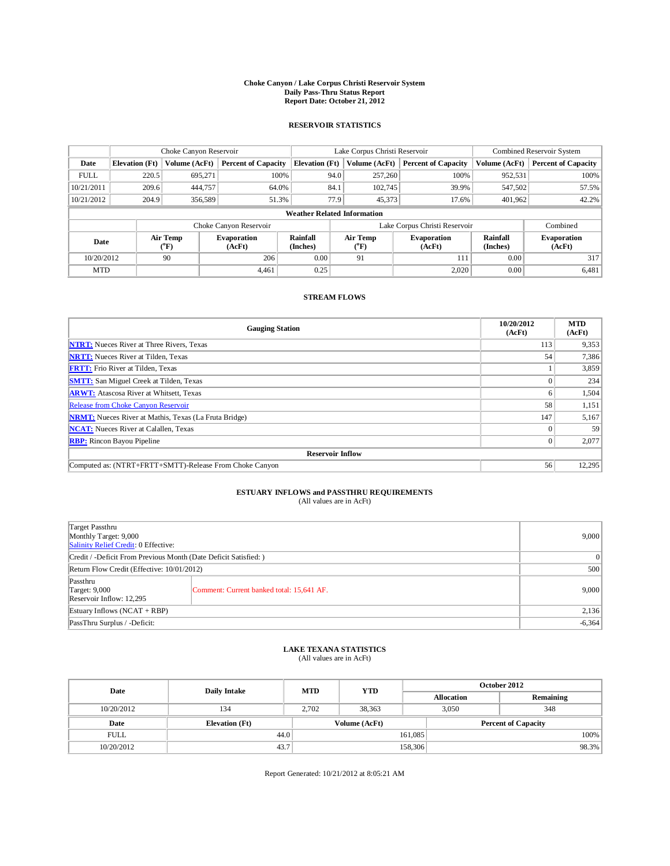## **Choke Canyon / Lake Corpus Christi Reservoir System Daily Pass-Thru Status Report Report Date: October 21, 2012**

### **RESERVOIR STATISTICS**

|             | Choke Canyon Reservoir             |                          | Lake Corpus Christi Reservoir |                             |                               |                         | Combined Reservoir System    |                             |                              |  |
|-------------|------------------------------------|--------------------------|-------------------------------|-----------------------------|-------------------------------|-------------------------|------------------------------|-----------------------------|------------------------------|--|
| Date        | <b>Elevation</b> (Ft)              | Volume (AcFt)            | <b>Percent of Capacity</b>    | <b>Elevation</b> (Ft)       |                               | Volume (AcFt)           | <b>Percent of Capacity</b>   | Volume (AcFt)               | <b>Percent of Capacity</b>   |  |
| <b>FULL</b> | 220.5                              | 695,271                  | 100%                          |                             | 94.0                          | 257,260                 | 100%                         | 952,531                     | 100%                         |  |
| 10/21/2011  | 209.6                              | 444,757                  | 64.0%                         |                             | 84.1                          | 102,745                 | 39.9%                        | 547,502                     | 57.5%                        |  |
| 10/21/2012  | 204.9                              | 356,589                  | 51.3%                         |                             | 77.9                          | 45,373                  | 17.6%                        | 401,962                     | 42.2%                        |  |
|             | <b>Weather Related Information</b> |                          |                               |                             |                               |                         |                              |                             |                              |  |
|             |                                    |                          | Choke Canyon Reservoir        |                             | Lake Corpus Christi Reservoir |                         |                              |                             | Combined                     |  |
| Date        |                                    | Air Temp<br>$\rm ^{o}F)$ | <b>Evaporation</b><br>(AcFt)  | <b>Rainfall</b><br>(Inches) |                               | <b>Air Temp</b><br>("F) | <b>Evaporation</b><br>(AcFt) | <b>Rainfall</b><br>(Inches) | <b>Evaporation</b><br>(AcFt) |  |
| 10/20/2012  | 90                                 |                          | 206                           | 0.00                        | 91                            |                         | 111                          | 0.00                        | 317                          |  |
| <b>MTD</b>  |                                    |                          | 4.461                         | 0.25                        |                               |                         | 2,020                        | 0.00                        | 6,481                        |  |

#### **STREAM FLOWS**

| <b>Gauging Station</b>                                       | 10/20/2012<br>(AcFt) | <b>MTD</b><br>(AcFt) |  |  |  |  |  |
|--------------------------------------------------------------|----------------------|----------------------|--|--|--|--|--|
| <b>NTRT:</b> Nueces River at Three Rivers, Texas             | 113                  | 9,353                |  |  |  |  |  |
| <b>NRTT:</b> Nueces River at Tilden, Texas                   | 54                   | 7,386                |  |  |  |  |  |
| <b>FRTT:</b> Frio River at Tilden, Texas                     |                      | 3,859                |  |  |  |  |  |
| <b>SMTT:</b> San Miguel Creek at Tilden, Texas               |                      | 234                  |  |  |  |  |  |
| <b>ARWT:</b> Atascosa River at Whitsett, Texas               | <sub>0</sub>         | 1,504                |  |  |  |  |  |
| Release from Choke Canyon Reservoir                          | 58                   | 1,151                |  |  |  |  |  |
| <b>NRMT:</b> Nueces River at Mathis, Texas (La Fruta Bridge) | 147                  | 5,167                |  |  |  |  |  |
| <b>NCAT:</b> Nueces River at Calallen, Texas                 |                      | 59                   |  |  |  |  |  |
| <b>RBP:</b> Rincon Bayou Pipeline                            | 0                    | 2,077                |  |  |  |  |  |
| <b>Reservoir Inflow</b>                                      |                      |                      |  |  |  |  |  |
| Computed as: (NTRT+FRTT+SMTT)-Release From Choke Canyon      | 56                   | 12,295               |  |  |  |  |  |

## **ESTUARY INFLOWS and PASSTHRU REQUIREMENTS**<br>(All values are in AcFt)

| Target Passthru<br>Monthly Target: 9,000<br>Salinity Relief Credit: 0 Effective: |                                           |       |  |  |
|----------------------------------------------------------------------------------|-------------------------------------------|-------|--|--|
| Credit / -Deficit From Previous Month (Date Deficit Satisfied: )                 |                                           |       |  |  |
| Return Flow Credit (Effective: 10/01/2012)                                       | 500                                       |       |  |  |
| Passthru<br><b>Target: 9,000</b><br>Reservoir Inflow: 12,295                     | Comment: Current banked total: 15,641 AF. | 9,000 |  |  |
| Estuary Inflows (NCAT + RBP)                                                     | 2,136                                     |       |  |  |
| PassThru Surplus / -Deficit:                                                     | $-6,364$                                  |       |  |  |

## **LAKE TEXANA STATISTICS** (All values are in AcFt)

| Date        | <b>Daily Intake</b>   | <b>MTD</b> | <b>YTD</b>    | October 2012 |                            |           |       |
|-------------|-----------------------|------------|---------------|--------------|----------------------------|-----------|-------|
|             |                       |            |               |              | <b>Allocation</b>          | Remaining |       |
| 10/20/2012  | 134                   | 2.702      | 38.363        |              | 3.050                      | 348       |       |
| Date        | <b>Elevation</b> (Ft) |            | Volume (AcFt) |              | <b>Percent of Capacity</b> |           |       |
| <b>FULL</b> | 44.0                  |            |               | 161,085      |                            |           | 100%  |
| 10/20/2012  | 43.7                  |            |               | 158,306      |                            |           | 98.3% |

Report Generated: 10/21/2012 at 8:05:21 AM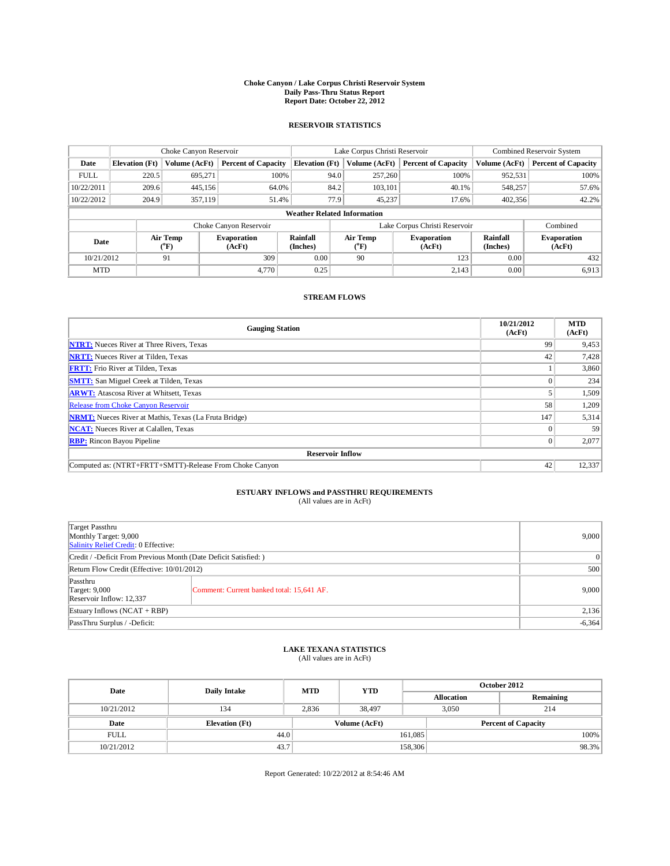## **Choke Canyon / Lake Corpus Christi Reservoir System Daily Pass-Thru Status Report Report Date: October 22, 2012**

### **RESERVOIR STATISTICS**

|             | Choke Canyon Reservoir |                          |                            |                                    | Lake Corpus Christi Reservoir                            |               |                               |                              | Combined Reservoir System  |  |  |
|-------------|------------------------|--------------------------|----------------------------|------------------------------------|----------------------------------------------------------|---------------|-------------------------------|------------------------------|----------------------------|--|--|
| Date        | <b>Elevation</b> (Ft)  | Volume (AcFt)            | <b>Percent of Capacity</b> | <b>Elevation</b> (Ft)              |                                                          | Volume (AcFt) | <b>Percent of Capacity</b>    | Volume (AcFt)                | <b>Percent of Capacity</b> |  |  |
| <b>FULL</b> | 220.5                  | 695,271                  | 100%                       |                                    | 94.0                                                     | 257,260       | 100%                          | 952,531                      | 100%                       |  |  |
| 10/22/2011  | 209.6                  | 445,156                  | 64.0%                      |                                    | 84.2                                                     | 103,101       | 40.1%                         | 548,257                      | 57.6%                      |  |  |
| 10/22/2012  | 204.9                  | 357,119                  | 51.4%                      |                                    | 77.9                                                     | 45,237        | 17.6%                         | 402,356                      | 42.2%                      |  |  |
|             |                        |                          |                            | <b>Weather Related Information</b> |                                                          |               |                               |                              |                            |  |  |
|             |                        |                          | Choke Canyon Reservoir     |                                    |                                                          |               | Lake Corpus Christi Reservoir |                              | Combined                   |  |  |
| Date        |                        | Air Temp<br>$\rm ^{o}F)$ | Evaporation<br>(AcFt)      | Rainfall<br>(Inches)               | Air Temp<br><b>Evaporation</b><br>$\rm ^{o}F)$<br>(AcFt) |               | <b>Rainfall</b><br>(Inches)   | <b>Evaporation</b><br>(AcFt) |                            |  |  |
| 10/21/2012  |                        | 91                       | 309                        | 0.00                               |                                                          | 90            | 123                           | 0.00                         | 432                        |  |  |
| <b>MTD</b>  |                        |                          | 4,770                      | 0.25                               |                                                          |               | 2,143                         | 0.00                         | 6,913                      |  |  |

#### **STREAM FLOWS**

| <b>Gauging Station</b>                                       | 10/21/2012<br>(AcFt) | <b>MTD</b><br>(AcFt) |
|--------------------------------------------------------------|----------------------|----------------------|
| <b>NTRT:</b> Nueces River at Three Rivers, Texas             | 99                   | 9,453                |
| <b>NRTT:</b> Nueces River at Tilden, Texas                   | 42                   | 7,428                |
| <b>FRTT:</b> Frio River at Tilden, Texas                     |                      | 3,860                |
| <b>SMTT:</b> San Miguel Creek at Tilden, Texas               |                      | 234                  |
| <b>ARWT:</b> Atascosa River at Whitsett, Texas               |                      | 1,509                |
| Release from Choke Canyon Reservoir                          | 58                   | 1,209                |
| <b>NRMT:</b> Nueces River at Mathis, Texas (La Fruta Bridge) | 147                  | 5,314                |
| <b>NCAT:</b> Nueces River at Calallen, Texas                 |                      | 59                   |
| <b>RBP:</b> Rincon Bayou Pipeline                            | 0                    | 2,077                |
| <b>Reservoir Inflow</b>                                      |                      |                      |
| Computed as: (NTRT+FRTT+SMTT)-Release From Choke Canyon      | 42                   | 12,337               |

# **ESTUARY INFLOWS and PASSTHRU REQUIREMENTS**<br>(All values are in AcFt)

| Target Passthru<br>Monthly Target: 9,000<br>Salinity Relief Credit: 0 Effective: | 9,000                                     |          |
|----------------------------------------------------------------------------------|-------------------------------------------|----------|
| Credit / -Deficit From Previous Month (Date Deficit Satisfied: )                 | $\vert 0 \vert$                           |          |
| Return Flow Credit (Effective: 10/01/2012)                                       | 500                                       |          |
| Passthru<br><b>Target: 9,000</b><br>Reservoir Inflow: 12,337                     | Comment: Current banked total: 15,641 AF. | 9,000    |
| Estuary Inflows $(NCAT + RBP)$                                                   | 2,136                                     |          |
| PassThru Surplus / -Deficit:                                                     |                                           | $-6,364$ |

## **LAKE TEXANA STATISTICS** (All values are in AcFt)

| Date        | <b>Daily Intake</b>   | <b>MTD</b> | <b>YTD</b>    | October 2012 |                   |                            |  |
|-------------|-----------------------|------------|---------------|--------------|-------------------|----------------------------|--|
|             |                       |            |               |              | <b>Allocation</b> | Remaining                  |  |
| 10/21/2012  | 134                   | 2.836      | 38.497        |              | 3.050             | 214                        |  |
| Date        | <b>Elevation</b> (Ft) |            | Volume (AcFt) |              |                   | <b>Percent of Capacity</b> |  |
| <b>FULL</b> | 44.0                  |            |               | 161,085      |                   | 100%                       |  |
| 10/21/2012  | 43.7                  |            |               | 158,306      |                   | 98.3%                      |  |

Report Generated: 10/22/2012 at 8:54:46 AM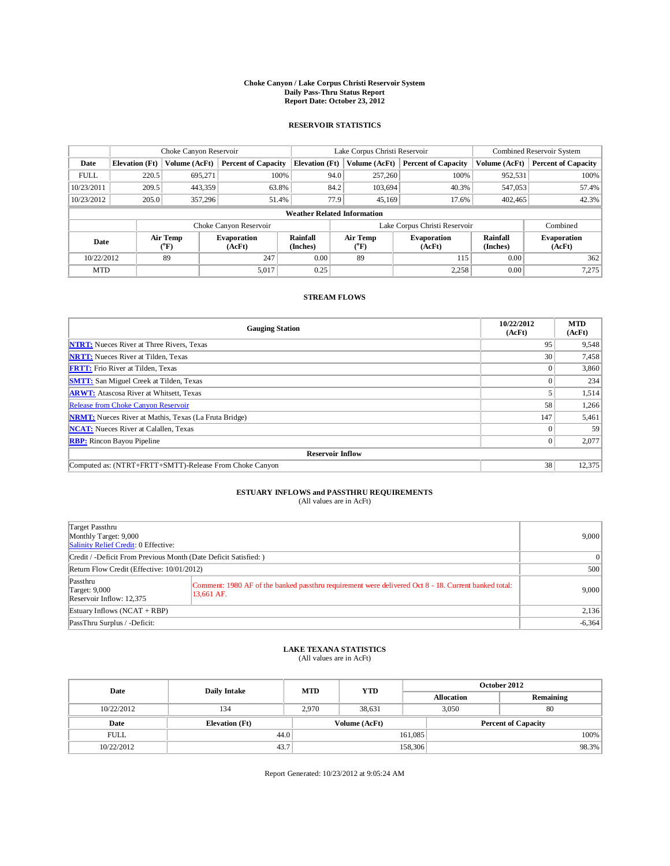## **Choke Canyon / Lake Corpus Christi Reservoir System Daily Pass-Thru Status Report Report Date: October 23, 2012**

### **RESERVOIR STATISTICS**

|             | Choke Canyon Reservoir |                          |                              |                                    | Lake Corpus Christi Reservoir                                             |               |                             |                              | Combined Reservoir System  |  |  |
|-------------|------------------------|--------------------------|------------------------------|------------------------------------|---------------------------------------------------------------------------|---------------|-----------------------------|------------------------------|----------------------------|--|--|
| Date        | <b>Elevation</b> (Ft)  | Volume (AcFt)            | <b>Percent of Capacity</b>   | <b>Elevation</b> (Ft)              |                                                                           | Volume (AcFt) | <b>Percent of Capacity</b>  | Volume (AcFt)                | <b>Percent of Capacity</b> |  |  |
| <b>FULL</b> | 220.5                  | 695,271                  | 100%                         |                                    | 94.0                                                                      | 257,260       | 100%                        | 952,531                      | 100%                       |  |  |
| 10/23/2011  | 209.5                  | 443,359                  | 63.8%                        |                                    | 84.2                                                                      | 103.694       | 40.3%                       | 547,053                      | 57.4%                      |  |  |
| 10/23/2012  | 205.0                  | 357,296                  | 51.4%                        |                                    | 77.9                                                                      | 45,169        | 17.6%                       | 402,465                      | 42.3%                      |  |  |
|             |                        |                          |                              | <b>Weather Related Information</b> |                                                                           |               |                             |                              |                            |  |  |
|             |                        |                          | Choke Canyon Reservoir       |                                    | Lake Corpus Christi Reservoir                                             |               |                             |                              | Combined                   |  |  |
| Date        |                        | Air Temp<br>$\rm ^{o}F)$ | <b>Evaporation</b><br>(AcFt) | <b>Rainfall</b><br>(Inches)        | Air Temp<br><b>Evaporation</b><br>$({}^{\mathrm{o}}\mathrm{F})$<br>(AcFt) |               | <b>Rainfall</b><br>(Inches) | <b>Evaporation</b><br>(AcFt) |                            |  |  |
| 10/22/2012  |                        | 89                       | 247                          | 0.00                               |                                                                           | 89            | 115                         | 0.00                         | 362                        |  |  |
| <b>MTD</b>  |                        |                          | 5,017                        | 0.25                               |                                                                           |               | 2,258                       | 0.00                         | 7,275                      |  |  |

#### **STREAM FLOWS**

| <b>Gauging Station</b>                                       | 10/22/2012<br>(AcFt) | <b>MTD</b><br>(AcFt) |
|--------------------------------------------------------------|----------------------|----------------------|
| <b>NTRT:</b> Nueces River at Three Rivers, Texas             | 95                   | 9,548                |
| <b>NRTT:</b> Nueces River at Tilden, Texas                   | 30                   | 7,458                |
| <b>FRTT:</b> Frio River at Tilden, Texas                     | $\Omega$             | 3,860                |
| <b>SMTT:</b> San Miguel Creek at Tilden, Texas               |                      | 234                  |
| <b>ARWT:</b> Atascosa River at Whitsett, Texas               |                      | 1,514                |
| <b>Release from Choke Canyon Reservoir</b>                   | 58                   | 1,266                |
| <b>NRMT:</b> Nueces River at Mathis, Texas (La Fruta Bridge) | 147                  | 5,461                |
| <b>NCAT:</b> Nueces River at Calallen, Texas                 |                      | 59                   |
| <b>RBP:</b> Rincon Bayou Pipeline                            | $\Omega$             | 2,077                |
| <b>Reservoir Inflow</b>                                      |                      |                      |
| Computed as: (NTRT+FRTT+SMTT)-Release From Choke Canyon      | 38                   | 12,375               |

## **ESTUARY INFLOWS and PASSTHRU REQUIREMENTS**

|  | (All values are in AcFt) |  |  |
|--|--------------------------|--|--|
|--|--------------------------|--|--|

| Target Passthru<br>Monthly Target: 9,000<br>Salinity Relief Credit: 0 Effective: | 9,000                                                                                                              |          |  |  |
|----------------------------------------------------------------------------------|--------------------------------------------------------------------------------------------------------------------|----------|--|--|
| Credit / -Deficit From Previous Month (Date Deficit Satisfied: )                 | $\Omega$                                                                                                           |          |  |  |
| Return Flow Credit (Effective: 10/01/2012)                                       |                                                                                                                    |          |  |  |
| Passthru<br><b>Target: 9,000</b><br>Reservoir Inflow: 12,375                     | Comment: 1980 AF of the banked passthru requirement were delivered Oct 8 - 18. Current banked total:<br>13,661 AF. |          |  |  |
| Estuary Inflows (NCAT + RBP)                                                     | 2,136                                                                                                              |          |  |  |
| PassThru Surplus / -Deficit:                                                     |                                                                                                                    | $-6,364$ |  |  |

## **LAKE TEXANA STATISTICS** (All values are in AcFt)

| Date        | <b>Daily Intake</b>   | <b>MTD</b> | <b>YTD</b>    | October 2012 |                            |           |  |
|-------------|-----------------------|------------|---------------|--------------|----------------------------|-----------|--|
|             |                       |            |               |              | <b>Allocation</b>          | Remaining |  |
| 10/22/2012  | 134                   | 2.970      | 38.631        |              | 3,050                      | 80        |  |
| Date        | <b>Elevation</b> (Ft) |            | Volume (AcFt) |              | <b>Percent of Capacity</b> |           |  |
| <b>FULL</b> | 44.0                  |            |               | 161,085      |                            | 100%      |  |
| 10/22/2012  | 43.7                  |            |               | 158,306      |                            | 98.3%     |  |

Report Generated: 10/23/2012 at 9:05:24 AM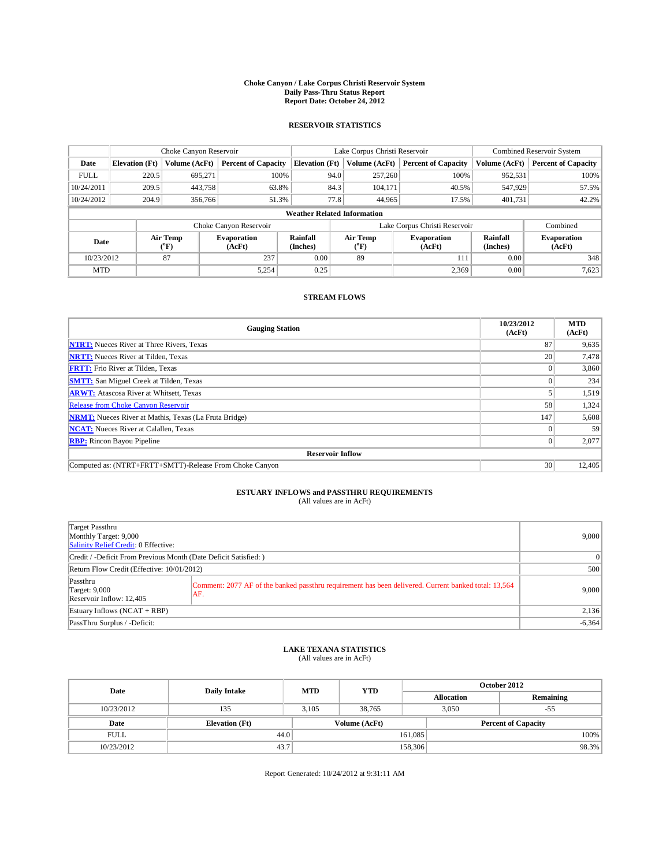## **Choke Canyon / Lake Corpus Christi Reservoir System Daily Pass-Thru Status Report Report Date: October 24, 2012**

### **RESERVOIR STATISTICS**

|             | Choke Canyon Reservoir |                          |                              |                                    | Lake Corpus Christi Reservoir                           |               |                             |                              | Combined Reservoir System  |  |  |
|-------------|------------------------|--------------------------|------------------------------|------------------------------------|---------------------------------------------------------|---------------|-----------------------------|------------------------------|----------------------------|--|--|
| Date        | <b>Elevation</b> (Ft)  | Volume (AcFt)            | <b>Percent of Capacity</b>   | <b>Elevation</b> (Ft)              |                                                         | Volume (AcFt) | <b>Percent of Capacity</b>  | Volume (AcFt)                | <b>Percent of Capacity</b> |  |  |
| <b>FULL</b> | 220.5                  | 695,271                  | 100%                         |                                    | 94.0                                                    | 257,260       | 100%                        | 952,531                      | 100%                       |  |  |
| 10/24/2011  | 209.5                  | 443,758                  | 63.8%                        |                                    | 84.3                                                    | 104,171       | 40.5%                       | 547,929                      | 57.5%                      |  |  |
| 10/24/2012  | 204.9                  | 356,766                  | 51.3%                        |                                    | 77.8                                                    | 44,965        | 17.5%                       | 401,731                      | 42.2%                      |  |  |
|             |                        |                          |                              | <b>Weather Related Information</b> |                                                         |               |                             |                              |                            |  |  |
|             |                        |                          | Choke Canyon Reservoir       |                                    | Lake Corpus Christi Reservoir                           |               |                             |                              | Combined                   |  |  |
| Date        |                        | Air Temp<br>$\rm ^{o}F)$ | <b>Evaporation</b><br>(AcFt) | <b>Rainfall</b><br>(Inches)        | <b>Air Temp</b><br><b>Evaporation</b><br>("F)<br>(AcFt) |               | <b>Rainfall</b><br>(Inches) | <b>Evaporation</b><br>(AcFt) |                            |  |  |
| 10/23/2012  |                        | 87                       | 237                          | 0.00                               |                                                         | 89            | 111                         | 0.00                         | 348                        |  |  |
| <b>MTD</b>  |                        |                          | 5,254                        | 0.25                               |                                                         |               | 2,369                       | 0.00                         | 7,623                      |  |  |

#### **STREAM FLOWS**

| <b>Gauging Station</b>                                       | 10/23/2012<br>(AcFt) | <b>MTD</b><br>(AcFt) |
|--------------------------------------------------------------|----------------------|----------------------|
| <b>NTRT:</b> Nueces River at Three Rivers, Texas             | 87                   | 9,635                |
| <b>NRTT:</b> Nueces River at Tilden, Texas                   | 20                   | 7,478                |
| <b>FRTT:</b> Frio River at Tilden, Texas                     |                      | 3,860                |
| <b>SMTT:</b> San Miguel Creek at Tilden, Texas               |                      | 234                  |
| <b>ARWT:</b> Atascosa River at Whitsett, Texas               |                      | 1,519                |
| Release from Choke Canyon Reservoir                          | 58                   | 1,324                |
| <b>NRMT:</b> Nueces River at Mathis, Texas (La Fruta Bridge) | 147                  | 5,608                |
| <b>NCAT:</b> Nueces River at Calallen, Texas                 |                      | 59                   |
| <b>RBP:</b> Rincon Bayou Pipeline                            | $\Omega$             | 2,077                |
| <b>Reservoir Inflow</b>                                      |                      |                      |
| Computed as: (NTRT+FRTT+SMTT)-Release From Choke Canyon      | 30                   | 12,405               |

## **ESTUARY INFLOWS and PASSTHRU REQUIREMENTS**<br>(All values are in AcFt)

| Target Passthru<br>Monthly Target: 9,000<br>Salinity Relief Credit: 0 Effective: |                                                                                                      |                 |  |  |  |
|----------------------------------------------------------------------------------|------------------------------------------------------------------------------------------------------|-----------------|--|--|--|
| Credit / -Deficit From Previous Month (Date Deficit Satisfied: )                 |                                                                                                      | $\vert 0 \vert$ |  |  |  |
| Return Flow Credit (Effective: 10/01/2012)                                       |                                                                                                      |                 |  |  |  |
| Passthru<br><b>Target: 9,000</b><br>AF.<br>Reservoir Inflow: 12,405              | Comment: 2077 AF of the banked passthru requirement has been delivered. Current banked total: 13,564 | 9,000           |  |  |  |
| Estuary Inflows (NCAT + RBP)                                                     | 2,136                                                                                                |                 |  |  |  |
| PassThru Surplus / -Deficit:                                                     |                                                                                                      | $-6,364$        |  |  |  |

## **LAKE TEXANA STATISTICS** (All values are in AcFt)

| Date        | <b>Daily Intake</b>   | <b>MTD</b> | <b>YTD</b>    | October 2012 |                            |           |  |
|-------------|-----------------------|------------|---------------|--------------|----------------------------|-----------|--|
|             |                       |            |               |              | <b>Allocation</b>          | Remaining |  |
| 10/23/2012  | 135                   | 3.105      | 38.765        |              | 3.050                      | $-55$     |  |
| Date        | <b>Elevation</b> (Ft) |            | Volume (AcFt) |              | <b>Percent of Capacity</b> |           |  |
| <b>FULL</b> | 44.0                  |            |               | 161,085      |                            | 100%      |  |
| 10/23/2012  | 43.7                  |            |               | 158,306      |                            | 98.3%     |  |

Report Generated: 10/24/2012 at 9:31:11 AM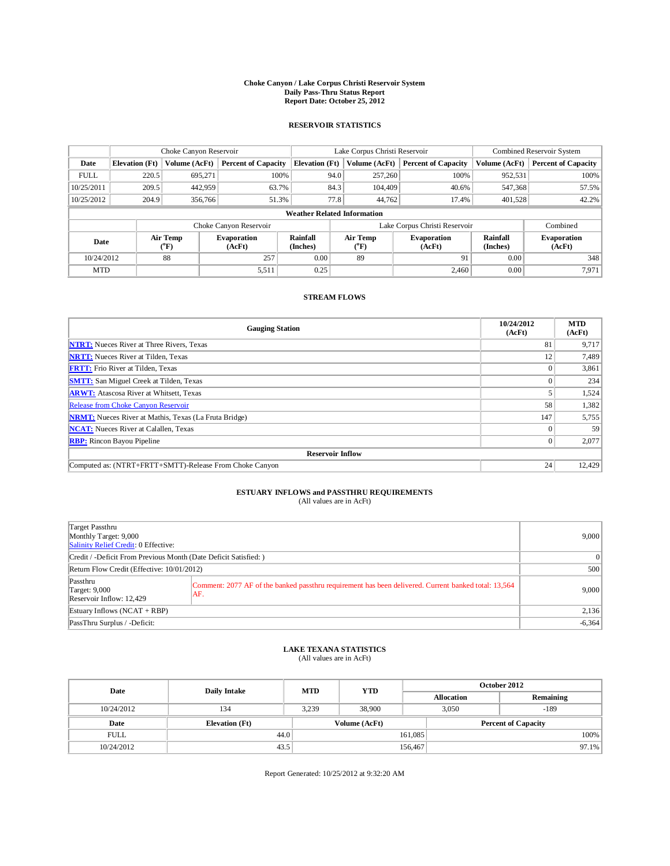## **Choke Canyon / Lake Corpus Christi Reservoir System Daily Pass-Thru Status Report Report Date: October 25, 2012**

### **RESERVOIR STATISTICS**

|             | Choke Canyon Reservoir |                                                          |                            |                                    | Lake Corpus Christi Reservoir                                             |               |                             |                              | Combined Reservoir System  |  |  |
|-------------|------------------------|----------------------------------------------------------|----------------------------|------------------------------------|---------------------------------------------------------------------------|---------------|-----------------------------|------------------------------|----------------------------|--|--|
| Date        | <b>Elevation</b> (Ft)  | Volume (AcFt)                                            | <b>Percent of Capacity</b> | <b>Elevation</b> (Ft)              |                                                                           | Volume (AcFt) | <b>Percent of Capacity</b>  | Volume (AcFt)                | <b>Percent of Capacity</b> |  |  |
| <b>FULL</b> | 220.5                  | 695,271                                                  | 100%                       |                                    | 94.0                                                                      | 257,260       | 100%                        | 952,531                      | 100%                       |  |  |
| 10/25/2011  | 209.5                  | 442,959                                                  | 63.7%                      |                                    | 84.3                                                                      | 104,409       | 40.6%                       | 547,368                      | 57.5%                      |  |  |
| 10/25/2012  | 204.9                  | 356,766                                                  | 51.3%                      |                                    | 77.8                                                                      | 44,762        | 17.4%                       | 401,528                      | 42.2%                      |  |  |
|             |                        |                                                          |                            | <b>Weather Related Information</b> |                                                                           |               |                             |                              |                            |  |  |
|             |                        |                                                          | Choke Canyon Reservoir     |                                    | Lake Corpus Christi Reservoir                                             |               |                             |                              |                            |  |  |
| Date        |                        | Air Temp<br><b>Evaporation</b><br>$\rm ^{o}F)$<br>(AcFt) |                            | <b>Rainfall</b><br>(Inches)        | Air Temp<br><b>Evaporation</b><br>$({}^{\mathrm{o}}\mathrm{F})$<br>(AcFt) |               | <b>Rainfall</b><br>(Inches) | <b>Evaporation</b><br>(AcFt) |                            |  |  |
| 10/24/2012  |                        | 88                                                       | 0.00<br>257<br>89          |                                    |                                                                           |               | 91                          | 0.00                         | 348                        |  |  |
| <b>MTD</b>  |                        |                                                          | 5,511                      | 0.25                               |                                                                           |               | 2.460                       | 0.00                         | 7,971                      |  |  |

#### **STREAM FLOWS**

| <b>Gauging Station</b>                                       | 10/24/2012<br>(AcFt) | <b>MTD</b><br>(AcFt) |
|--------------------------------------------------------------|----------------------|----------------------|
| <b>NTRT:</b> Nueces River at Three Rivers, Texas             | 81                   | 9,717                |
| <b>NRTT:</b> Nueces River at Tilden, Texas                   | 12                   | 7,489                |
| <b>FRTT:</b> Frio River at Tilden, Texas                     |                      | 3,861                |
| <b>SMTT:</b> San Miguel Creek at Tilden, Texas               |                      | 234                  |
| <b>ARWT:</b> Atascosa River at Whitsett, Texas               |                      | 1,524                |
| Release from Choke Canyon Reservoir                          | 58                   | 1,382                |
| <b>NRMT:</b> Nueces River at Mathis, Texas (La Fruta Bridge) | 147                  | 5,755                |
| <b>NCAT:</b> Nueces River at Calallen, Texas                 |                      | 59                   |
| <b>RBP:</b> Rincon Bayou Pipeline                            | $\Omega$             | 2,077                |
| <b>Reservoir Inflow</b>                                      |                      |                      |
| Computed as: (NTRT+FRTT+SMTT)-Release From Choke Canyon      | 24                   | 12,429               |

## **ESTUARY INFLOWS and PASSTHRU REQUIREMENTS**<br>(All values are in AcFt)

| Target Passthru<br>Monthly Target: 9,000<br>Salinity Relief Credit: 0 Effective: |                                                                                                             |                 |  |  |  |
|----------------------------------------------------------------------------------|-------------------------------------------------------------------------------------------------------------|-----------------|--|--|--|
| Credit / -Deficit From Previous Month (Date Deficit Satisfied: )                 |                                                                                                             | $\vert 0 \vert$ |  |  |  |
| Return Flow Credit (Effective: 10/01/2012)                                       |                                                                                                             |                 |  |  |  |
| Passthru<br><b>Target: 9,000</b><br>Reservoir Inflow: 12,429                     | Comment: 2077 AF of the banked passthru requirement has been delivered. Current banked total: 13,564<br>AF. | 9,000           |  |  |  |
| Estuary Inflows (NCAT + RBP)                                                     | 2,136                                                                                                       |                 |  |  |  |
| PassThru Surplus / -Deficit:                                                     |                                                                                                             | $-6,364$        |  |  |  |

## **LAKE TEXANA STATISTICS** (All values are in AcFt)

| Date        | <b>Daily Intake</b>   | <b>MTD</b> | <b>YTD</b>                                  | October 2012 |                   |           |  |
|-------------|-----------------------|------------|---------------------------------------------|--------------|-------------------|-----------|--|
|             |                       |            |                                             |              | <b>Allocation</b> | Remaining |  |
| 10/24/2012  | 134                   | 3.239      | 38,900                                      |              | 3.050             | $-189$    |  |
| Date        | <b>Elevation</b> (Ft) |            | Volume (AcFt)<br><b>Percent of Capacity</b> |              |                   |           |  |
| <b>FULL</b> | 44.0                  |            |                                             | 161,085      |                   | 100%      |  |
| 10/24/2012  | 43.5                  |            |                                             | 156,467      |                   | 97.1%     |  |

Report Generated: 10/25/2012 at 9:32:20 AM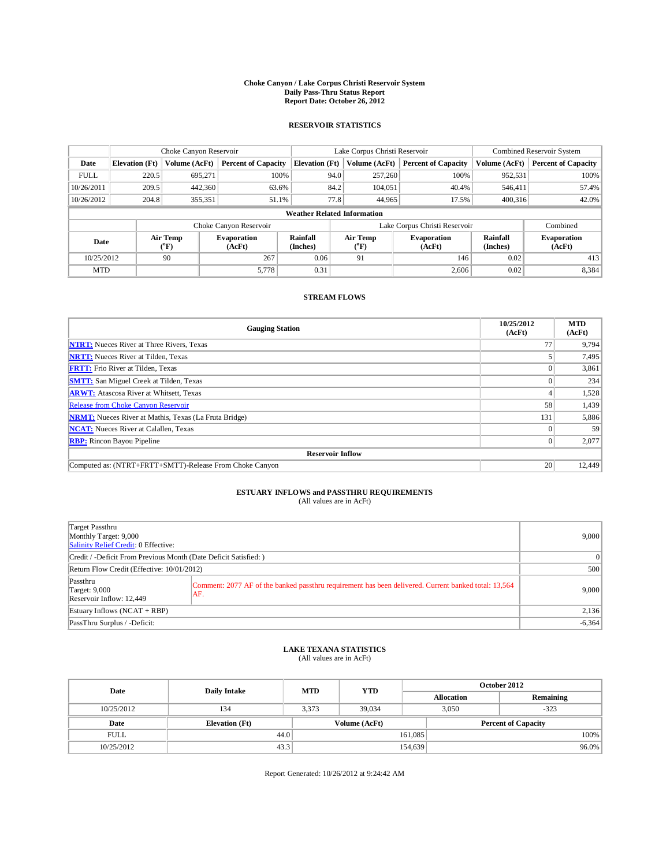## **Choke Canyon / Lake Corpus Christi Reservoir System Daily Pass-Thru Status Report Report Date: October 26, 2012**

### **RESERVOIR STATISTICS**

|             | Choke Canyon Reservoir |                                                          |                            |                                    | Lake Corpus Christi Reservoir                           |               |                             |                              | Combined Reservoir System  |  |  |
|-------------|------------------------|----------------------------------------------------------|----------------------------|------------------------------------|---------------------------------------------------------|---------------|-----------------------------|------------------------------|----------------------------|--|--|
| Date        | <b>Elevation</b> (Ft)  | Volume (AcFt)                                            | <b>Percent of Capacity</b> | <b>Elevation</b> (Ft)              |                                                         | Volume (AcFt) | <b>Percent of Capacity</b>  | Volume (AcFt)                | <b>Percent of Capacity</b> |  |  |
| <b>FULL</b> | 220.5                  | 695,271                                                  | 100%                       |                                    | 94.0                                                    | 257,260       | 100%                        | 952,531                      | 100%                       |  |  |
| 10/26/2011  | 209.5                  | 442,360                                                  | 63.6%                      |                                    | 84.2                                                    | 104,051       | 40.4%                       | 546,411                      | 57.4%                      |  |  |
| 10/26/2012  | 204.8                  | 355,351                                                  | 51.1%                      |                                    | 77.8                                                    | 44,965        | 17.5%                       | 400.316                      | 42.0%                      |  |  |
|             |                        |                                                          |                            | <b>Weather Related Information</b> |                                                         |               |                             |                              |                            |  |  |
|             |                        |                                                          | Choke Canyon Reservoir     |                                    | Lake Corpus Christi Reservoir<br>Combined               |               |                             |                              |                            |  |  |
| Date        |                        | Air Temp<br><b>Evaporation</b><br>$\rm ^{o}F)$<br>(AcFt) |                            | <b>Rainfall</b><br>(Inches)        | <b>Air Temp</b><br><b>Evaporation</b><br>("F)<br>(AcFt) |               | <b>Rainfall</b><br>(Inches) | <b>Evaporation</b><br>(AcFt) |                            |  |  |
| 10/25/2012  |                        | 90                                                       | 267                        | 0.06                               | 91                                                      |               | 146                         | 0.02                         | 413                        |  |  |
| <b>MTD</b>  |                        |                                                          | 5,778                      | 0.31                               |                                                         |               | 2,606                       | 0.02                         | 8,384                      |  |  |

#### **STREAM FLOWS**

| <b>Gauging Station</b>                                       | 10/25/2012<br>(AcFt) | <b>MTD</b><br>(AcFt) |
|--------------------------------------------------------------|----------------------|----------------------|
| <b>NTRT:</b> Nueces River at Three Rivers, Texas             | 77                   | 9,794                |
| <b>NRTT:</b> Nueces River at Tilden, Texas                   |                      | 7,495                |
| <b>FRTT:</b> Frio River at Tilden, Texas                     |                      | 3,861                |
| <b>SMTT:</b> San Miguel Creek at Tilden, Texas               |                      | 234                  |
| <b>ARWT:</b> Atascosa River at Whitsett, Texas               |                      | 1,528                |
| Release from Choke Canyon Reservoir                          | 58                   | 1,439                |
| <b>NRMT:</b> Nueces River at Mathis, Texas (La Fruta Bridge) | 131                  | 5,886                |
| <b>NCAT:</b> Nueces River at Calallen, Texas                 |                      | 59                   |
| <b>RBP:</b> Rincon Bayou Pipeline                            | 0                    | 2,077                |
| <b>Reservoir Inflow</b>                                      |                      |                      |
| Computed as: (NTRT+FRTT+SMTT)-Release From Choke Canyon      | 20                   | 12,449               |

## **ESTUARY INFLOWS and PASSTHRU REQUIREMENTS**<br>(All values are in AcFt)

| Target Passthru<br>Monthly Target: 9,000<br>Salinity Relief Credit: 0 Effective: | 9,000                                                                                                       |                |
|----------------------------------------------------------------------------------|-------------------------------------------------------------------------------------------------------------|----------------|
| Credit / -Deficit From Previous Month (Date Deficit Satisfied: )                 |                                                                                                             | $\overline{0}$ |
| Return Flow Credit (Effective: 10/01/2012)                                       | 500                                                                                                         |                |
| Passthru<br><b>Target: 9,000</b><br>Reservoir Inflow: 12,449                     | Comment: 2077 AF of the banked passthru requirement has been delivered. Current banked total: 13,564<br>AF. | 9,000          |
| Estuary Inflows (NCAT + RBP)                                                     | 2,136                                                                                                       |                |
| PassThru Surplus / -Deficit:                                                     |                                                                                                             | $-6,364$       |

## **LAKE TEXANA STATISTICS** (All values are in AcFt)

| Date        | <b>Daily Intake</b>   | <b>MTD</b> | <b>YTD</b>    | October 2012 |                            |           |  |
|-------------|-----------------------|------------|---------------|--------------|----------------------------|-----------|--|
|             |                       |            |               |              | <b>Allocation</b>          | Remaining |  |
| 10/25/2012  | 134                   | 3,373      | 39,034        |              | 3,050                      | $-323$    |  |
| Date        | <b>Elevation</b> (Ft) |            | Volume (AcFt) |              | <b>Percent of Capacity</b> |           |  |
| <b>FULL</b> | 44.0                  |            |               | 161,085      |                            | 100%      |  |
| 10/25/2012  | 43.3                  |            |               | 154,639      |                            | $96.0\%$  |  |

Report Generated: 10/26/2012 at 9:24:42 AM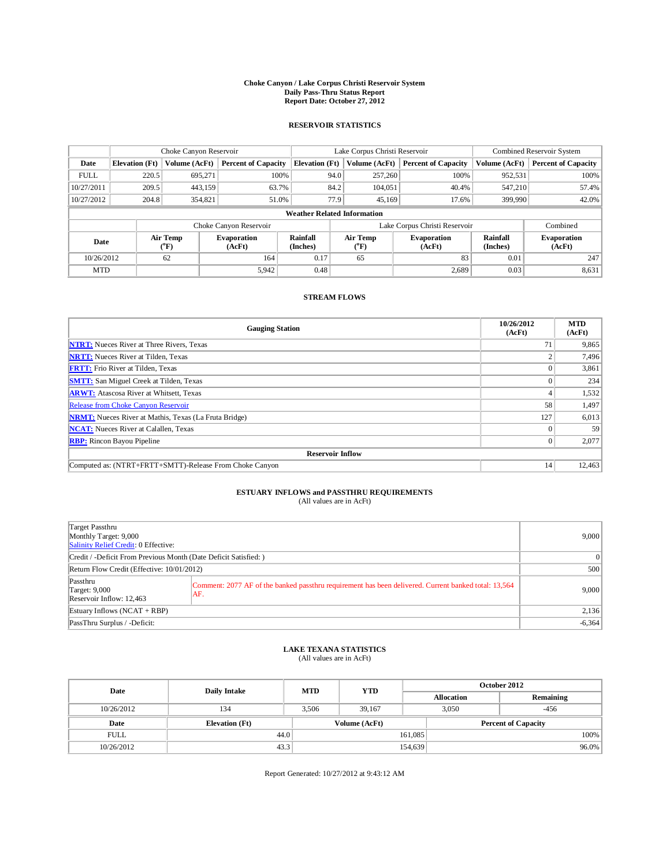## **Choke Canyon / Lake Corpus Christi Reservoir System Daily Pass-Thru Status Report Report Date: October 27, 2012**

### **RESERVOIR STATISTICS**

|             | Choke Canyon Reservoir |                                                                                                                 |                            |                                    | Lake Corpus Christi Reservoir |                             |                              |               | Combined Reservoir System  |  |  |
|-------------|------------------------|-----------------------------------------------------------------------------------------------------------------|----------------------------|------------------------------------|-------------------------------|-----------------------------|------------------------------|---------------|----------------------------|--|--|
| Date        | <b>Elevation</b> (Ft)  | Volume (AcFt)                                                                                                   | <b>Percent of Capacity</b> | <b>Elevation</b> (Ft)              |                               | Volume (AcFt)               | <b>Percent of Capacity</b>   | Volume (AcFt) | <b>Percent of Capacity</b> |  |  |
| <b>FULL</b> | 220.5                  | 695,271                                                                                                         | 100%                       |                                    | 94.0                          | 257,260                     | 100%                         | 952,531       | 100%                       |  |  |
| 10/27/2011  | 209.5                  | 443,159                                                                                                         | 63.7%                      |                                    | 84.2                          | 104,051                     | 40.4%                        | 547,210       | 57.4%                      |  |  |
| 10/27/2012  | 204.8                  | 354,821                                                                                                         | 51.0%                      |                                    | 77.9                          | 45,169                      | 17.6%                        | 399,990       | 42.0%                      |  |  |
|             |                        |                                                                                                                 |                            | <b>Weather Related Information</b> |                               |                             |                              |               |                            |  |  |
|             |                        |                                                                                                                 | Choke Canyon Reservoir     |                                    | Lake Corpus Christi Reservoir |                             |                              |               | Combined                   |  |  |
| Date        |                        | Rainfall<br>Air Temp<br>Air Temp<br>Evaporation<br>$\rm ^{o}F)$<br>(Inches)<br>$\rm ^{o}F)$<br>(AcFt)<br>(AcFt) |                            | <b>Evaporation</b>                 |                               | <b>Rainfall</b><br>(Inches) | <b>Evaporation</b><br>(AcFt) |               |                            |  |  |
| 10/26/2012  |                        | 62                                                                                                              | 164                        | 0.17                               | 65                            |                             | 83                           | 0.01          | 247                        |  |  |
| <b>MTD</b>  |                        |                                                                                                                 | 5,942                      | 0.48                               |                               |                             | 2,689                        | 0.03          | 8,631                      |  |  |

### **STREAM FLOWS**

| <b>Gauging Station</b>                                       | 10/26/2012<br>(AcFt) | <b>MTD</b><br>(AcFt) |
|--------------------------------------------------------------|----------------------|----------------------|
| <b>NTRT:</b> Nueces River at Three Rivers, Texas             | 71                   | 9,865                |
| <b>NRTT:</b> Nueces River at Tilden, Texas                   |                      | 7,496                |
| <b>FRTT:</b> Frio River at Tilden, Texas                     |                      | 3,861                |
| <b>SMTT:</b> San Miguel Creek at Tilden, Texas               |                      | 234                  |
| <b>ARWT:</b> Atascosa River at Whitsett, Texas               |                      | 1,532                |
| Release from Choke Canyon Reservoir                          | 58                   | 1,497                |
| <b>NRMT:</b> Nueces River at Mathis, Texas (La Fruta Bridge) | 127                  | 6,013                |
| <b>NCAT:</b> Nueces River at Calallen, Texas                 |                      | 59                   |
| <b>RBP:</b> Rincon Bayou Pipeline                            | $\Omega$             | 2,077                |
| <b>Reservoir Inflow</b>                                      |                      |                      |
| Computed as: (NTRT+FRTT+SMTT)-Release From Choke Canyon      | 14                   | 12,463               |

# **ESTUARY INFLOWS and PASSTHRU REQUIREMENTS**<br>(All values are in AcFt)

| Target Passthru<br>Monthly Target: 9,000<br>Salinity Relief Credit: 0 Effective: | 9,000                                                                                                       |          |
|----------------------------------------------------------------------------------|-------------------------------------------------------------------------------------------------------------|----------|
| Credit / -Deficit From Previous Month (Date Deficit Satisfied: )                 | $\Omega$                                                                                                    |          |
| Return Flow Credit (Effective: 10/01/2012)                                       | 500                                                                                                         |          |
| Passthru<br><b>Target: 9,000</b><br>Reservoir Inflow: 12,463                     | Comment: 2077 AF of the banked passthru requirement has been delivered. Current banked total: 13,564<br>AF. | 9,000    |
| Estuary Inflows $(NCAT + RBP)$                                                   | 2,136                                                                                                       |          |
| PassThru Surplus / -Deficit:                                                     |                                                                                                             | $-6,364$ |

## **LAKE TEXANA STATISTICS** (All values are in AcFt)

| Date        | <b>Daily Intake</b>   | <b>MTD</b> | <b>YTD</b>    |         | October 2012               |           |  |  |
|-------------|-----------------------|------------|---------------|---------|----------------------------|-----------|--|--|
|             |                       |            |               |         | <b>Allocation</b>          | Remaining |  |  |
| 10/26/2012  | 134                   | 3.506      | 39.167        |         | 3,050                      | $-456$    |  |  |
| Date        | <b>Elevation</b> (Ft) |            | Volume (AcFt) |         | <b>Percent of Capacity</b> |           |  |  |
| <b>FULL</b> | 44.0                  |            |               | 161,085 |                            | 100%      |  |  |
| 10/26/2012  | 43.3                  |            |               | 154,639 |                            | $96.0\%$  |  |  |

Report Generated: 10/27/2012 at 9:43:12 AM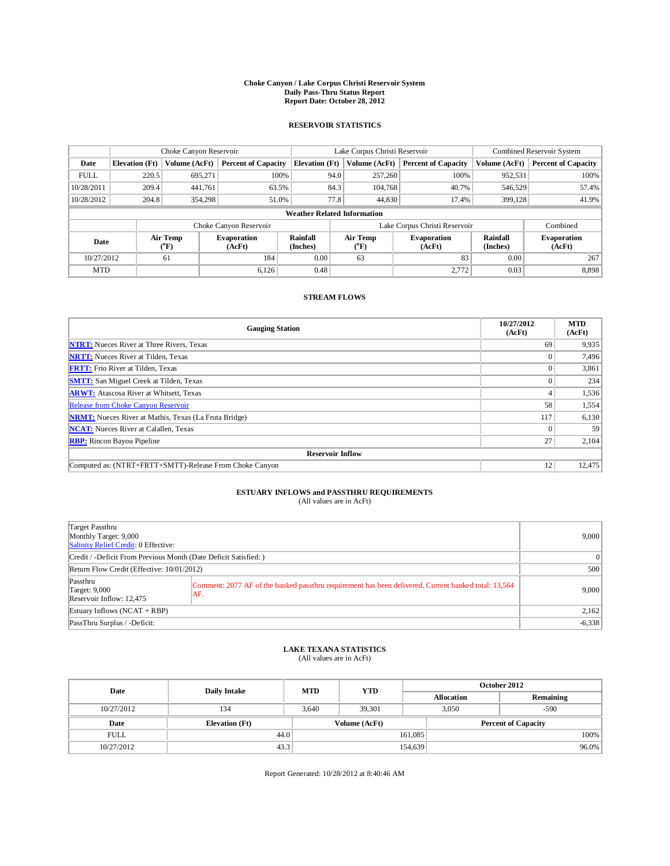## **Choke Canyon / Lake Corpus Christi Reservoir System Daily Pass-Thru Status Report Report Date: October 28, 2012**

### **RESERVOIR STATISTICS**

|             | Choke Canyon Reservoir |                                                          |                            |                                    | Lake Corpus Christi Reservoir                                             |               |                             |                              | Combined Reservoir System  |  |  |
|-------------|------------------------|----------------------------------------------------------|----------------------------|------------------------------------|---------------------------------------------------------------------------|---------------|-----------------------------|------------------------------|----------------------------|--|--|
| Date        | <b>Elevation</b> (Ft)  | Volume (AcFt)                                            | <b>Percent of Capacity</b> | <b>Elevation</b> (Ft)              |                                                                           | Volume (AcFt) | <b>Percent of Capacity</b>  | Volume (AcFt)                | <b>Percent of Capacity</b> |  |  |
| <b>FULL</b> | 220.5                  | 695,271                                                  | 100%                       |                                    | 94.0                                                                      | 257,260       | 100%                        | 952,531                      | 100%                       |  |  |
| 10/28/2011  | 209.4                  | 441.761                                                  | 63.5%                      |                                    | 84.3                                                                      | 104,768       | 40.7%                       | 546,529                      | 57.4%                      |  |  |
| 10/28/2012  | 204.8                  | 354,298                                                  | 51.0%                      |                                    | 77.8                                                                      | 44,830        | 17.4%                       | 399,128                      | 41.9%                      |  |  |
|             |                        |                                                          |                            | <b>Weather Related Information</b> |                                                                           |               |                             |                              |                            |  |  |
|             |                        |                                                          | Choke Canyon Reservoir     |                                    | Lake Corpus Christi Reservoir                                             |               |                             |                              | Combined                   |  |  |
| Date        |                        | Air Temp<br><b>Evaporation</b><br>$\rm ^{o}F)$<br>(AcFt) |                            | <b>Rainfall</b><br>(Inches)        | Air Temp<br><b>Evaporation</b><br>$({}^{\mathrm{o}}\mathrm{F})$<br>(AcFt) |               | <b>Rainfall</b><br>(Inches) | <b>Evaporation</b><br>(AcFt) |                            |  |  |
| 10/27/2012  |                        | 61                                                       | 0.00<br>184<br>63          |                                    | 83                                                                        | 0.00          | 267                         |                              |                            |  |  |
| <b>MTD</b>  |                        |                                                          | 6.126                      | 0.48                               |                                                                           |               | 2.772                       | 0.03                         | 8,898                      |  |  |

#### **STREAM FLOWS**

| <b>Gauging Station</b>                                       | 10/27/2012<br>(AcFt) | <b>MTD</b><br>(AcFt) |
|--------------------------------------------------------------|----------------------|----------------------|
| <b>NTRT:</b> Nueces River at Three Rivers, Texas             | 69                   | 9,935                |
| <b>NRTT:</b> Nueces River at Tilden, Texas                   |                      | 7,496                |
| <b>FRTT:</b> Frio River at Tilden, Texas                     |                      | 3,861                |
| <b>SMTT:</b> San Miguel Creek at Tilden, Texas               |                      | 234                  |
| <b>ARWT:</b> Atascosa River at Whitsett, Texas               |                      | 1,536                |
| Release from Choke Canyon Reservoir                          | 58                   | 1,554                |
| <b>NRMT:</b> Nueces River at Mathis, Texas (La Fruta Bridge) | 117                  | 6,130                |
| <b>NCAT:</b> Nueces River at Calallen, Texas                 |                      | 59                   |
| <b>RBP:</b> Rincon Bayou Pipeline                            | 27                   | 2,104                |
| <b>Reservoir Inflow</b>                                      |                      |                      |
| Computed as: (NTRT+FRTT+SMTT)-Release From Choke Canyon      | 12                   | 12,475               |

## **ESTUARY INFLOWS and PASSTHRU REQUIREMENTS**<br>(All values are in AcFt)

| Target Passthru<br>Monthly Target: 9,000<br>Salinity Relief Credit: 0 Effective: | 9,000                                                                                                       |                 |
|----------------------------------------------------------------------------------|-------------------------------------------------------------------------------------------------------------|-----------------|
| Credit / -Deficit From Previous Month (Date Deficit Satisfied: )                 |                                                                                                             | $\vert 0 \vert$ |
| Return Flow Credit (Effective: 10/01/2012)                                       | 500                                                                                                         |                 |
| Passthru<br><b>Target: 9,000</b><br>Reservoir Inflow: 12,475                     | Comment: 2077 AF of the banked passthru requirement has been delivered. Current banked total: 13,564<br>AF. | 9,000           |
| Estuary Inflows (NCAT + RBP)                                                     | 2,162                                                                                                       |                 |
| PassThru Surplus / -Deficit:                                                     |                                                                                                             | $-6,338$        |

## **LAKE TEXANA STATISTICS** (All values are in AcFt)

| Date        | <b>Daily Intake</b>   |       | <b>YTD</b><br><b>MTD</b> |         | October 2012               |           |  |  |
|-------------|-----------------------|-------|--------------------------|---------|----------------------------|-----------|--|--|
|             |                       |       |                          |         | <b>Allocation</b>          | Remaining |  |  |
| 10/27/2012  | 134                   | 3.640 | 39.301                   |         | 3,050                      | $-590$    |  |  |
| Date        | <b>Elevation</b> (Ft) |       | Volume (AcFt)            |         | <b>Percent of Capacity</b> |           |  |  |
| <b>FULL</b> | 44.0                  |       |                          | 161,085 |                            | 100%      |  |  |
| 10/27/2012  | 43.3                  |       |                          | 154,639 |                            | $96.0\%$  |  |  |

Report Generated: 10/28/2012 at 8:40:46 AM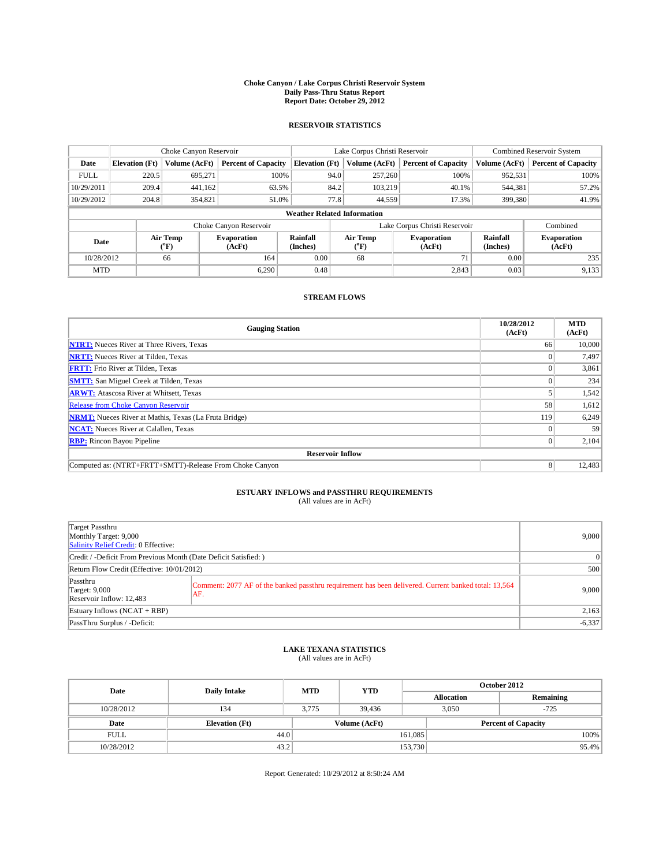## **Choke Canyon / Lake Corpus Christi Reservoir System Daily Pass-Thru Status Report Report Date: October 29, 2012**

### **RESERVOIR STATISTICS**

|             | Choke Canyon Reservoir |                                                           |                            |                                    | Lake Corpus Christi Reservoir                                             |               |                             |                              | Combined Reservoir System  |  |  |
|-------------|------------------------|-----------------------------------------------------------|----------------------------|------------------------------------|---------------------------------------------------------------------------|---------------|-----------------------------|------------------------------|----------------------------|--|--|
| Date        | <b>Elevation</b> (Ft)  | Volume (AcFt)                                             | <b>Percent of Capacity</b> | <b>Elevation</b> (Ft)              |                                                                           | Volume (AcFt) | <b>Percent of Capacity</b>  | Volume (AcFt)                | <b>Percent of Capacity</b> |  |  |
| <b>FULL</b> | 220.5                  | 695,271                                                   | 100%                       |                                    | 94.0                                                                      | 257,260       | 100%                        | 952,531                      | 100%                       |  |  |
| 10/29/2011  | 209.4                  | 441.162                                                   | 63.5%                      |                                    | 84.2                                                                      | 103.219       | 40.1%                       | 544,381                      | 57.2%                      |  |  |
| 10/29/2012  | 204.8                  | 354,821                                                   | 51.0%                      |                                    | 77.8                                                                      | 44,559        | 17.3%                       | 399,380                      | 41.9%                      |  |  |
|             |                        |                                                           |                            | <b>Weather Related Information</b> |                                                                           |               |                             |                              |                            |  |  |
|             |                        |                                                           | Choke Canyon Reservoir     |                                    | Lake Corpus Christi Reservoir                                             |               |                             |                              | Combined                   |  |  |
| Date        |                        | Air Temp<br><b>Evaporation</b><br>$\rm ^{(o}F)$<br>(AcFt) |                            | <b>Rainfall</b><br>(Inches)        | Air Temp<br><b>Evaporation</b><br>$({}^{\mathrm{o}}\mathrm{F})$<br>(AcFt) |               | <b>Rainfall</b><br>(Inches) | <b>Evaporation</b><br>(AcFt) |                            |  |  |
| 10/28/2012  |                        | 164<br>66                                                 |                            | 0.00<br>68                         |                                                                           |               | 71                          | 0.00                         | 235                        |  |  |
| <b>MTD</b>  |                        |                                                           | 6.290                      | 0.48                               |                                                                           |               | 2,843                       | 0.03                         | 9,133                      |  |  |

#### **STREAM FLOWS**

| <b>Gauging Station</b>                                       | 10/28/2012<br>(AcFt) | <b>MTD</b><br>(AcFt) |  |  |  |  |  |
|--------------------------------------------------------------|----------------------|----------------------|--|--|--|--|--|
| <b>NTRT:</b> Nueces River at Three Rivers, Texas             | 66                   | 10,000               |  |  |  |  |  |
| <b>NRTT:</b> Nueces River at Tilden, Texas                   |                      | 7,497                |  |  |  |  |  |
| <b>FRTT:</b> Frio River at Tilden, Texas                     |                      | 3,861                |  |  |  |  |  |
| <b>SMTT:</b> San Miguel Creek at Tilden, Texas               |                      | 234                  |  |  |  |  |  |
| <b>ARWT:</b> Atascosa River at Whitsett, Texas               |                      | 1,542                |  |  |  |  |  |
| Release from Choke Canyon Reservoir                          | 58                   | 1,612                |  |  |  |  |  |
| <b>NRMT:</b> Nueces River at Mathis, Texas (La Fruta Bridge) | 119                  | 6,249                |  |  |  |  |  |
| <b>NCAT:</b> Nueces River at Calallen, Texas                 |                      | 59                   |  |  |  |  |  |
| <b>RBP:</b> Rincon Bayou Pipeline                            | $\Omega$             | 2,104                |  |  |  |  |  |
| <b>Reservoir Inflow</b>                                      |                      |                      |  |  |  |  |  |
| Computed as: (NTRT+FRTT+SMTT)-Release From Choke Canyon      | 8                    | 12,483               |  |  |  |  |  |

## **ESTUARY INFLOWS and PASSTHRU REQUIREMENTS**<br>(All values are in AcFt)

| Target Passthru<br>Monthly Target: 9,000<br>Salinity Relief Credit: 0 Effective:                                                                                            |  |                 |  |  |  |
|-----------------------------------------------------------------------------------------------------------------------------------------------------------------------------|--|-----------------|--|--|--|
| Credit / -Deficit From Previous Month (Date Deficit Satisfied: )                                                                                                            |  | $\vert 0 \vert$ |  |  |  |
| Return Flow Credit (Effective: 10/01/2012)                                                                                                                                  |  |                 |  |  |  |
| Passthru<br>Comment: 2077 AF of the banked passthru requirement has been delivered. Current banked total: 13,564<br><b>Target: 9,000</b><br>AF.<br>Reservoir Inflow: 12,483 |  | 9,000           |  |  |  |
| Estuary Inflows (NCAT + RBP)                                                                                                                                                |  |                 |  |  |  |
| PassThru Surplus / -Deficit:                                                                                                                                                |  | $-6,337$        |  |  |  |

## **LAKE TEXANA STATISTICS** (All values are in AcFt)

| Date        | <b>Daily Intake</b>   | <b>MTD</b> | <b>YTD</b>    | October 2012 |                            |           |  |
|-------------|-----------------------|------------|---------------|--------------|----------------------------|-----------|--|
|             |                       |            |               |              | <b>Allocation</b>          | Remaining |  |
| 10/28/2012  | 134                   | 3.775      | 39,436        |              | 3.050                      | $-725$    |  |
| Date        | <b>Elevation</b> (Ft) |            | Volume (AcFt) |              | <b>Percent of Capacity</b> |           |  |
| <b>FULL</b> | 44.0                  |            |               | 161,085      |                            | 100%      |  |
| 10/28/2012  | 43.2                  |            |               | 153,730      |                            | 95.4%     |  |

Report Generated: 10/29/2012 at 8:50:24 AM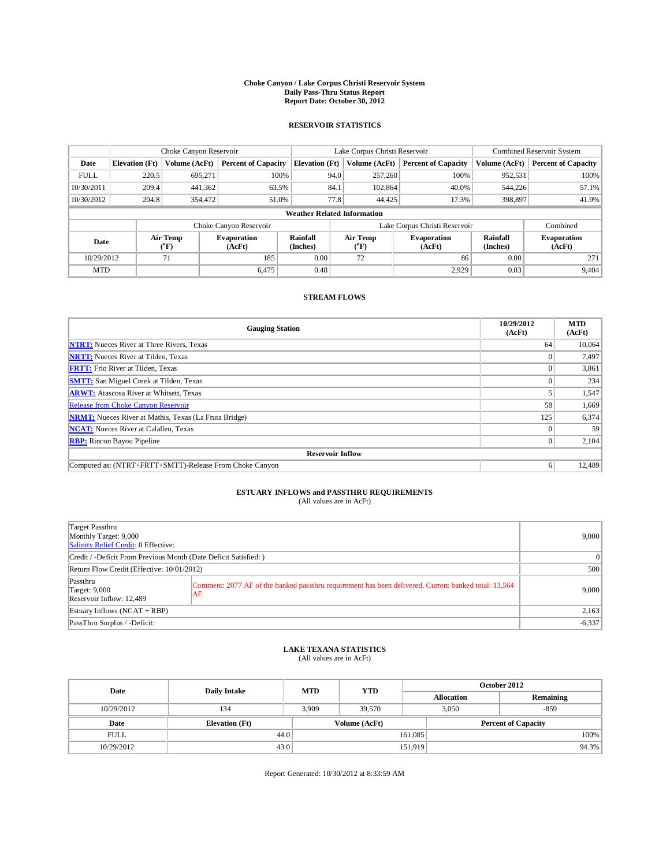## **Choke Canyon / Lake Corpus Christi Reservoir System Daily Pass-Thru Status Report Report Date: October 30, 2012**

### **RESERVOIR STATISTICS**

|             | Choke Canyon Reservoir |                                                                                          |                            |                                                                  | Lake Corpus Christi Reservoir |                             |                              |               | Combined Reservoir System  |  |  |
|-------------|------------------------|------------------------------------------------------------------------------------------|----------------------------|------------------------------------------------------------------|-------------------------------|-----------------------------|------------------------------|---------------|----------------------------|--|--|
| Date        | <b>Elevation</b> (Ft)  | Volume (AcFt)                                                                            | <b>Percent of Capacity</b> | <b>Elevation</b> (Ft)                                            |                               | Volume (AcFt)               | <b>Percent of Capacity</b>   | Volume (AcFt) | <b>Percent of Capacity</b> |  |  |
| <b>FULL</b> | 220.5                  | 695,271                                                                                  |                            | 100%                                                             | 94.0                          | 257,260                     | 100%                         | 952.531       | 100%                       |  |  |
| 10/30/2011  | 209.4                  | 441,362                                                                                  | 63.5%                      |                                                                  | 84.1                          | 102.864                     | 40.0%                        | 544,226       | 57.1%                      |  |  |
| 10/30/2012  | 204.8                  | 354,472                                                                                  | 51.0%                      |                                                                  | 77.8<br>44.425                |                             | 17.3%                        | 398,897       | 41.9%                      |  |  |
|             |                        |                                                                                          |                            | <b>Weather Related Information</b>                               |                               |                             |                              |               |                            |  |  |
|             |                        |                                                                                          | Choke Canyon Reservoir     |                                                                  | Lake Corpus Christi Reservoir |                             |                              |               | Combined                   |  |  |
| Date        |                        | Rainfall<br>Air Temp<br><b>Evaporation</b><br>$\mathrm{^{\circ}F}$<br>(AcFt)<br>(Inches) |                            | Air Temp<br><b>Evaporation</b><br>$\mathrm{^{\circ}F}$<br>(AcFt) |                               | <b>Rainfall</b><br>(Inches) | <b>Evaporation</b><br>(AcFt) |               |                            |  |  |
| 10/29/2012  |                        | 71                                                                                       | 185                        | 0.00                                                             |                               | 72                          | 86                           | 0.00          | 271                        |  |  |
| <b>MTD</b>  |                        |                                                                                          | 6,475                      | 0.48                                                             |                               |                             | 2,929                        | 0.03          | 9,404                      |  |  |

#### **STREAM FLOWS**

| <b>Gauging Station</b>                                       | 10/29/2012<br>(AcFt) | <b>MTD</b><br>(AcFt) |  |  |  |  |
|--------------------------------------------------------------|----------------------|----------------------|--|--|--|--|
| <b>NTRT:</b> Nueces River at Three Rivers, Texas             | 64                   | 10.064               |  |  |  |  |
| <b>NRTT:</b> Nueces River at Tilden, Texas                   |                      | 7,497                |  |  |  |  |
| <b>FRTT:</b> Frio River at Tilden, Texas                     |                      | 3,861                |  |  |  |  |
| <b>SMTT:</b> San Miguel Creek at Tilden, Texas               |                      | 234                  |  |  |  |  |
| <b>ARWT:</b> Atascosa River at Whitsett, Texas               |                      | 1,547                |  |  |  |  |
| Release from Choke Canyon Reservoir                          | 58                   | 1,669                |  |  |  |  |
| <b>NRMT:</b> Nueces River at Mathis, Texas (La Fruta Bridge) | 125                  | 6,374                |  |  |  |  |
| <b>NCAT:</b> Nueces River at Calallen, Texas                 |                      | 59                   |  |  |  |  |
| <b>RBP:</b> Rincon Bayou Pipeline                            | $\Omega$             | 2,104                |  |  |  |  |
| <b>Reservoir Inflow</b>                                      |                      |                      |  |  |  |  |
| Computed as: (NTRT+FRTT+SMTT)-Release From Choke Canyon      | 6                    | 12,489               |  |  |  |  |

## **ESTUARY INFLOWS and PASSTHRU REQUIREMENTS**<br>(All values are in AcFt)

| Target Passthru<br>Monthly Target: 9,000<br>Salinity Relief Credit: 0 Effective:                                                                                            | 9,000           |
|-----------------------------------------------------------------------------------------------------------------------------------------------------------------------------|-----------------|
| Credit / -Deficit From Previous Month (Date Deficit Satisfied: )                                                                                                            | $\vert 0 \vert$ |
| Return Flow Credit (Effective: 10/01/2012)                                                                                                                                  | 500             |
| Passthru<br>Comment: 2077 AF of the banked passthru requirement has been delivered. Current banked total: 13,564<br><b>Target: 9,000</b><br>AF.<br>Reservoir Inflow: 12,489 | 9,000           |
| Estuary Inflows (NCAT + RBP)                                                                                                                                                | 2,163           |
| PassThru Surplus / -Deficit:                                                                                                                                                | $-6,337$        |

## **LAKE TEXANA STATISTICS** (All values are in AcFt)

| Date        | <b>Daily Intake</b>   | <b>MTD</b> | <b>YTD</b>    | October 2012 |                            |           |  |
|-------------|-----------------------|------------|---------------|--------------|----------------------------|-----------|--|
|             |                       |            |               |              | <b>Allocation</b>          | Remaining |  |
| 10/29/2012  | 134                   | 3.909      | 39.570        |              | 3.050                      | $-859$    |  |
| Date        | <b>Elevation</b> (Ft) |            | Volume (AcFt) |              | <b>Percent of Capacity</b> |           |  |
| <b>FULL</b> | 44.0                  |            |               | 161,085      |                            | 100%      |  |
| 10/29/2012  | 43.0                  |            |               | 151,919      |                            | 94.3%     |  |

Report Generated: 10/30/2012 at 8:33:59 AM